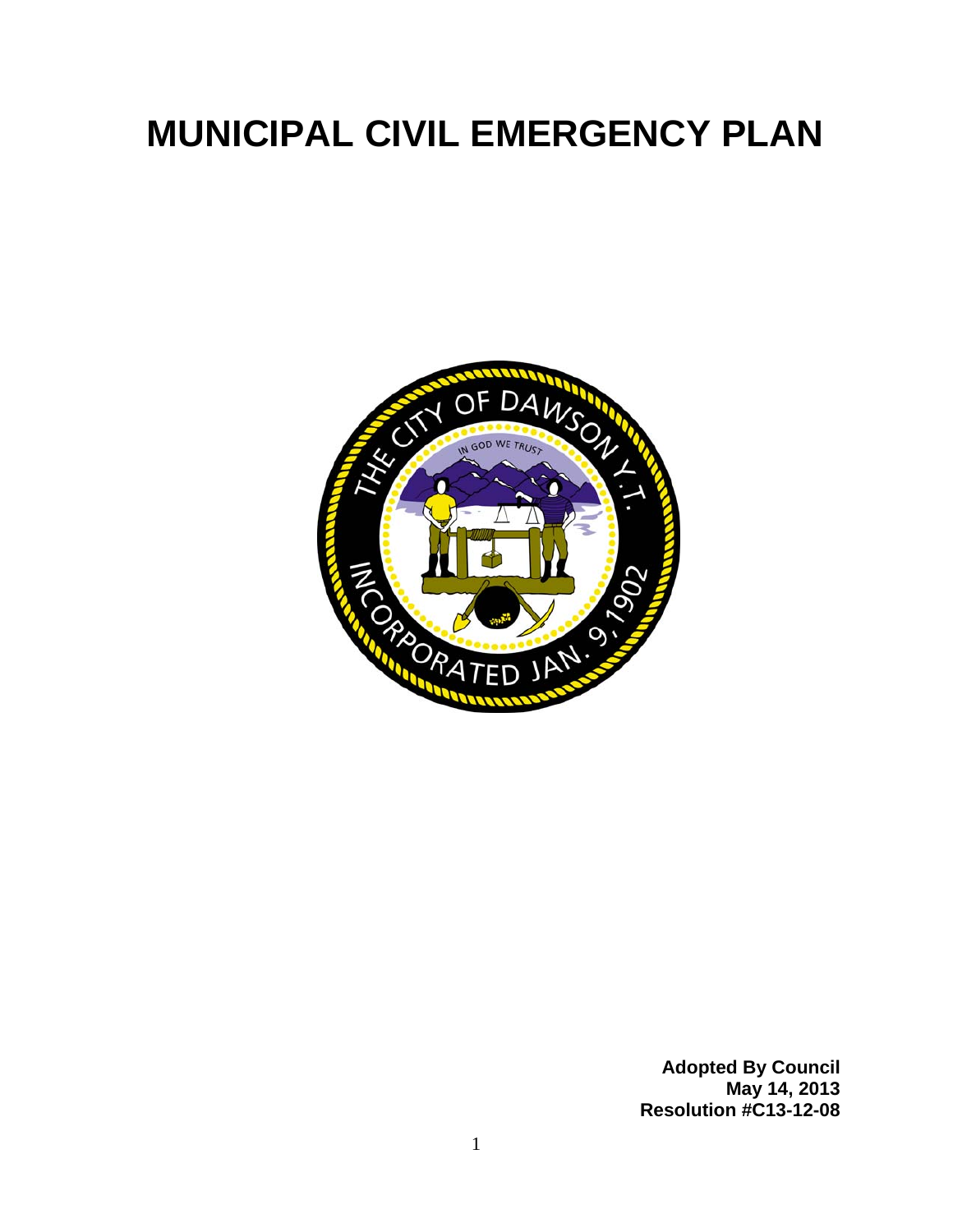# **MUNICIPAL CIVIL EMERGENCY PLAN**



**Adopted By Council May 14, 2013 Resolution #C13-12-08**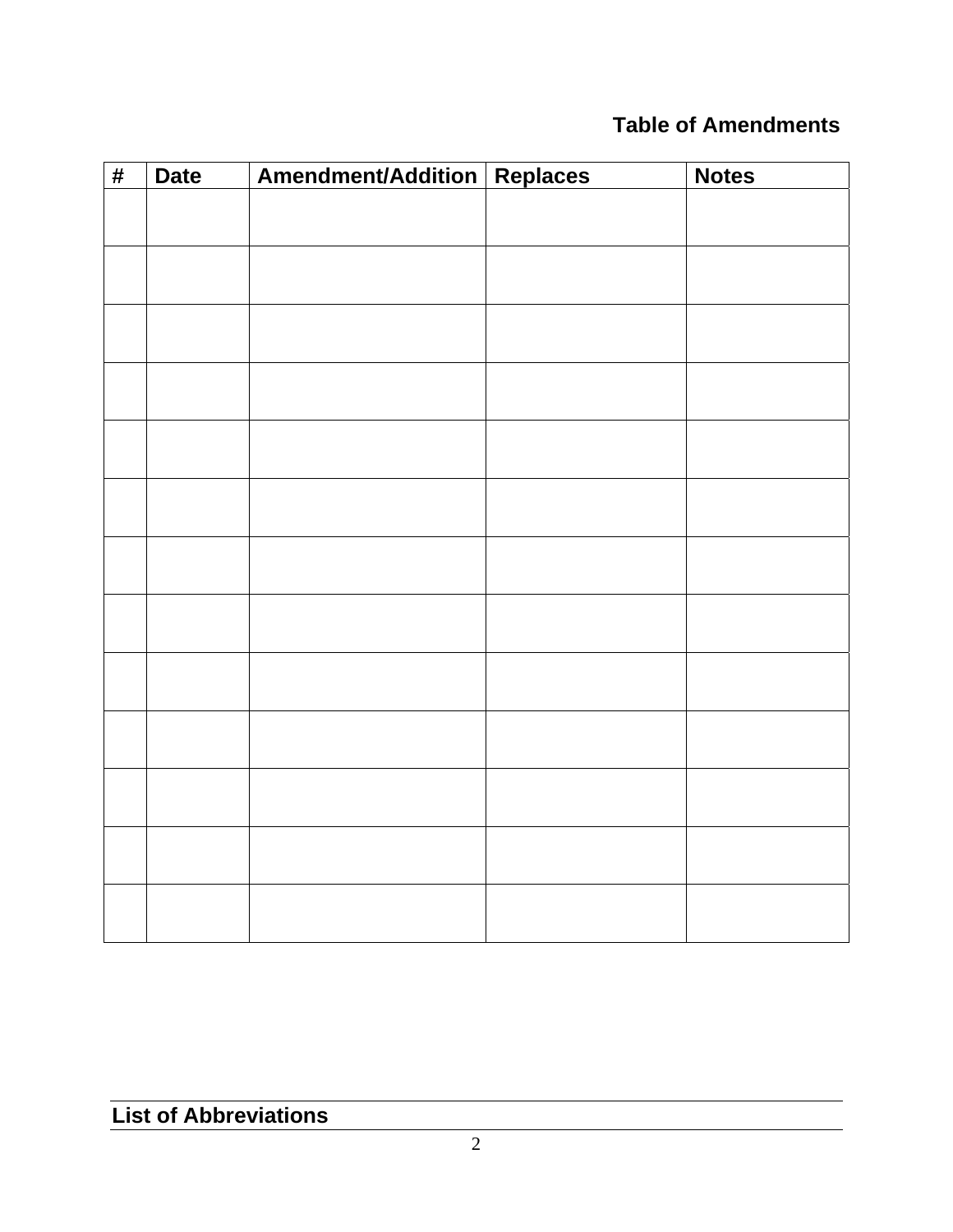## **Table of Amendments**

| $\overline{\#}$ | <b>Date</b> | Amendment/Addition Replaces | <b>Notes</b> |
|-----------------|-------------|-----------------------------|--------------|
|                 |             |                             |              |
|                 |             |                             |              |
|                 |             |                             |              |
|                 |             |                             |              |
|                 |             |                             |              |
|                 |             |                             |              |
|                 |             |                             |              |
|                 |             |                             |              |
|                 |             |                             |              |
|                 |             |                             |              |
|                 |             |                             |              |
|                 |             |                             |              |
|                 |             |                             |              |
|                 |             |                             |              |
|                 |             |                             |              |
|                 |             |                             |              |
|                 |             |                             |              |
|                 |             |                             |              |
|                 |             |                             |              |
|                 |             |                             |              |
|                 |             |                             |              |
|                 |             |                             |              |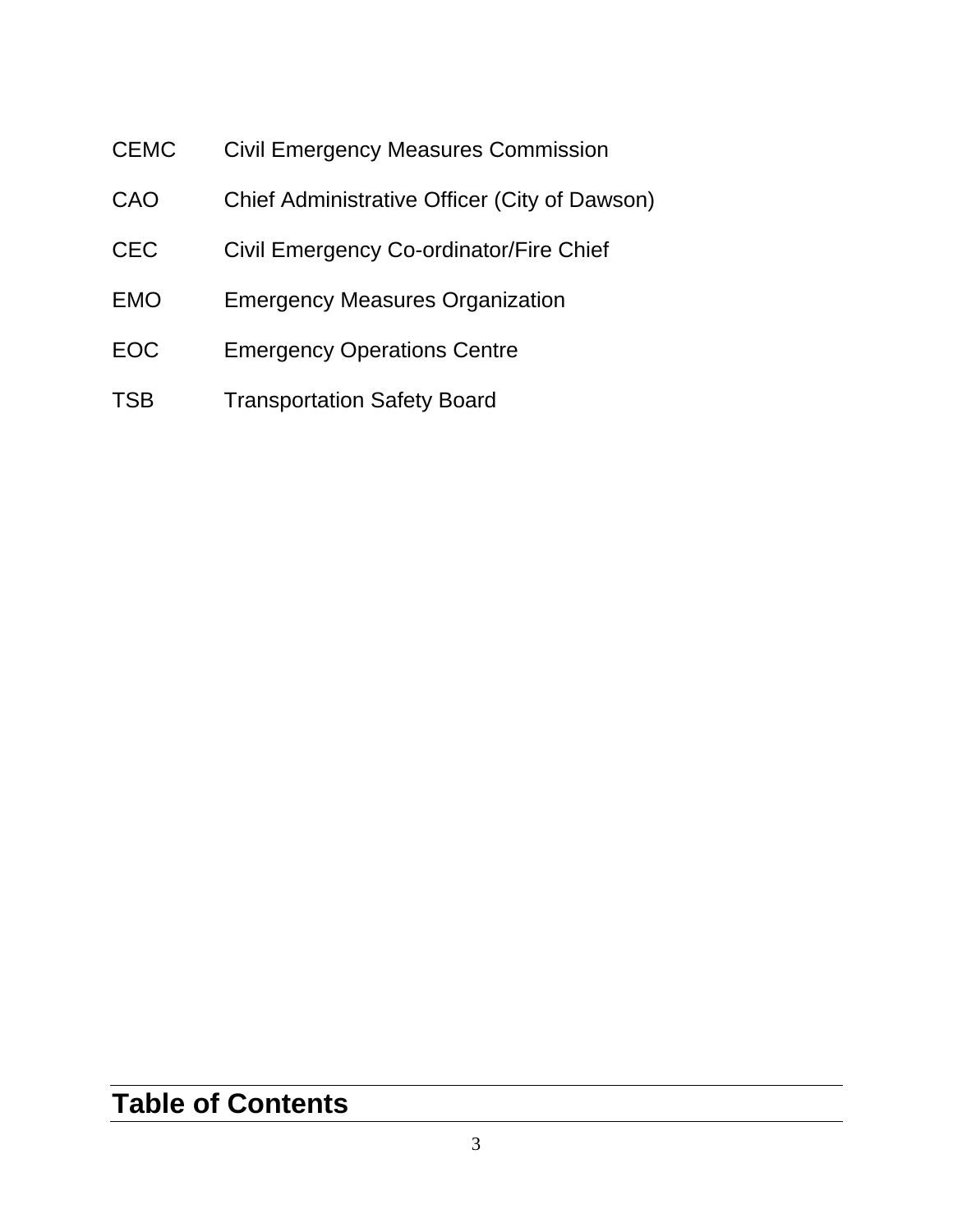- CEMC Civil Emergency Measures Commission
- CAO Chief Administrative Officer (City of Dawson)
- CEC Civil Emergency Co-ordinator/Fire Chief
- EMO Emergency Measures Organization
- EOC Emergency Operations Centre
- TSB Transportation Safety Board

# **Table of Contents**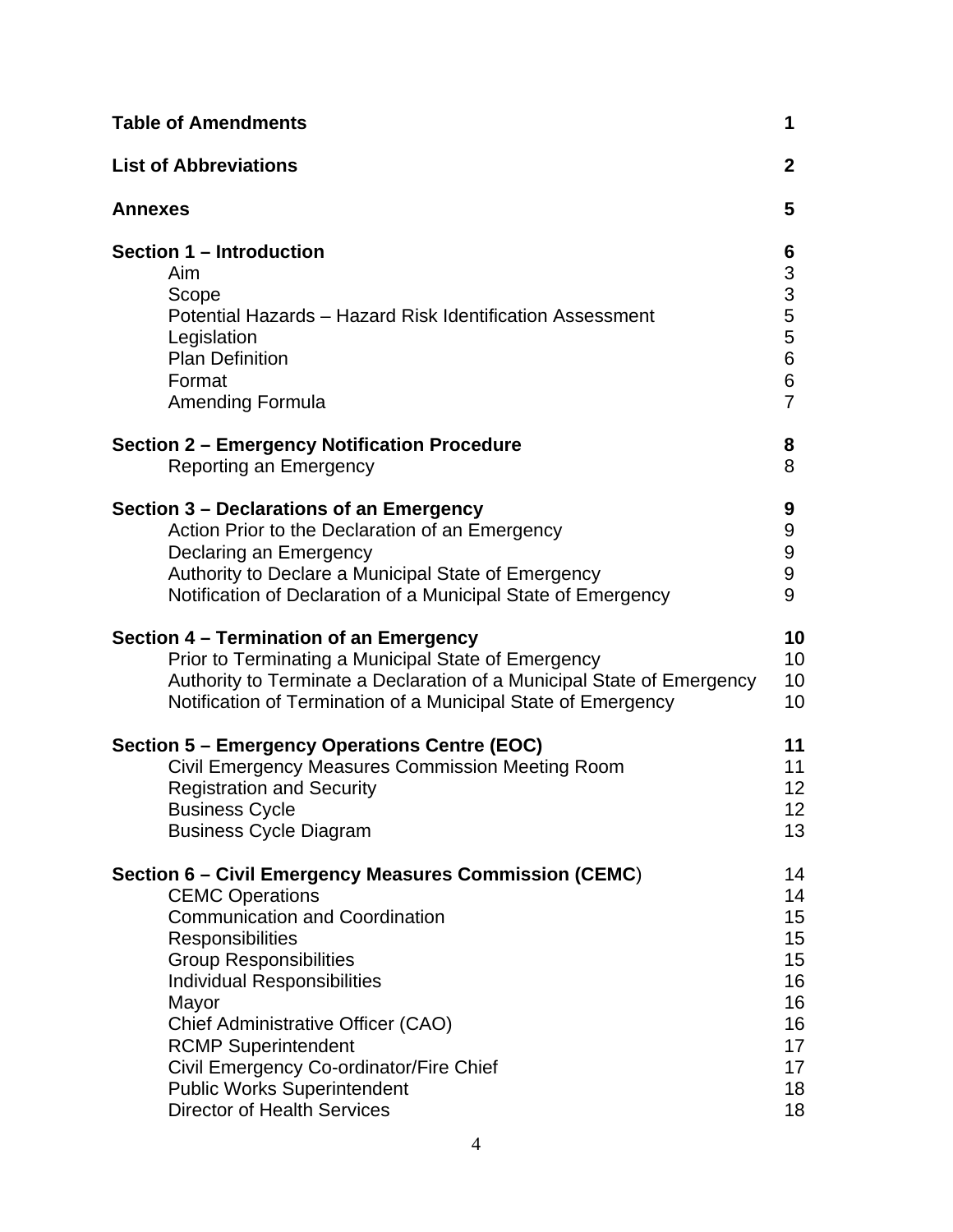| <b>Table of Amendments</b>                                                                                                                                                                 | 1                                                                                    |
|--------------------------------------------------------------------------------------------------------------------------------------------------------------------------------------------|--------------------------------------------------------------------------------------|
| <b>List of Abbreviations</b>                                                                                                                                                               | $\mathbf{2}$                                                                         |
| <b>Annexes</b>                                                                                                                                                                             | 5                                                                                    |
| Section 1 - Introduction<br><b>Aim</b><br>Scope<br>Potential Hazards - Hazard Risk Identification Assessment<br>Legislation<br><b>Plan Definition</b><br>Format<br><b>Amending Formula</b> | 6<br>$\begin{array}{c} 3 \\ 3 \\ 5 \end{array}$<br>5<br>$\,6$<br>6<br>$\overline{7}$ |
| Section 2 – Emergency Notification Procedure                                                                                                                                               | 8                                                                                    |
| Reporting an Emergency                                                                                                                                                                     | 8                                                                                    |
| Section 3 – Declarations of an Emergency                                                                                                                                                   | 9                                                                                    |
| Action Prior to the Declaration of an Emergency                                                                                                                                            | 9                                                                                    |
| Declaring an Emergency                                                                                                                                                                     | 9                                                                                    |
| Authority to Declare a Municipal State of Emergency                                                                                                                                        | $\boldsymbol{9}$                                                                     |
| Notification of Declaration of a Municipal State of Emergency                                                                                                                              | 9                                                                                    |
| Section 4 – Termination of an Emergency                                                                                                                                                    | 10                                                                                   |
| Prior to Terminating a Municipal State of Emergency                                                                                                                                        | 10                                                                                   |
| Authority to Terminate a Declaration of a Municipal State of Emergency                                                                                                                     | 10                                                                                   |
| Notification of Termination of a Municipal State of Emergency                                                                                                                              | 10                                                                                   |
| Section 5 - Emergency Operations Centre (EOC)                                                                                                                                              | 11                                                                                   |
| Civil Emergency Measures Commission Meeting Room                                                                                                                                           | 11                                                                                   |
| <b>Registration and Security</b>                                                                                                                                                           | 12                                                                                   |
| <b>Business Cycle</b>                                                                                                                                                                      | 12 <sub>2</sub>                                                                      |
| <b>Business Cycle Diagram</b>                                                                                                                                                              | 13                                                                                   |
| Section 6 – Civil Emergency Measures Commission (CEMC)                                                                                                                                     | 14                                                                                   |
| <b>CEMC Operations</b>                                                                                                                                                                     | 14                                                                                   |
| <b>Communication and Coordination</b>                                                                                                                                                      | 15                                                                                   |
| Responsibilities                                                                                                                                                                           | 15                                                                                   |
| <b>Group Responsibilities</b>                                                                                                                                                              | 15                                                                                   |
| <b>Individual Responsibilities</b>                                                                                                                                                         | 16                                                                                   |
| Mayor                                                                                                                                                                                      | 16                                                                                   |
| Chief Administrative Officer (CAO)                                                                                                                                                         | 16                                                                                   |
| <b>RCMP Superintendent</b>                                                                                                                                                                 | 17                                                                                   |
| Civil Emergency Co-ordinator/Fire Chief                                                                                                                                                    | 17                                                                                   |
| <b>Public Works Superintendent</b>                                                                                                                                                         | 18                                                                                   |
| <b>Director of Health Services</b>                                                                                                                                                         | 18                                                                                   |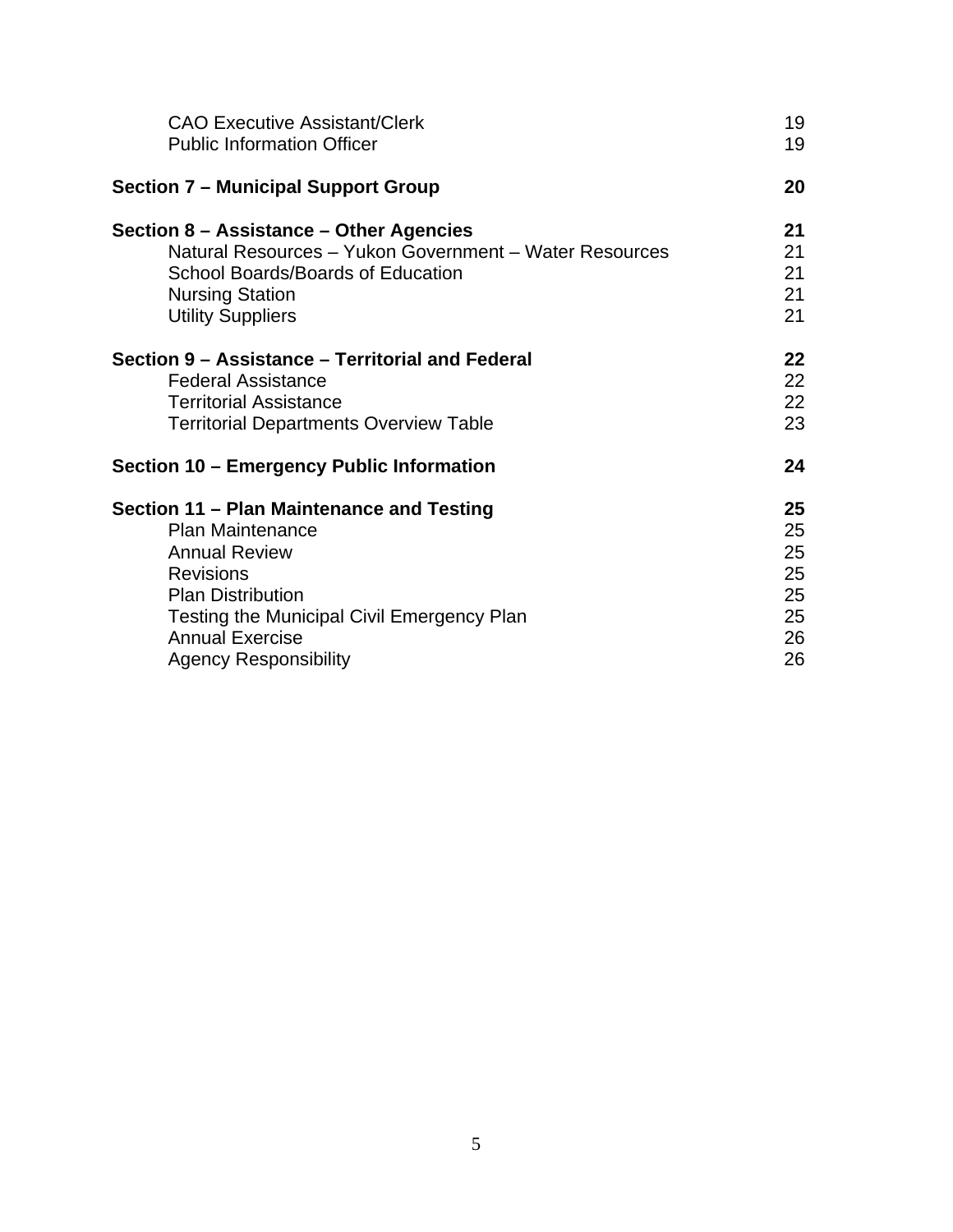| <b>CAO Executive Assistant/Clerk</b>                   | 19 |
|--------------------------------------------------------|----|
| <b>Public Information Officer</b>                      | 19 |
| <b>Section 7 – Municipal Support Group</b>             | 20 |
| Section 8 – Assistance – Other Agencies                | 21 |
| Natural Resources - Yukon Government - Water Resources | 21 |
| School Boards/Boards of Education                      | 21 |
| <b>Nursing Station</b>                                 | 21 |
| <b>Utility Suppliers</b>                               | 21 |
| Section 9 - Assistance - Territorial and Federal       | 22 |
| <b>Federal Assistance</b>                              | 22 |
| <b>Territorial Assistance</b>                          | 22 |
| <b>Territorial Departments Overview Table</b>          | 23 |
| Section 10 – Emergency Public Information              | 24 |
| Section 11 - Plan Maintenance and Testing              | 25 |
| <b>Plan Maintenance</b>                                | 25 |
| <b>Annual Review</b>                                   | 25 |
| <b>Revisions</b>                                       | 25 |
| <b>Plan Distribution</b>                               | 25 |
| <b>Testing the Municipal Civil Emergency Plan</b>      | 25 |
| <b>Annual Exercise</b>                                 | 26 |
| <b>Agency Responsibility</b>                           | 26 |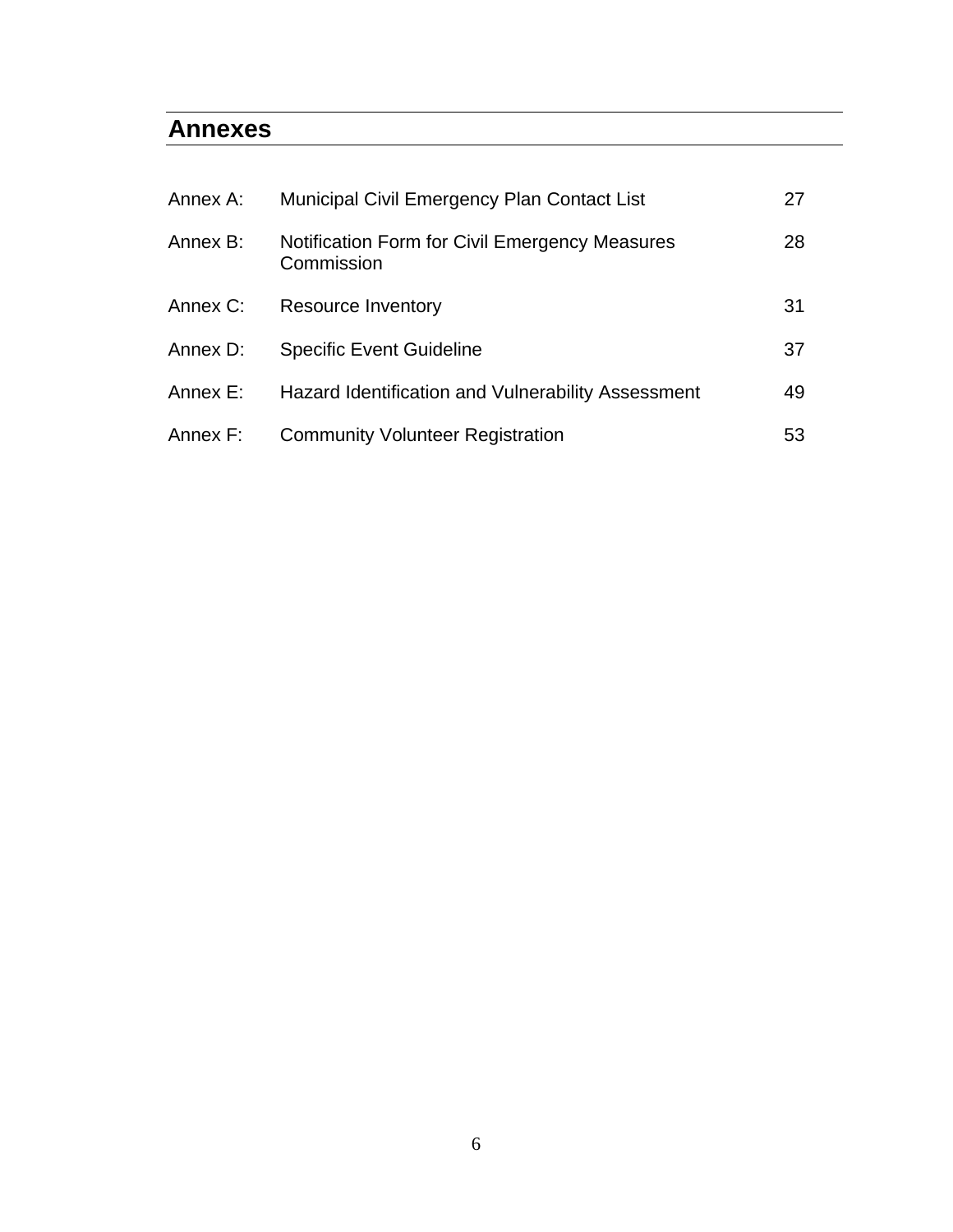### **Annexes**

| Annex A: | <b>Municipal Civil Emergency Plan Contact List</b>                  | 27 |
|----------|---------------------------------------------------------------------|----|
| Annex B: | <b>Notification Form for Civil Emergency Measures</b><br>Commission | 28 |
| Annex C: | <b>Resource Inventory</b>                                           | 31 |
| Annex D: | <b>Specific Event Guideline</b>                                     | 37 |
| Annex E: | Hazard Identification and Vulnerability Assessment                  | 49 |
| Annex F: | <b>Community Volunteer Registration</b>                             | 53 |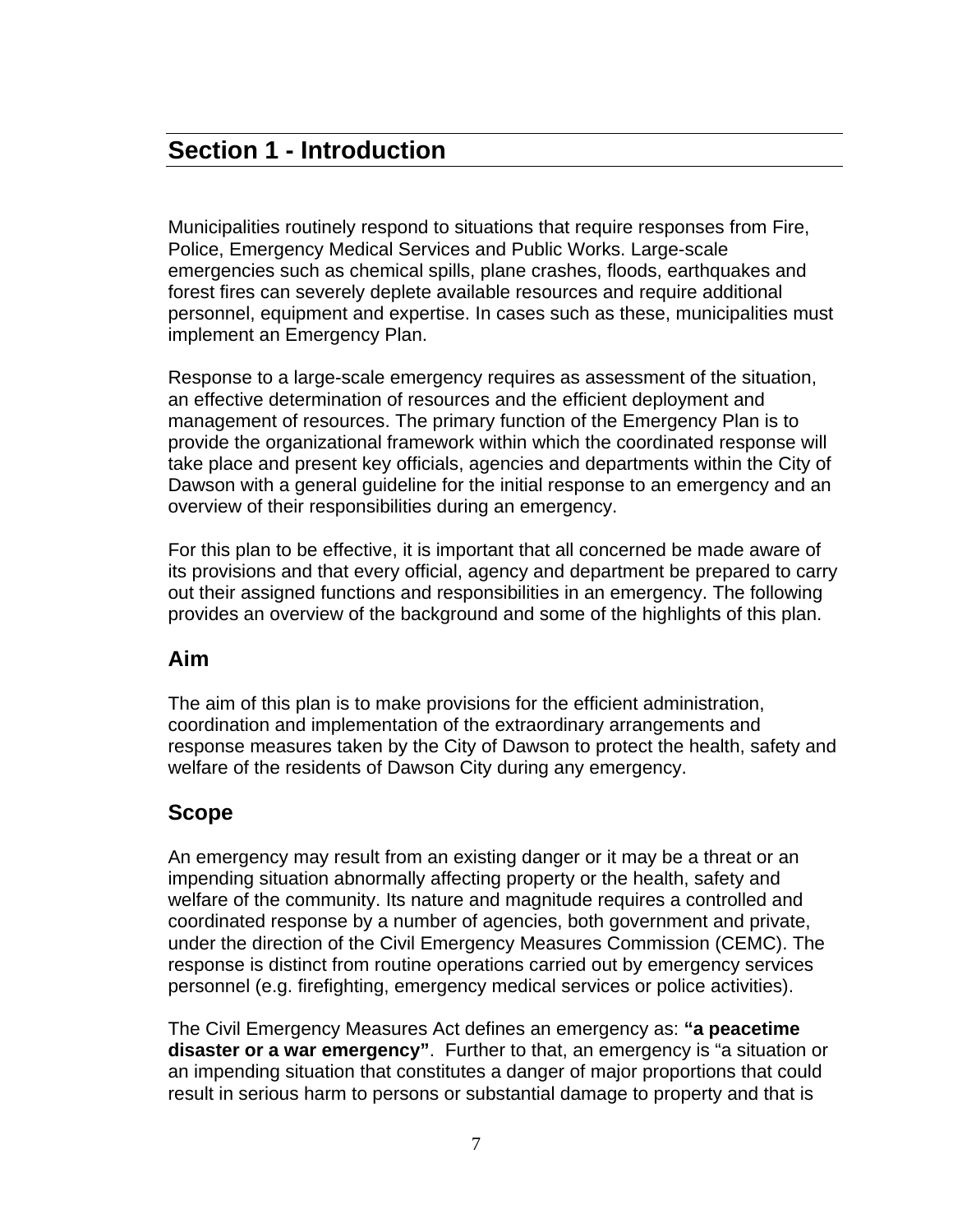# **Section 1 - Introduction**

Municipalities routinely respond to situations that require responses from Fire, Police, Emergency Medical Services and Public Works. Large-scale emergencies such as chemical spills, plane crashes, floods, earthquakes and forest fires can severely deplete available resources and require additional personnel, equipment and expertise. In cases such as these, municipalities must implement an Emergency Plan.

Response to a large-scale emergency requires as assessment of the situation, an effective determination of resources and the efficient deployment and management of resources. The primary function of the Emergency Plan is to provide the organizational framework within which the coordinated response will take place and present key officials, agencies and departments within the City of Dawson with a general guideline for the initial response to an emergency and an overview of their responsibilities during an emergency.

For this plan to be effective, it is important that all concerned be made aware of its provisions and that every official, agency and department be prepared to carry out their assigned functions and responsibilities in an emergency. The following provides an overview of the background and some of the highlights of this plan.

#### **Aim**

The aim of this plan is to make provisions for the efficient administration, coordination and implementation of the extraordinary arrangements and response measures taken by the City of Dawson to protect the health, safety and welfare of the residents of Dawson City during any emergency.

#### **Scope**

An emergency may result from an existing danger or it may be a threat or an impending situation abnormally affecting property or the health, safety and welfare of the community. Its nature and magnitude requires a controlled and coordinated response by a number of agencies, both government and private, under the direction of the Civil Emergency Measures Commission (CEMC). The response is distinct from routine operations carried out by emergency services personnel (e.g. firefighting, emergency medical services or police activities).

The Civil Emergency Measures Act defines an emergency as: **"a peacetime disaster or a war emergency"**. Further to that, an emergency is "a situation or an impending situation that constitutes a danger of major proportions that could result in serious harm to persons or substantial damage to property and that is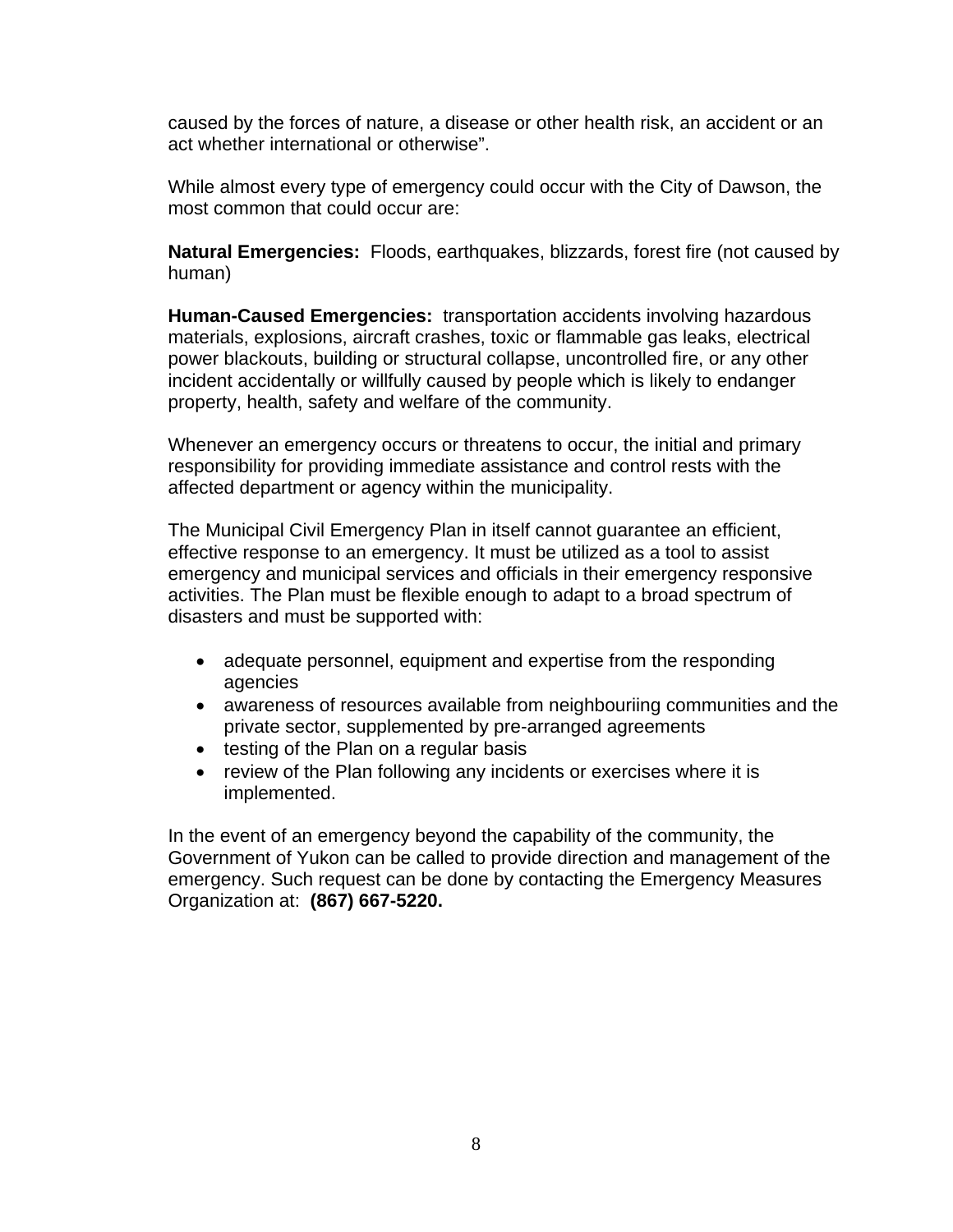caused by the forces of nature, a disease or other health risk, an accident or an act whether international or otherwise".

While almost every type of emergency could occur with the City of Dawson, the most common that could occur are:

**Natural Emergencies:** Floods, earthquakes, blizzards, forest fire (not caused by human)

**Human-Caused Emergencies:** transportation accidents involving hazardous materials, explosions, aircraft crashes, toxic or flammable gas leaks, electrical power blackouts, building or structural collapse, uncontrolled fire, or any other incident accidentally or willfully caused by people which is likely to endanger property, health, safety and welfare of the community.

Whenever an emergency occurs or threatens to occur, the initial and primary responsibility for providing immediate assistance and control rests with the affected department or agency within the municipality.

The Municipal Civil Emergency Plan in itself cannot guarantee an efficient, effective response to an emergency. It must be utilized as a tool to assist emergency and municipal services and officials in their emergency responsive activities. The Plan must be flexible enough to adapt to a broad spectrum of disasters and must be supported with:

- adequate personnel, equipment and expertise from the responding agencies
- awareness of resources available from neighbouriing communities and the private sector, supplemented by pre-arranged agreements
- testing of the Plan on a regular basis
- review of the Plan following any incidents or exercises where it is implemented.

In the event of an emergency beyond the capability of the community, the Government of Yukon can be called to provide direction and management of the emergency. Such request can be done by contacting the Emergency Measures Organization at: **(867) 667-5220.**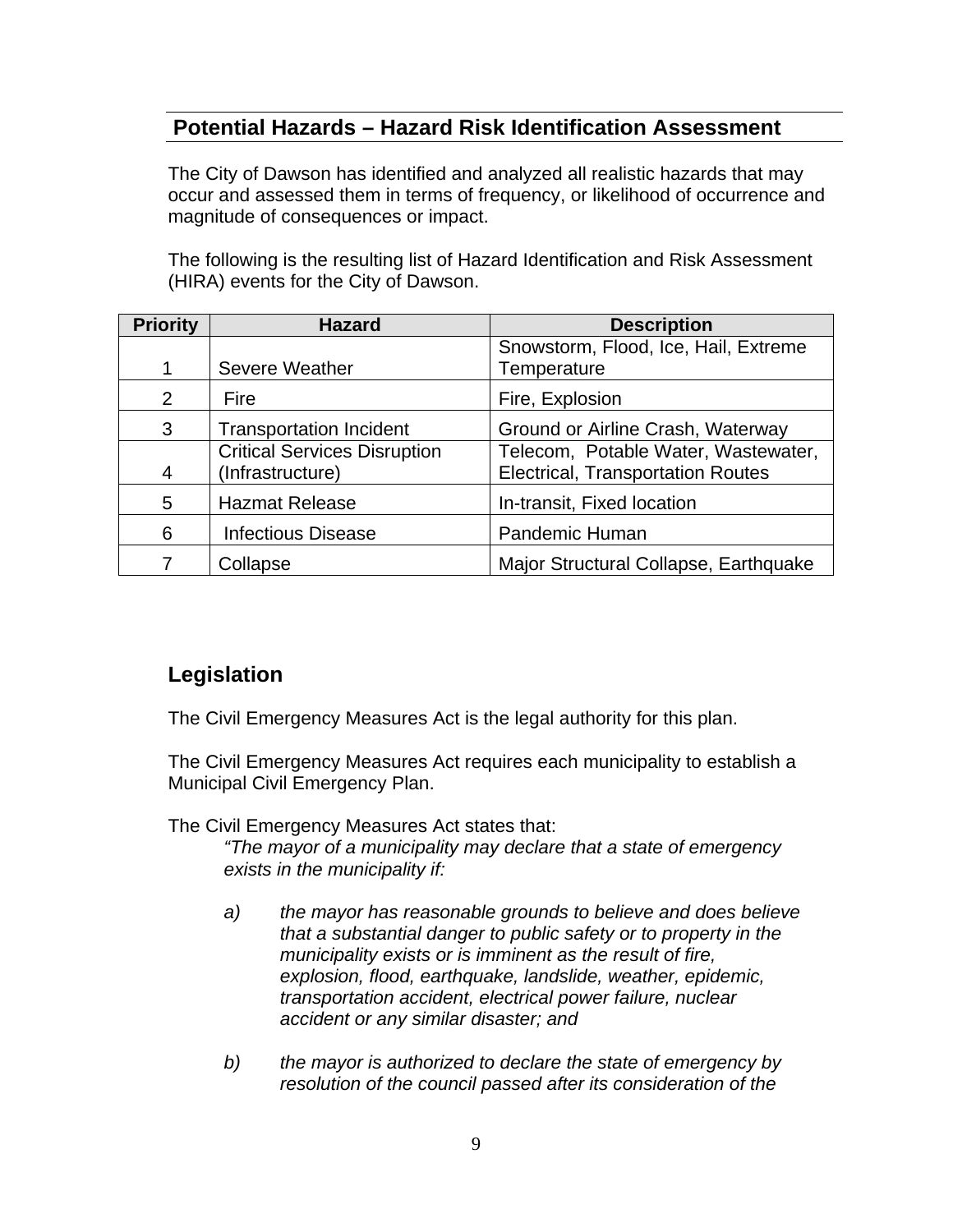#### **Potential Hazards – Hazard Risk Identification Assessment**

 The City of Dawson has identified and analyzed all realistic hazards that may occur and assessed them in terms of frequency, or likelihood of occurrence and magnitude of consequences or impact.

 The following is the resulting list of Hazard Identification and Risk Assessment (HIRA) events for the City of Dawson.

| <b>Priority</b> | <b>Hazard</b>                       | <b>Description</b>                       |
|-----------------|-------------------------------------|------------------------------------------|
|                 |                                     | Snowstorm, Flood, Ice, Hail, Extreme     |
| 1               | <b>Severe Weather</b>               | Temperature                              |
| 2               | Fire                                | Fire, Explosion                          |
| 3               | <b>Transportation Incident</b>      | Ground or Airline Crash, Waterway        |
|                 | <b>Critical Services Disruption</b> | Telecom, Potable Water, Wastewater,      |
| $\overline{4}$  | (Infrastructure)                    | <b>Electrical, Transportation Routes</b> |
| 5               | <b>Hazmat Release</b>               | In-transit, Fixed location               |
| 6               | <b>Infectious Disease</b>           | Pandemic Human                           |
|                 | Collapse                            | Major Structural Collapse, Earthquake    |

#### **Legislation**

The Civil Emergency Measures Act is the legal authority for this plan.

The Civil Emergency Measures Act requires each municipality to establish a Municipal Civil Emergency Plan.

The Civil Emergency Measures Act states that:

*"The mayor of a municipality may declare that a state of emergency exists in the municipality if:* 

- *a) the mayor has reasonable grounds to believe and does believe that a substantial danger to public safety or to property in the municipality exists or is imminent as the result of fire, explosion, flood, earthquake, landslide, weather, epidemic, transportation accident, electrical power failure, nuclear accident or any similar disaster; and*
- *b) the mayor is authorized to declare the state of emergency by resolution of the council passed after its consideration of the*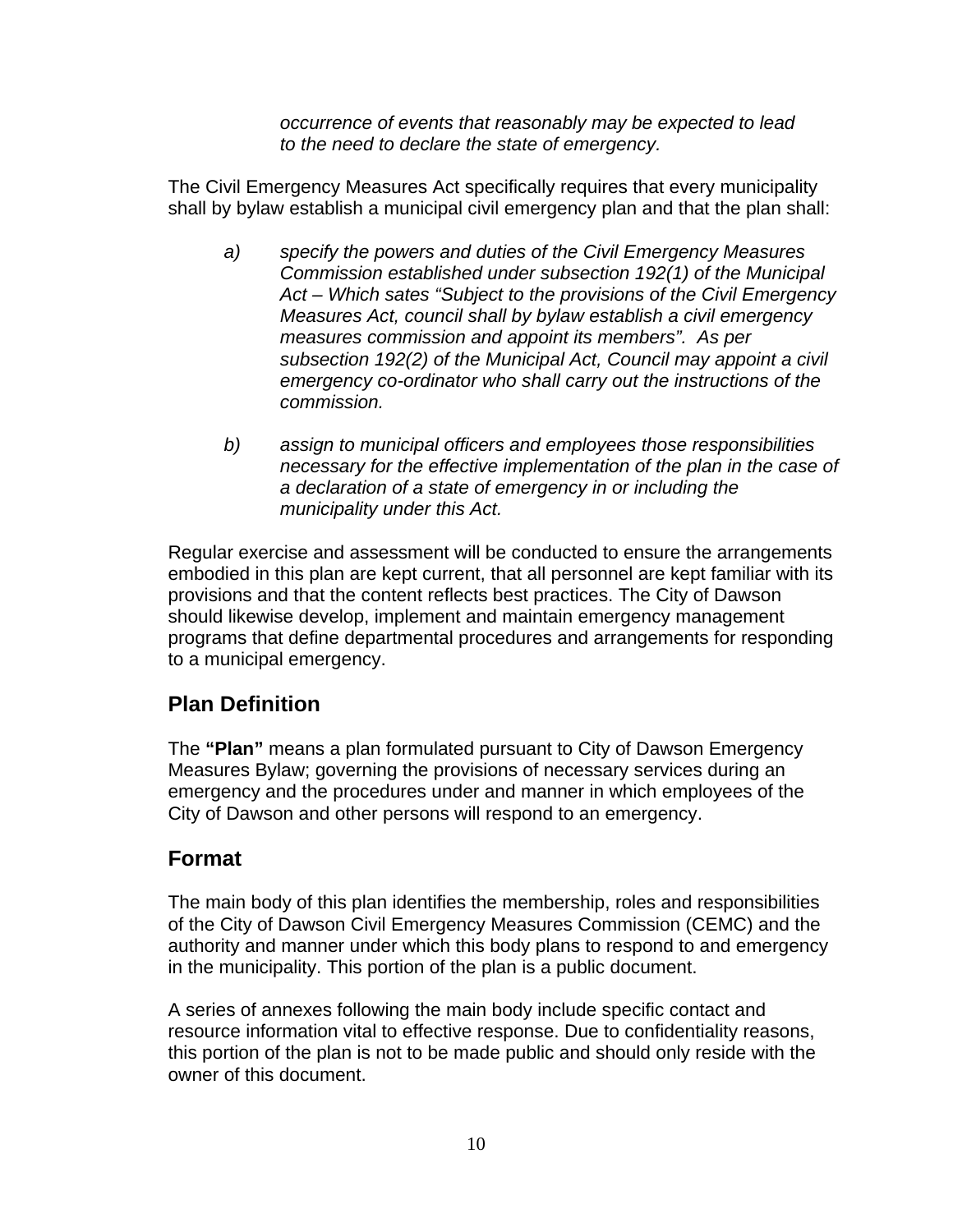*occurrence of events that reasonably may be expected to lead to the need to declare the state of emergency.* 

The Civil Emergency Measures Act specifically requires that every municipality shall by bylaw establish a municipal civil emergency plan and that the plan shall:

- *a) specify the powers and duties of the Civil Emergency Measures Commission established under subsection 192(1) of the Municipal Act – Which sates "Subject to the provisions of the Civil Emergency Measures Act, council shall by bylaw establish a civil emergency measures commission and appoint its members". As per subsection 192(2) of the Municipal Act, Council may appoint a civil emergency co-ordinator who shall carry out the instructions of the commission.*
- *b) assign to municipal officers and employees those responsibilities necessary for the effective implementation of the plan in the case of a declaration of a state of emergency in or including the municipality under this Act.*

Regular exercise and assessment will be conducted to ensure the arrangements embodied in this plan are kept current, that all personnel are kept familiar with its provisions and that the content reflects best practices. The City of Dawson should likewise develop, implement and maintain emergency management programs that define departmental procedures and arrangements for responding to a municipal emergency.

#### **Plan Definition**

The **"Plan"** means a plan formulated pursuant to City of Dawson Emergency Measures Bylaw; governing the provisions of necessary services during an emergency and the procedures under and manner in which employees of the City of Dawson and other persons will respond to an emergency.

#### **Format**

The main body of this plan identifies the membership, roles and responsibilities of the City of Dawson Civil Emergency Measures Commission (CEMC) and the authority and manner under which this body plans to respond to and emergency in the municipality. This portion of the plan is a public document.

A series of annexes following the main body include specific contact and resource information vital to effective response. Due to confidentiality reasons, this portion of the plan is not to be made public and should only reside with the owner of this document.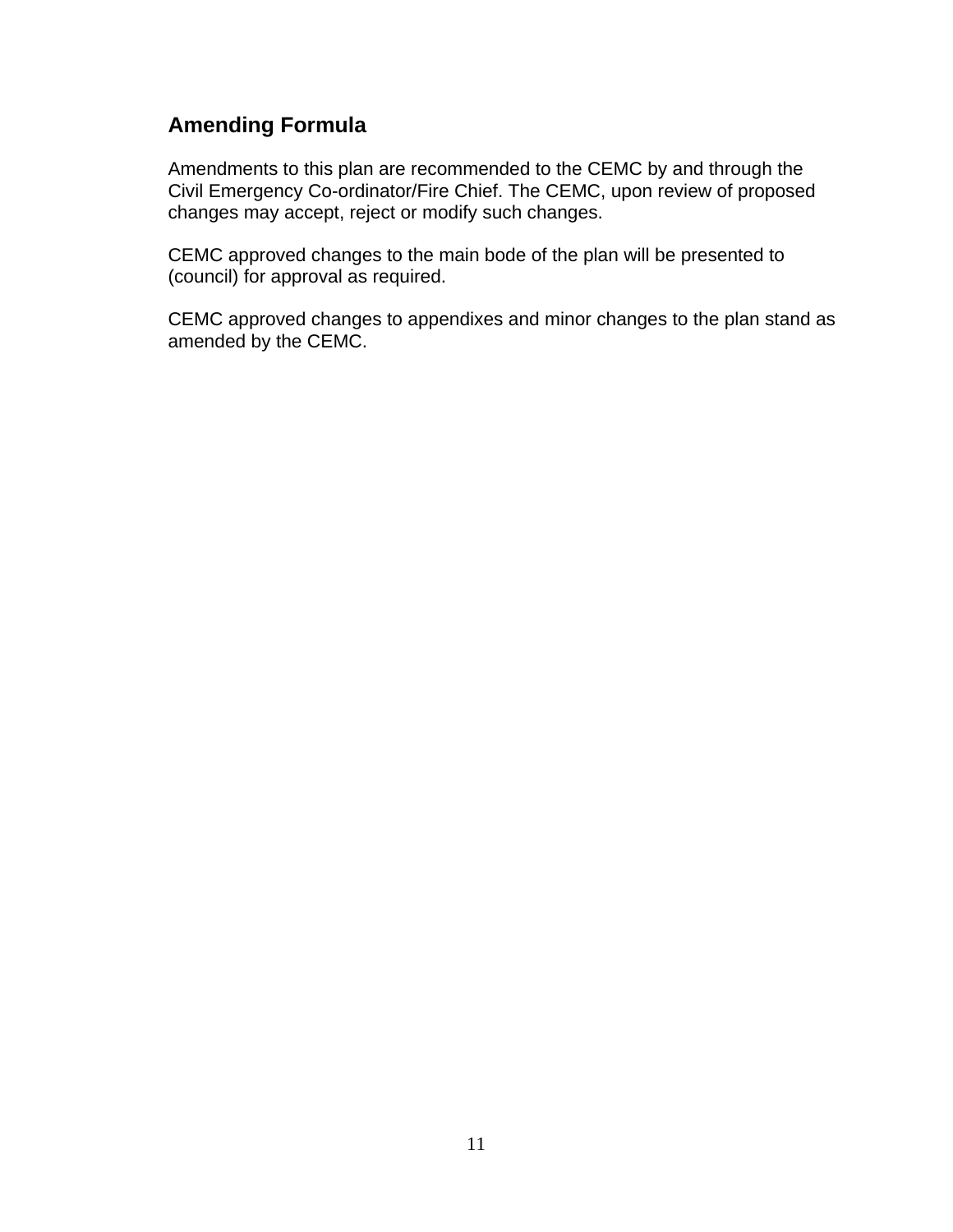#### **Amending Formula**

Amendments to this plan are recommended to the CEMC by and through the Civil Emergency Co-ordinator/Fire Chief. The CEMC, upon review of proposed changes may accept, reject or modify such changes.

CEMC approved changes to the main bode of the plan will be presented to (council) for approval as required.

CEMC approved changes to appendixes and minor changes to the plan stand as amended by the CEMC.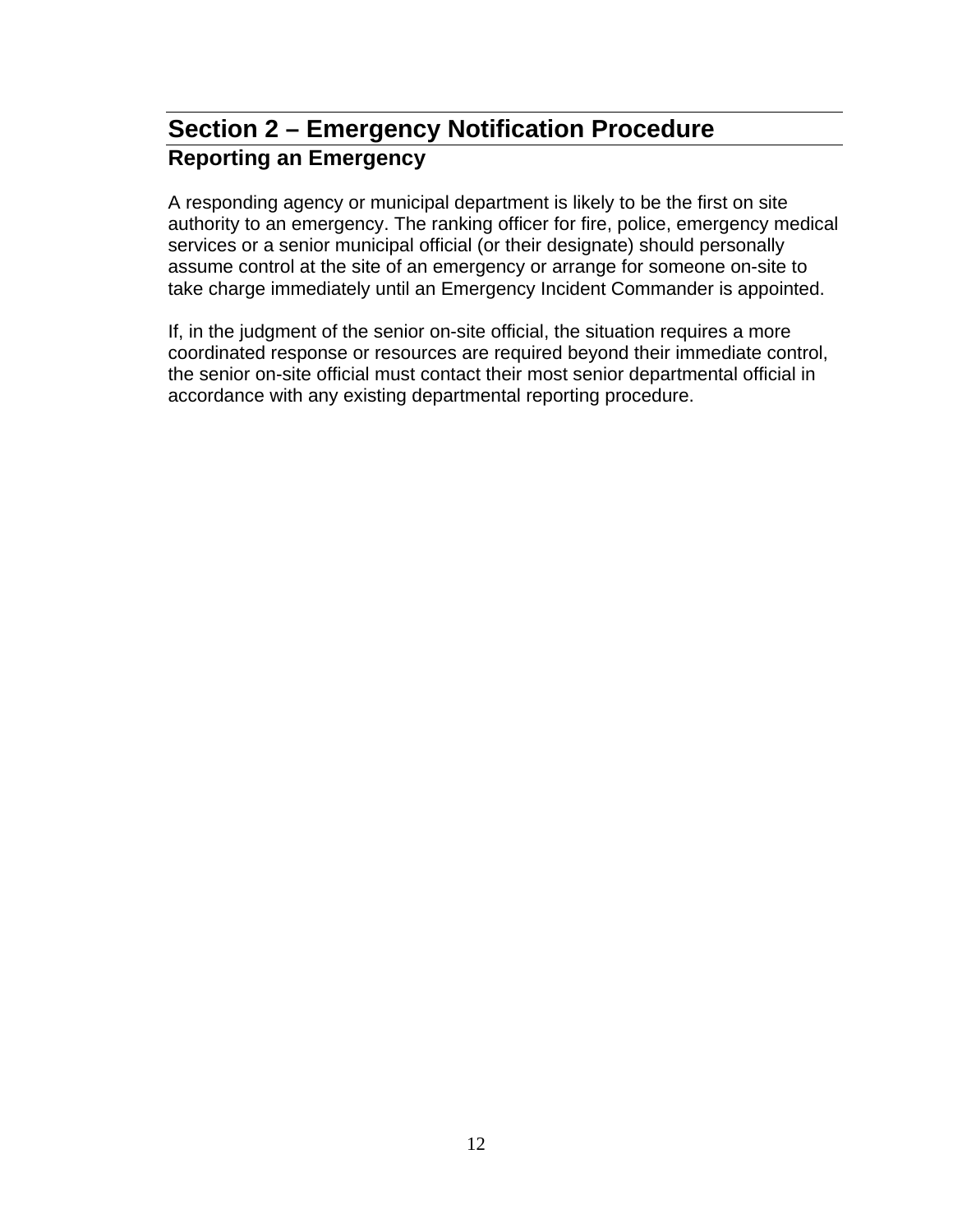# **Section 2 – Emergency Notification Procedure Reporting an Emergency**

A responding agency or municipal department is likely to be the first on site authority to an emergency. The ranking officer for fire, police, emergency medical services or a senior municipal official (or their designate) should personally assume control at the site of an emergency or arrange for someone on-site to take charge immediately until an Emergency Incident Commander is appointed.

If, in the judgment of the senior on-site official, the situation requires a more coordinated response or resources are required beyond their immediate control, the senior on-site official must contact their most senior departmental official in accordance with any existing departmental reporting procedure.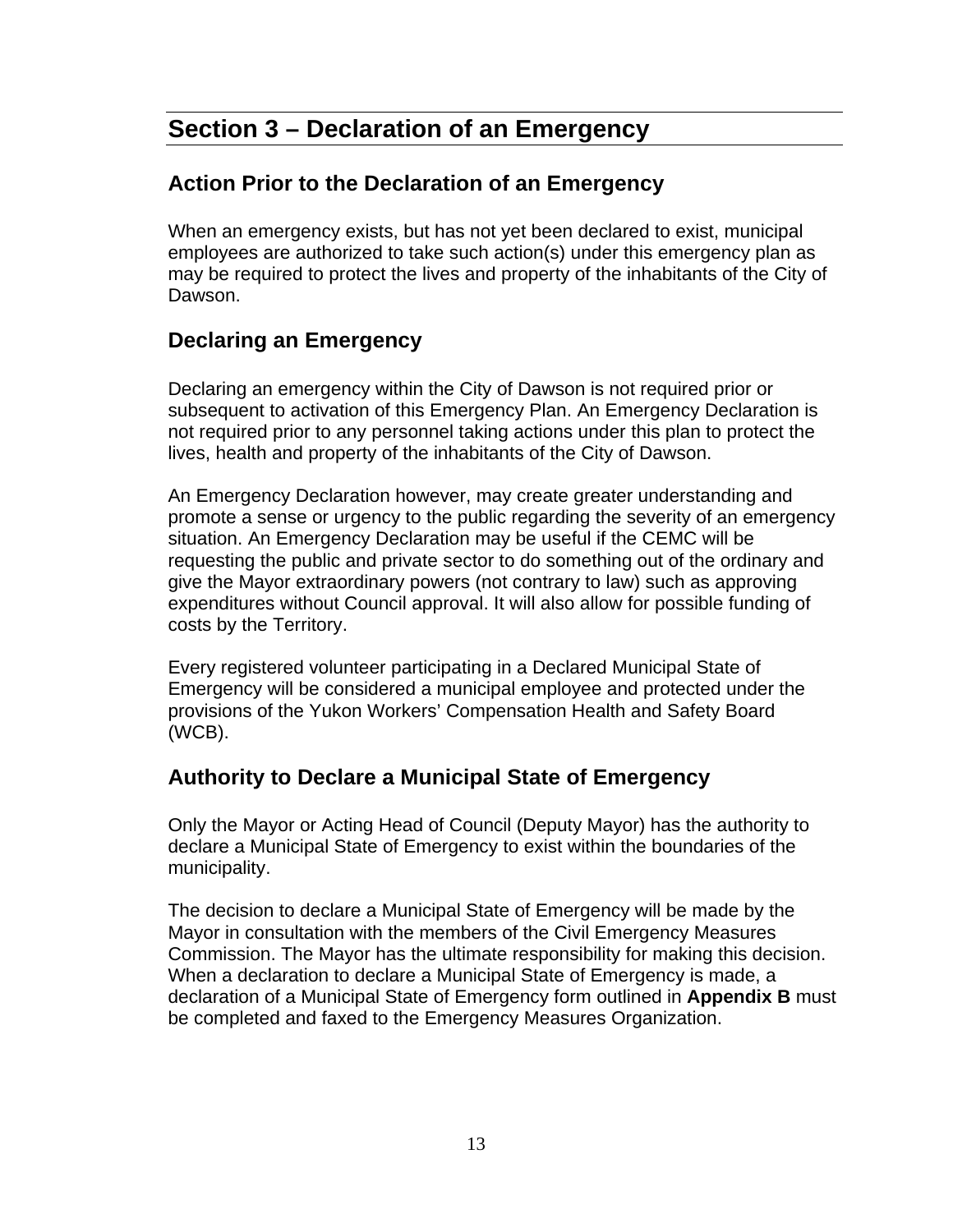# **Section 3 – Declaration of an Emergency**

#### **Action Prior to the Declaration of an Emergency**

When an emergency exists, but has not yet been declared to exist, municipal employees are authorized to take such action(s) under this emergency plan as may be required to protect the lives and property of the inhabitants of the City of Dawson.

#### **Declaring an Emergency**

Declaring an emergency within the City of Dawson is not required prior or subsequent to activation of this Emergency Plan. An Emergency Declaration is not required prior to any personnel taking actions under this plan to protect the lives, health and property of the inhabitants of the City of Dawson.

An Emergency Declaration however, may create greater understanding and promote a sense or urgency to the public regarding the severity of an emergency situation. An Emergency Declaration may be useful if the CEMC will be requesting the public and private sector to do something out of the ordinary and give the Mayor extraordinary powers (not contrary to law) such as approving expenditures without Council approval. It will also allow for possible funding of costs by the Territory.

Every registered volunteer participating in a Declared Municipal State of Emergency will be considered a municipal employee and protected under the provisions of the Yukon Workers' Compensation Health and Safety Board (WCB).

#### **Authority to Declare a Municipal State of Emergency**

Only the Mayor or Acting Head of Council (Deputy Mayor) has the authority to declare a Municipal State of Emergency to exist within the boundaries of the municipality.

The decision to declare a Municipal State of Emergency will be made by the Mayor in consultation with the members of the Civil Emergency Measures Commission. The Mayor has the ultimate responsibility for making this decision. When a declaration to declare a Municipal State of Emergency is made, a declaration of a Municipal State of Emergency form outlined in **Appendix B** must be completed and faxed to the Emergency Measures Organization.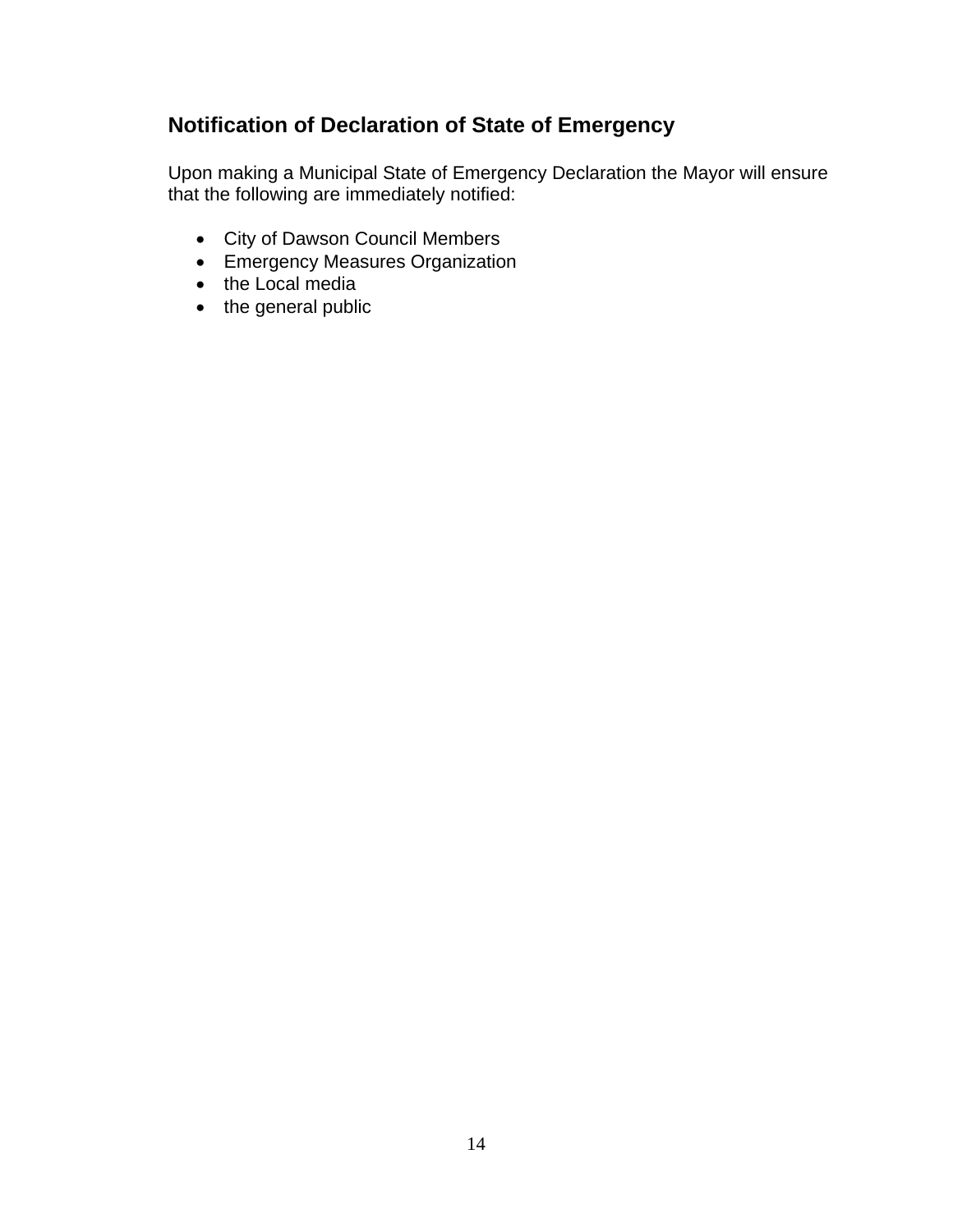### **Notification of Declaration of State of Emergency**

Upon making a Municipal State of Emergency Declaration the Mayor will ensure that the following are immediately notified:

- City of Dawson Council Members
- Emergency Measures Organization
- the Local media
- the general public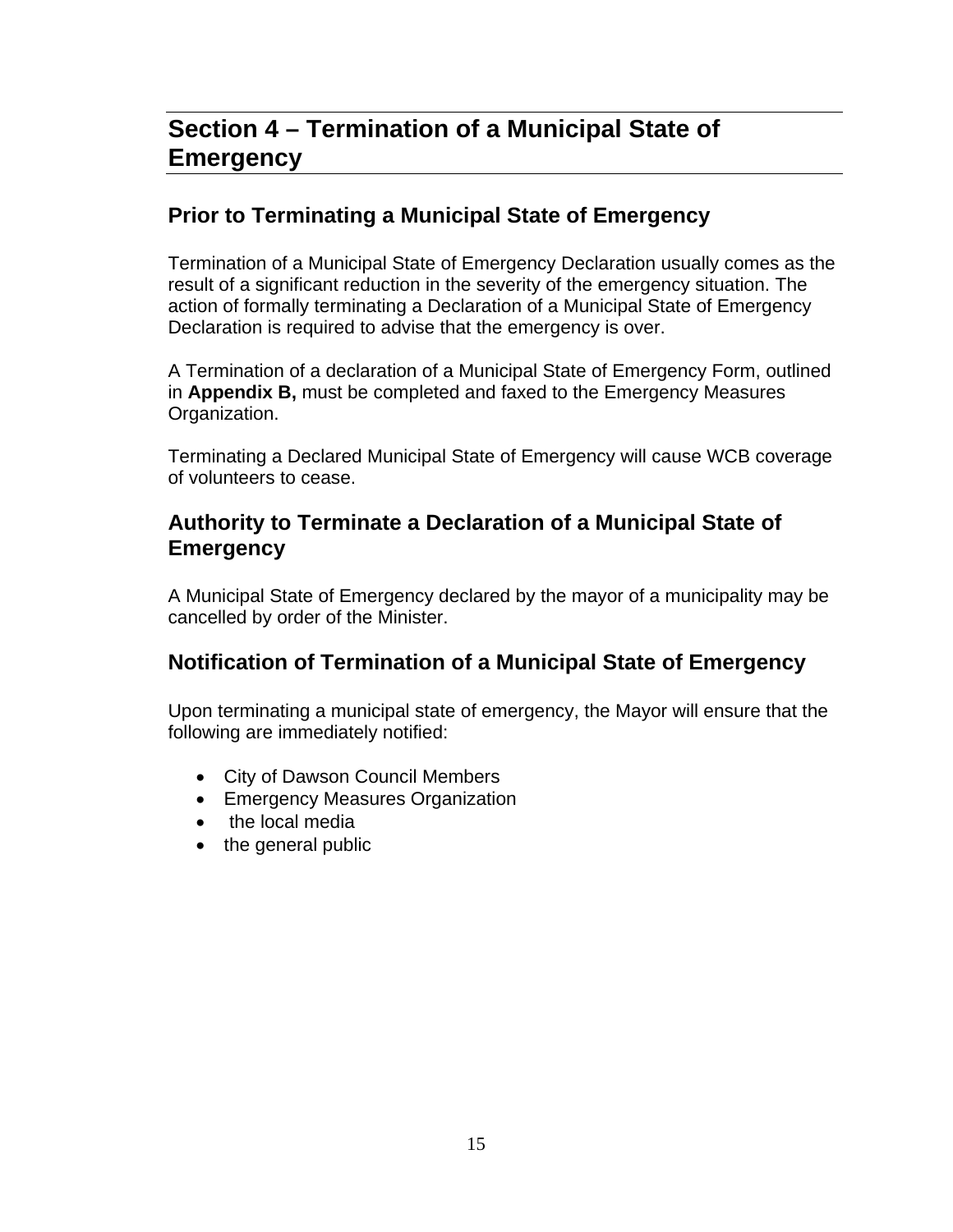# **Section 4 – Termination of a Municipal State of Emergency**

#### **Prior to Terminating a Municipal State of Emergency**

Termination of a Municipal State of Emergency Declaration usually comes as the result of a significant reduction in the severity of the emergency situation. The action of formally terminating a Declaration of a Municipal State of Emergency Declaration is required to advise that the emergency is over.

A Termination of a declaration of a Municipal State of Emergency Form, outlined in **Appendix B,** must be completed and faxed to the Emergency Measures Organization.

Terminating a Declared Municipal State of Emergency will cause WCB coverage of volunteers to cease.

#### **Authority to Terminate a Declaration of a Municipal State of Emergency**

A Municipal State of Emergency declared by the mayor of a municipality may be cancelled by order of the Minister.

#### **Notification of Termination of a Municipal State of Emergency**

Upon terminating a municipal state of emergency, the Mayor will ensure that the following are immediately notified:

- City of Dawson Council Members
- **Emergency Measures Organization**
- the local media
- the general public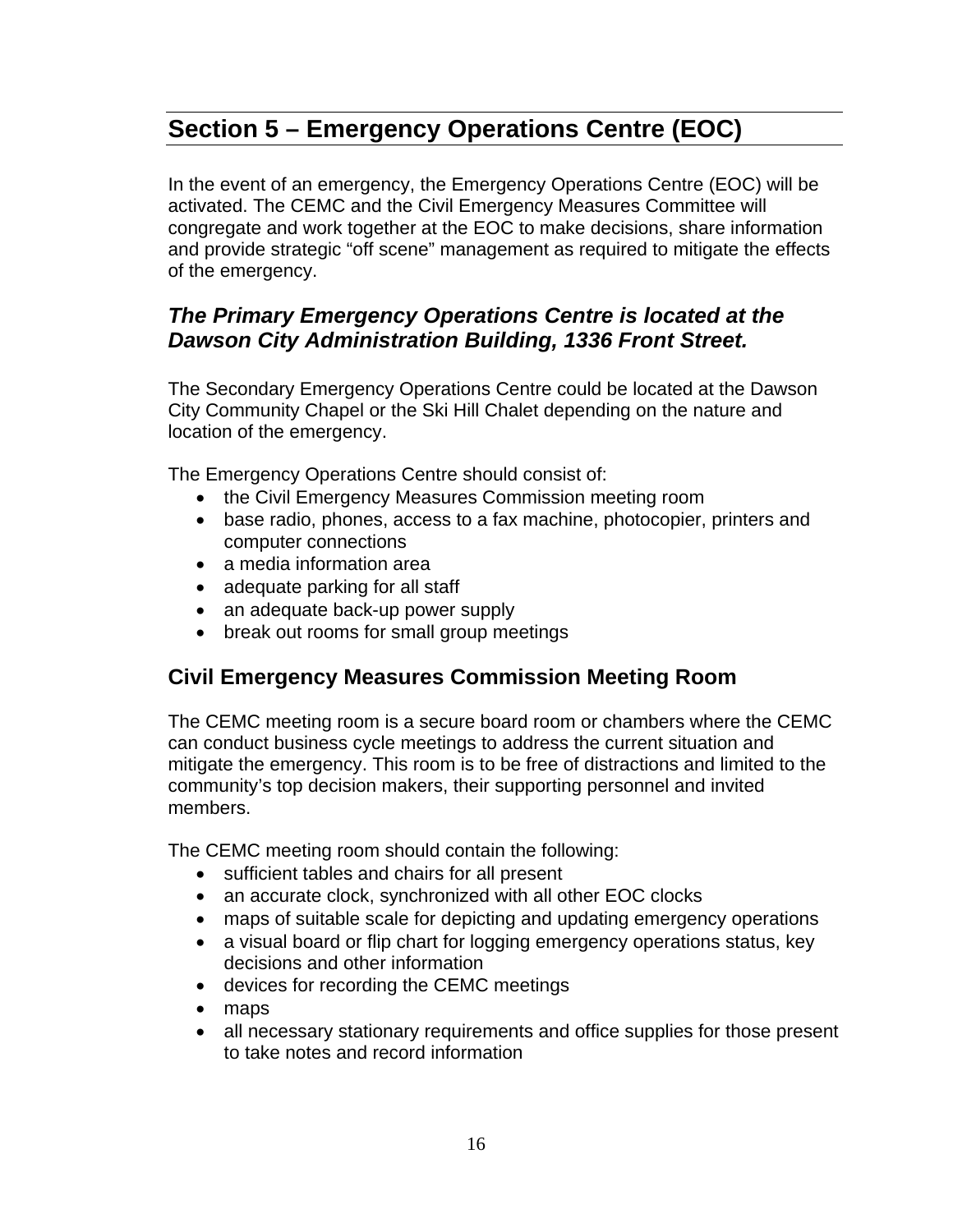# **Section 5 – Emergency Operations Centre (EOC)**

In the event of an emergency, the Emergency Operations Centre (EOC) will be activated. The CEMC and the Civil Emergency Measures Committee will congregate and work together at the EOC to make decisions, share information and provide strategic "off scene" management as required to mitigate the effects of the emergency.

#### *The Primary Emergency Operations Centre is located at the Dawson City Administration Building, 1336 Front Street.*

The Secondary Emergency Operations Centre could be located at the Dawson City Community Chapel or the Ski Hill Chalet depending on the nature and location of the emergency.

The Emergency Operations Centre should consist of:

- the Civil Emergency Measures Commission meeting room
- base radio, phones, access to a fax machine, photocopier, printers and computer connections
- a media information area
- adequate parking for all staff
- an adequate back-up power supply
- break out rooms for small group meetings

#### **Civil Emergency Measures Commission Meeting Room**

The CEMC meeting room is a secure board room or chambers where the CEMC can conduct business cycle meetings to address the current situation and mitigate the emergency. This room is to be free of distractions and limited to the community's top decision makers, their supporting personnel and invited members.

The CEMC meeting room should contain the following:

- sufficient tables and chairs for all present
- an accurate clock, synchronized with all other EOC clocks
- maps of suitable scale for depicting and updating emergency operations
- a visual board or flip chart for logging emergency operations status, key decisions and other information
- devices for recording the CEMC meetings
- maps
- all necessary stationary requirements and office supplies for those present to take notes and record information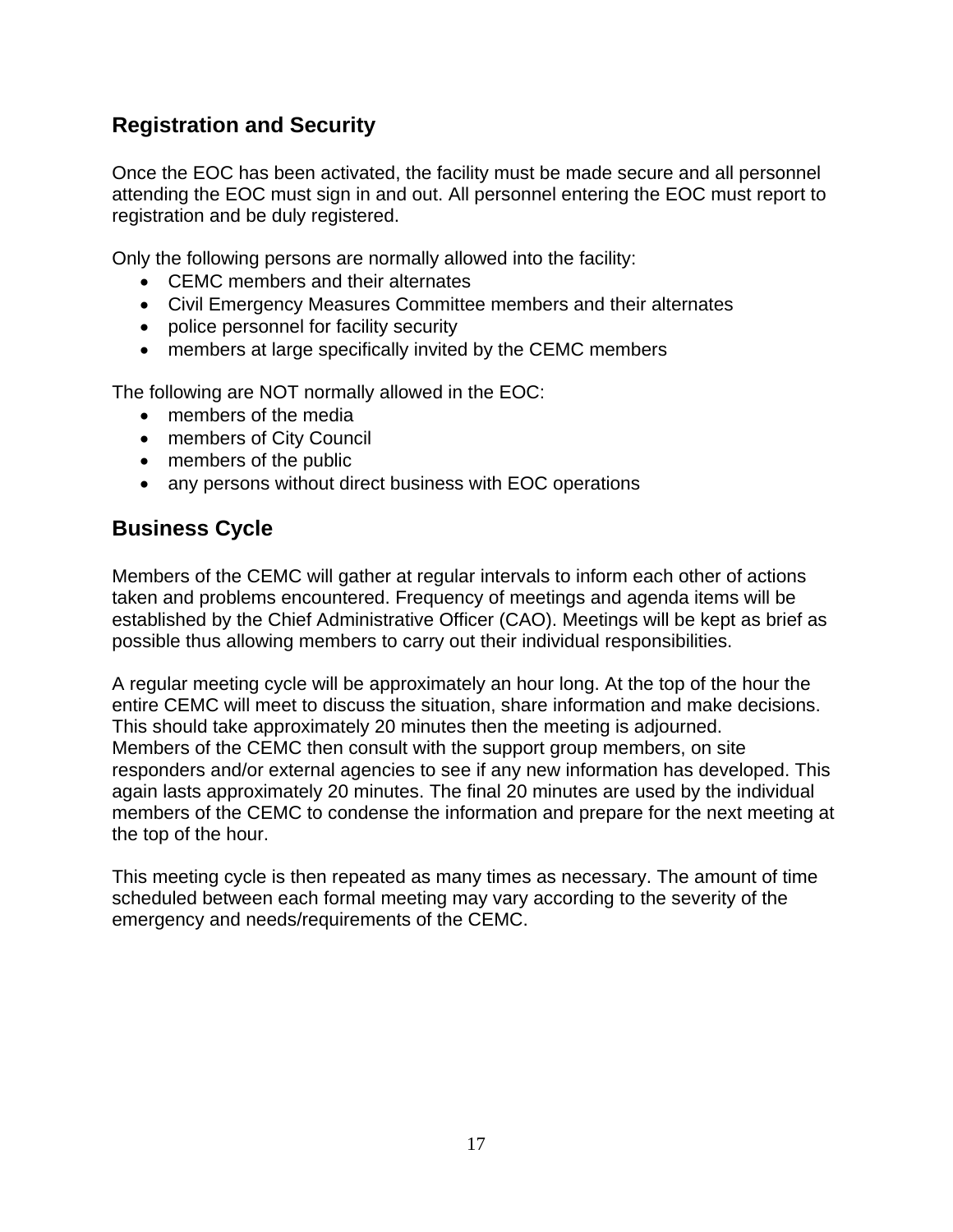#### **Registration and Security**

Once the EOC has been activated, the facility must be made secure and all personnel attending the EOC must sign in and out. All personnel entering the EOC must report to registration and be duly registered.

Only the following persons are normally allowed into the facility:

- CEMC members and their alternates
- Civil Emergency Measures Committee members and their alternates
- police personnel for facility security
- members at large specifically invited by the CEMC members

The following are NOT normally allowed in the EOC:

- members of the media
- members of City Council
- members of the public
- any persons without direct business with EOC operations

#### **Business Cycle**

Members of the CEMC will gather at regular intervals to inform each other of actions taken and problems encountered. Frequency of meetings and agenda items will be established by the Chief Administrative Officer (CAO). Meetings will be kept as brief as possible thus allowing members to carry out their individual responsibilities.

A regular meeting cycle will be approximately an hour long. At the top of the hour the entire CEMC will meet to discuss the situation, share information and make decisions. This should take approximately 20 minutes then the meeting is adjourned. Members of the CEMC then consult with the support group members, on site responders and/or external agencies to see if any new information has developed. This again lasts approximately 20 minutes. The final 20 minutes are used by the individual members of the CEMC to condense the information and prepare for the next meeting at the top of the hour.

This meeting cycle is then repeated as many times as necessary. The amount of time scheduled between each formal meeting may vary according to the severity of the emergency and needs/requirements of the CEMC.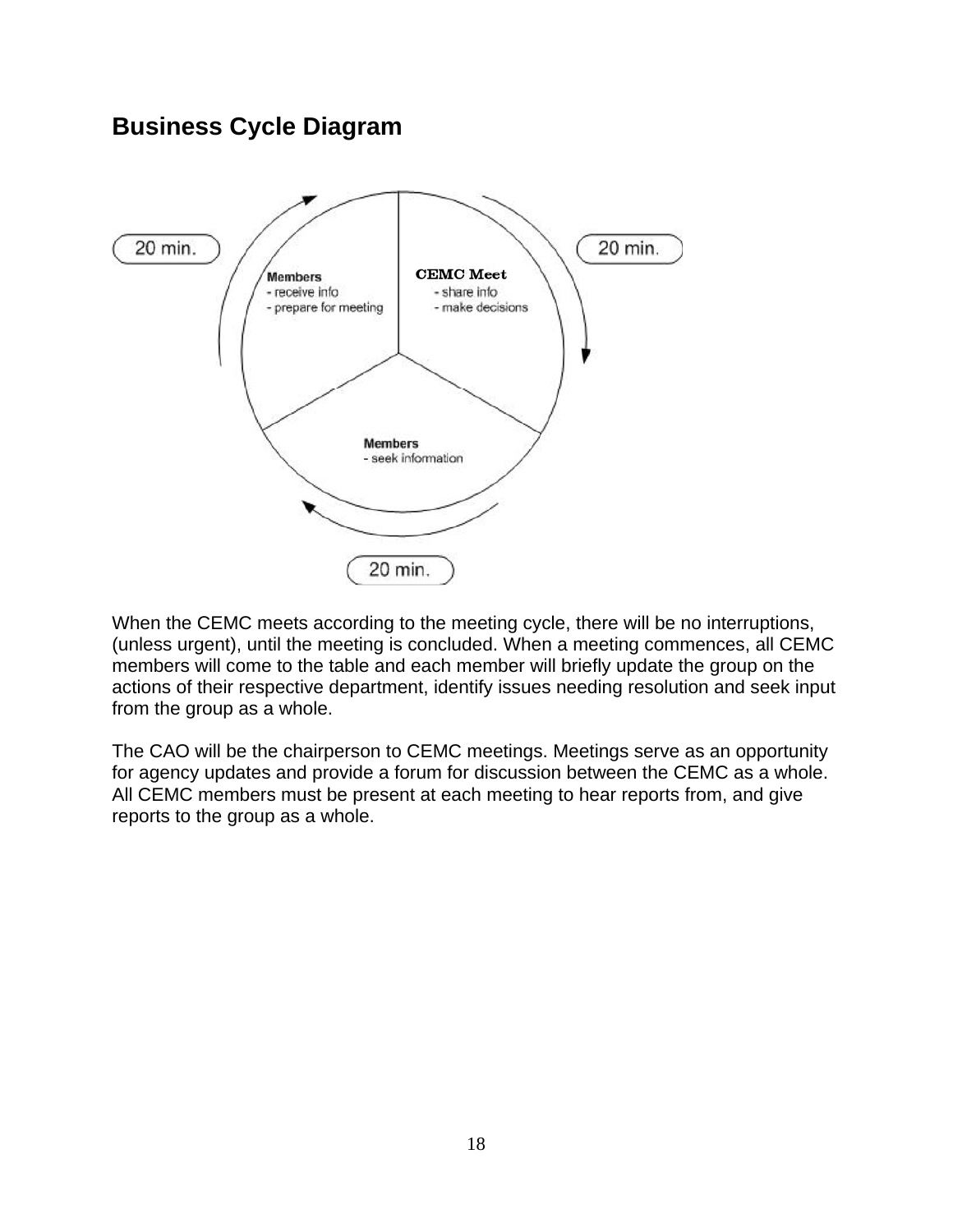### **Business Cycle Diagram**



When the CEMC meets according to the meeting cycle, there will be no interruptions, (unless urgent), until the meeting is concluded. When a meeting commences, all CEMC members will come to the table and each member will briefly update the group on the actions of their respective department, identify issues needing resolution and seek input from the group as a whole.

The CAO will be the chairperson to CEMC meetings. Meetings serve as an opportunity for agency updates and provide a forum for discussion between the CEMC as a whole. All CEMC members must be present at each meeting to hear reports from, and give reports to the group as a whole.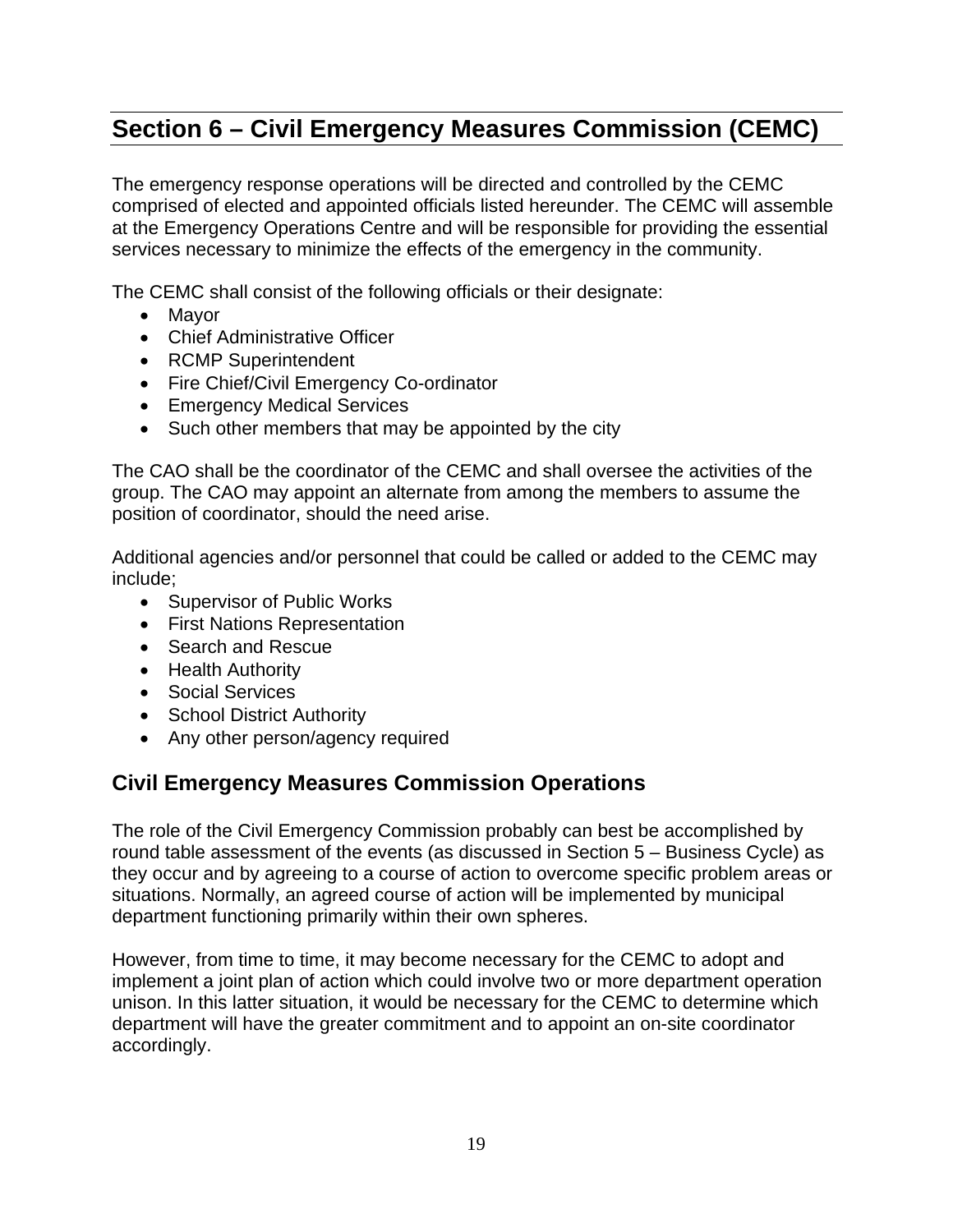# **Section 6 – Civil Emergency Measures Commission (CEMC)**

The emergency response operations will be directed and controlled by the CEMC comprised of elected and appointed officials listed hereunder. The CEMC will assemble at the Emergency Operations Centre and will be responsible for providing the essential services necessary to minimize the effects of the emergency in the community.

The CEMC shall consist of the following officials or their designate:

- Mavor
- Chief Administrative Officer
- RCMP Superintendent
- Fire Chief/Civil Emergency Co-ordinator
- **Emergency Medical Services**
- Such other members that may be appointed by the city

The CAO shall be the coordinator of the CEMC and shall oversee the activities of the group. The CAO may appoint an alternate from among the members to assume the position of coordinator, should the need arise.

Additional agencies and/or personnel that could be called or added to the CEMC may include;

- Supervisor of Public Works
- First Nations Representation
- Search and Rescue
- Health Authority
- Social Services
- School District Authority
- Any other person/agency required

#### **Civil Emergency Measures Commission Operations**

The role of the Civil Emergency Commission probably can best be accomplished by round table assessment of the events (as discussed in Section 5 – Business Cycle) as they occur and by agreeing to a course of action to overcome specific problem areas or situations. Normally, an agreed course of action will be implemented by municipal department functioning primarily within their own spheres.

However, from time to time, it may become necessary for the CEMC to adopt and implement a joint plan of action which could involve two or more department operation unison. In this latter situation, it would be necessary for the CEMC to determine which department will have the greater commitment and to appoint an on-site coordinator accordingly.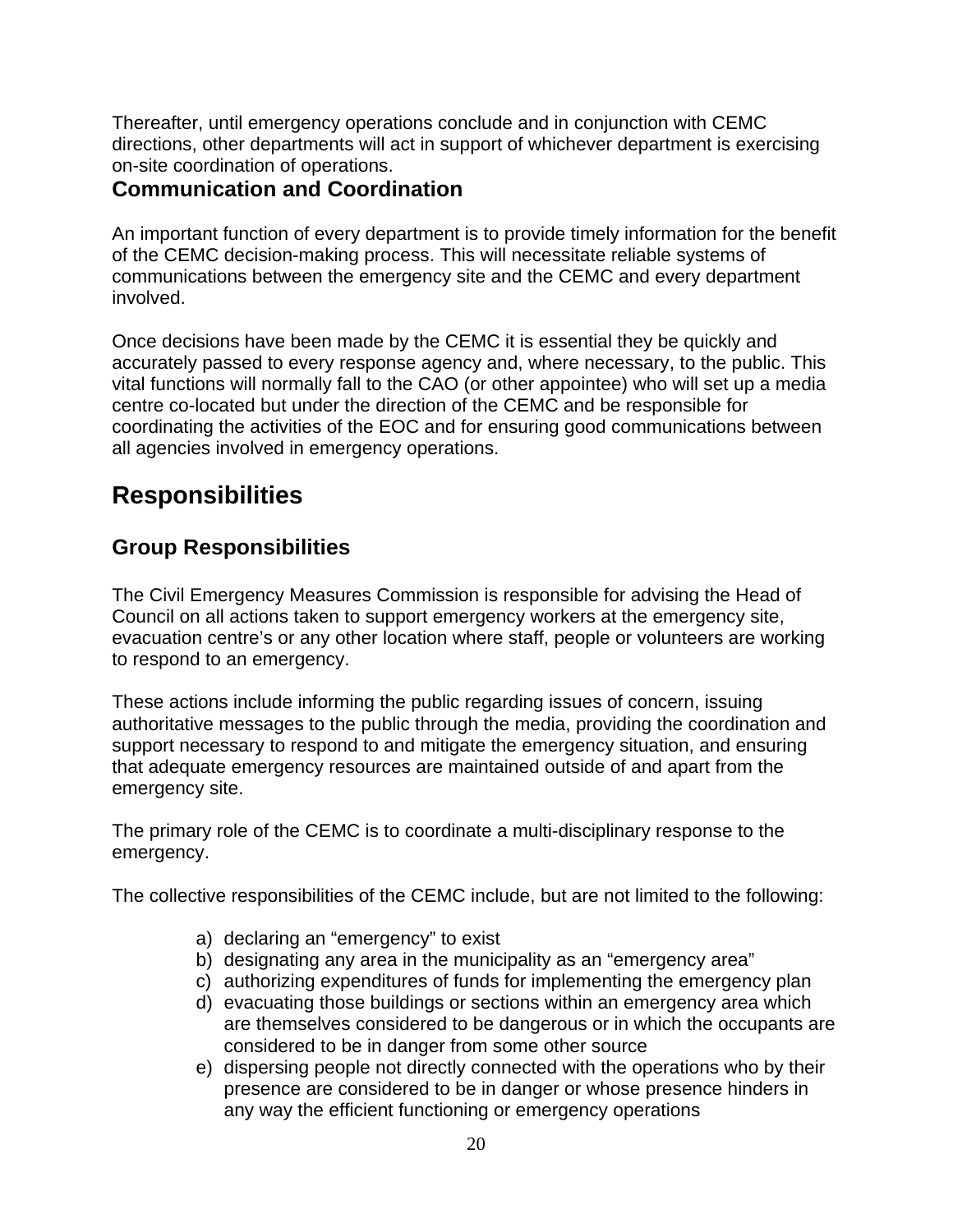Thereafter, until emergency operations conclude and in conjunction with CEMC directions, other departments will act in support of whichever department is exercising on-site coordination of operations.

#### **Communication and Coordination**

An important function of every department is to provide timely information for the benefit of the CEMC decision-making process. This will necessitate reliable systems of communications between the emergency site and the CEMC and every department involved.

Once decisions have been made by the CEMC it is essential they be quickly and accurately passed to every response agency and, where necessary, to the public. This vital functions will normally fall to the CAO (or other appointee) who will set up a media centre co-located but under the direction of the CEMC and be responsible for coordinating the activities of the EOC and for ensuring good communications between all agencies involved in emergency operations.

# **Responsibilities**

#### **Group Responsibilities**

The Civil Emergency Measures Commission is responsible for advising the Head of Council on all actions taken to support emergency workers at the emergency site, evacuation centre's or any other location where staff, people or volunteers are working to respond to an emergency.

These actions include informing the public regarding issues of concern, issuing authoritative messages to the public through the media, providing the coordination and support necessary to respond to and mitigate the emergency situation, and ensuring that adequate emergency resources are maintained outside of and apart from the emergency site.

The primary role of the CEMC is to coordinate a multi-disciplinary response to the emergency.

The collective responsibilities of the CEMC include, but are not limited to the following:

- a) declaring an "emergency" to exist
- b) designating any area in the municipality as an "emergency area"
- c) authorizing expenditures of funds for implementing the emergency plan
- d) evacuating those buildings or sections within an emergency area which are themselves considered to be dangerous or in which the occupants are considered to be in danger from some other source
- e) dispersing people not directly connected with the operations who by their presence are considered to be in danger or whose presence hinders in any way the efficient functioning or emergency operations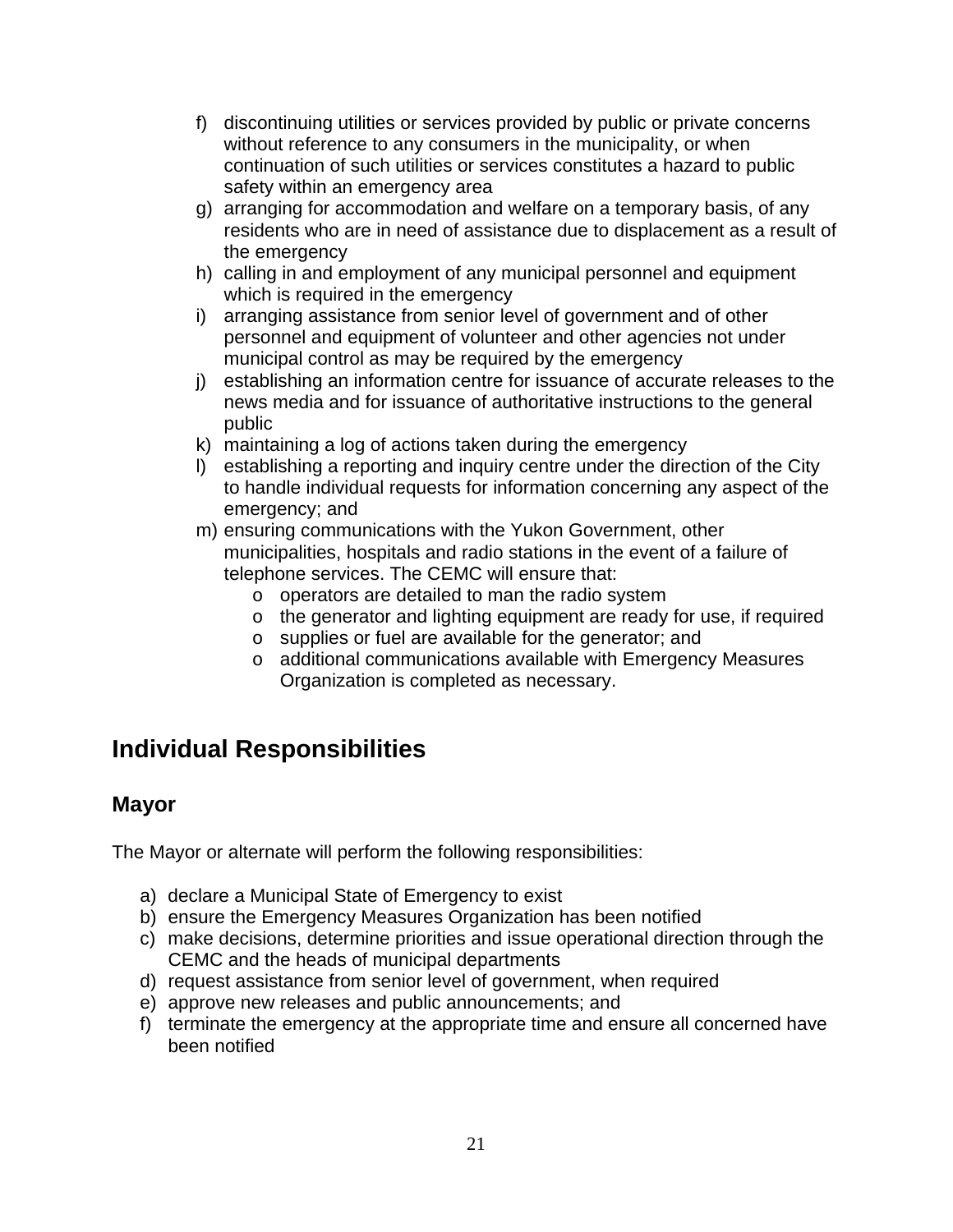- f) discontinuing utilities or services provided by public or private concerns without reference to any consumers in the municipality, or when continuation of such utilities or services constitutes a hazard to public safety within an emergency area
- g) arranging for accommodation and welfare on a temporary basis, of any residents who are in need of assistance due to displacement as a result of the emergency
- h) calling in and employment of any municipal personnel and equipment which is required in the emergency
- i) arranging assistance from senior level of government and of other personnel and equipment of volunteer and other agencies not under municipal control as may be required by the emergency
- j) establishing an information centre for issuance of accurate releases to the news media and for issuance of authoritative instructions to the general public
- k) maintaining a log of actions taken during the emergency
- l) establishing a reporting and inquiry centre under the direction of the City to handle individual requests for information concerning any aspect of the emergency; and
- m) ensuring communications with the Yukon Government, other municipalities, hospitals and radio stations in the event of a failure of telephone services. The CEMC will ensure that:
	- o operators are detailed to man the radio system
	- o the generator and lighting equipment are ready for use, if required
	- o supplies or fuel are available for the generator; and
	- o additional communications available with Emergency Measures Organization is completed as necessary.

### **Individual Responsibilities**

#### **Mayor**

The Mayor or alternate will perform the following responsibilities:

- a) declare a Municipal State of Emergency to exist
- b) ensure the Emergency Measures Organization has been notified
- c) make decisions, determine priorities and issue operational direction through the CEMC and the heads of municipal departments
- d) request assistance from senior level of government, when required
- e) approve new releases and public announcements; and
- f) terminate the emergency at the appropriate time and ensure all concerned have been notified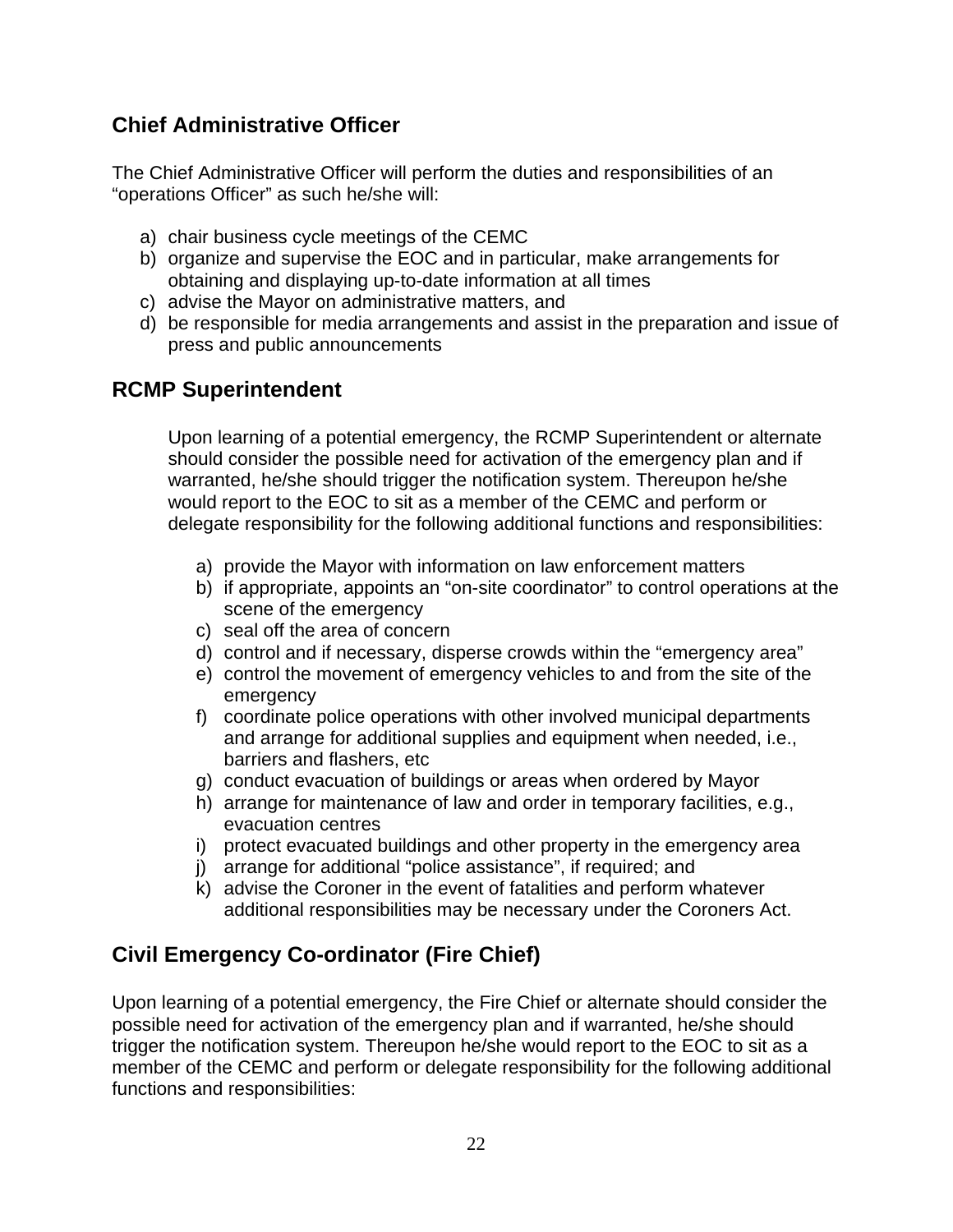#### **Chief Administrative Officer**

The Chief Administrative Officer will perform the duties and responsibilities of an "operations Officer" as such he/she will:

- a) chair business cycle meetings of the CEMC
- b) organize and supervise the EOC and in particular, make arrangements for obtaining and displaying up-to-date information at all times
- c) advise the Mayor on administrative matters, and
- d) be responsible for media arrangements and assist in the preparation and issue of press and public announcements

#### **RCMP Superintendent**

Upon learning of a potential emergency, the RCMP Superintendent or alternate should consider the possible need for activation of the emergency plan and if warranted, he/she should trigger the notification system. Thereupon he/she would report to the EOC to sit as a member of the CEMC and perform or delegate responsibility for the following additional functions and responsibilities:

- a) provide the Mayor with information on law enforcement matters
- b) if appropriate, appoints an "on-site coordinator" to control operations at the scene of the emergency
- c) seal off the area of concern
- d) control and if necessary, disperse crowds within the "emergency area"
- e) control the movement of emergency vehicles to and from the site of the emergency
- f) coordinate police operations with other involved municipal departments and arrange for additional supplies and equipment when needed, i.e., barriers and flashers, etc
- g) conduct evacuation of buildings or areas when ordered by Mayor
- h) arrange for maintenance of law and order in temporary facilities, e.g., evacuation centres
- i) protect evacuated buildings and other property in the emergency area
- j) arrange for additional "police assistance", if required; and
- k) advise the Coroner in the event of fatalities and perform whatever additional responsibilities may be necessary under the Coroners Act.

### **Civil Emergency Co-ordinator (Fire Chief)**

Upon learning of a potential emergency, the Fire Chief or alternate should consider the possible need for activation of the emergency plan and if warranted, he/she should trigger the notification system. Thereupon he/she would report to the EOC to sit as a member of the CEMC and perform or delegate responsibility for the following additional functions and responsibilities: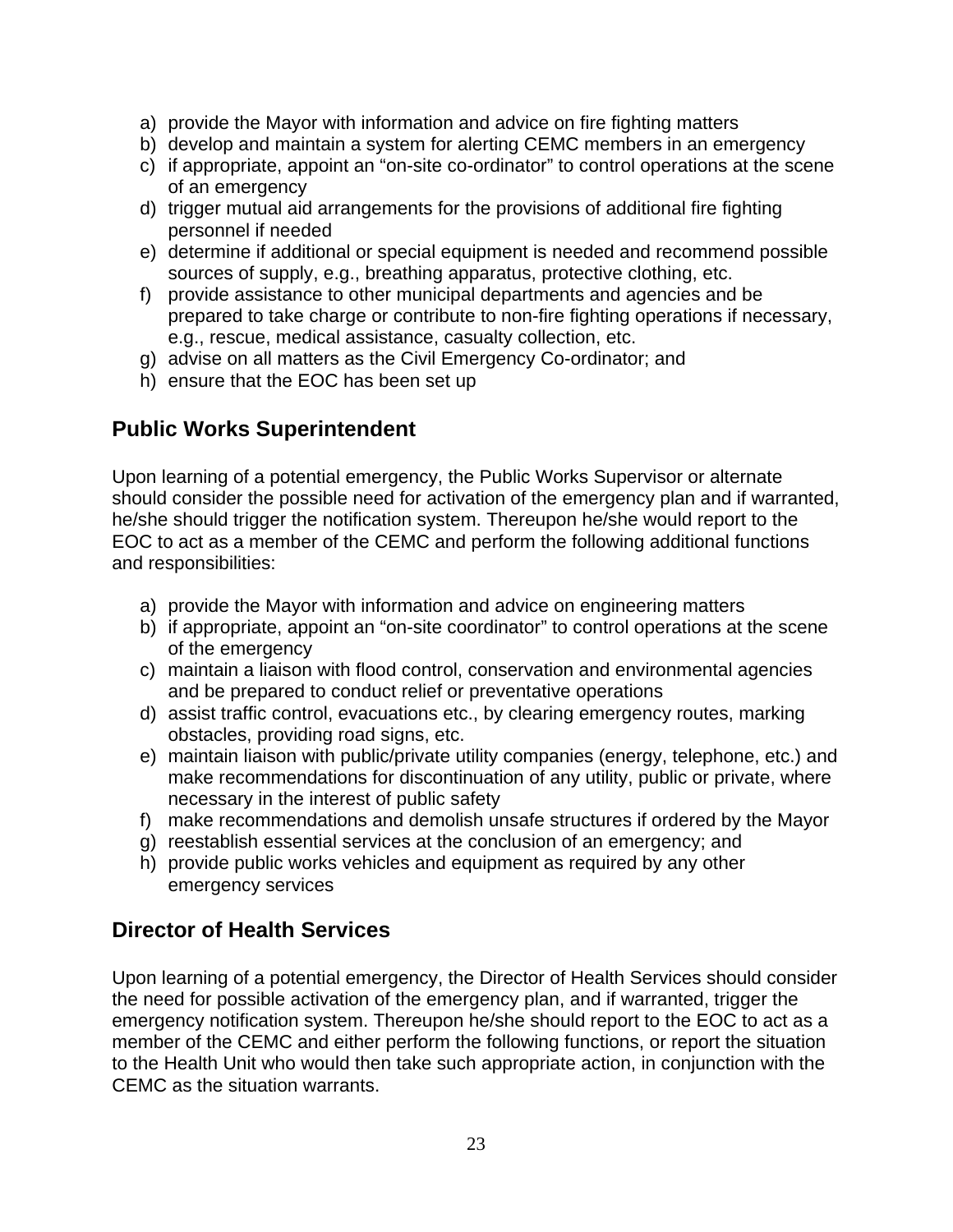- a) provide the Mayor with information and advice on fire fighting matters
- b) develop and maintain a system for alerting CEMC members in an emergency
- c) if appropriate, appoint an "on-site co-ordinator" to control operations at the scene of an emergency
- d) trigger mutual aid arrangements for the provisions of additional fire fighting personnel if needed
- e) determine if additional or special equipment is needed and recommend possible sources of supply, e.g., breathing apparatus, protective clothing, etc.
- f) provide assistance to other municipal departments and agencies and be prepared to take charge or contribute to non-fire fighting operations if necessary, e.g., rescue, medical assistance, casualty collection, etc.
- g) advise on all matters as the Civil Emergency Co-ordinator; and
- h) ensure that the EOC has been set up

#### **Public Works Superintendent**

Upon learning of a potential emergency, the Public Works Supervisor or alternate should consider the possible need for activation of the emergency plan and if warranted, he/she should trigger the notification system. Thereupon he/she would report to the EOC to act as a member of the CEMC and perform the following additional functions and responsibilities:

- a) provide the Mayor with information and advice on engineering matters
- b) if appropriate, appoint an "on-site coordinator" to control operations at the scene of the emergency
- c) maintain a liaison with flood control, conservation and environmental agencies and be prepared to conduct relief or preventative operations
- d) assist traffic control, evacuations etc., by clearing emergency routes, marking obstacles, providing road signs, etc.
- e) maintain liaison with public/private utility companies (energy, telephone, etc.) and make recommendations for discontinuation of any utility, public or private, where necessary in the interest of public safety
- f) make recommendations and demolish unsafe structures if ordered by the Mayor
- g) reestablish essential services at the conclusion of an emergency; and
- h) provide public works vehicles and equipment as required by any other emergency services

### **Director of Health Services**

Upon learning of a potential emergency, the Director of Health Services should consider the need for possible activation of the emergency plan, and if warranted, trigger the emergency notification system. Thereupon he/she should report to the EOC to act as a member of the CEMC and either perform the following functions, or report the situation to the Health Unit who would then take such appropriate action, in conjunction with the CEMC as the situation warrants.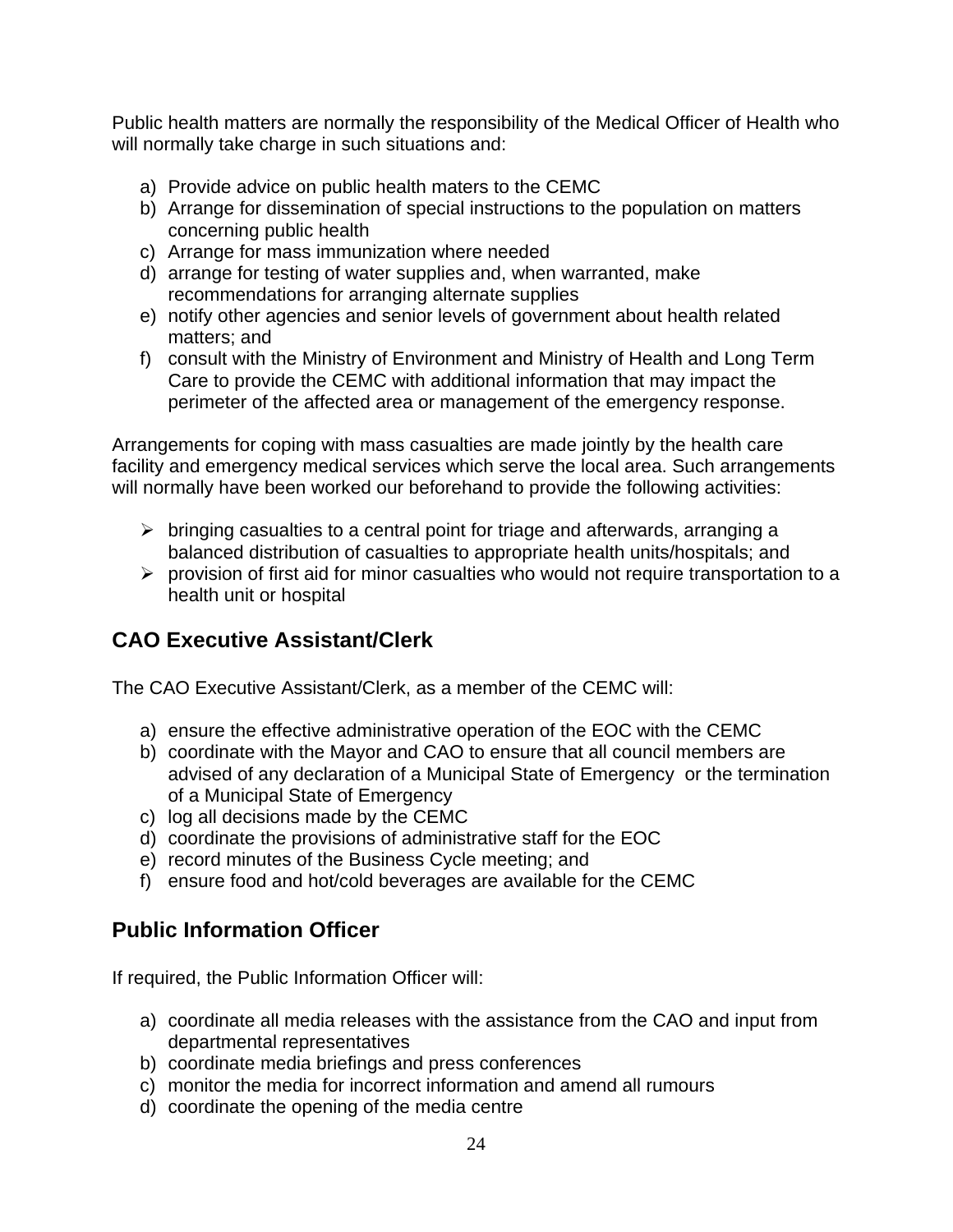Public health matters are normally the responsibility of the Medical Officer of Health who will normally take charge in such situations and:

- a) Provide advice on public health maters to the CEMC
- b) Arrange for dissemination of special instructions to the population on matters concerning public health
- c) Arrange for mass immunization where needed
- d) arrange for testing of water supplies and, when warranted, make recommendations for arranging alternate supplies
- e) notify other agencies and senior levels of government about health related matters; and
- f) consult with the Ministry of Environment and Ministry of Health and Long Term Care to provide the CEMC with additional information that may impact the perimeter of the affected area or management of the emergency response.

Arrangements for coping with mass casualties are made jointly by the health care facility and emergency medical services which serve the local area. Such arrangements will normally have been worked our beforehand to provide the following activities:

- $\triangleright$  bringing casualties to a central point for triage and afterwards, arranging a balanced distribution of casualties to appropriate health units/hospitals; and
- $\triangleright$  provision of first aid for minor casualties who would not require transportation to a health unit or hospital

#### **CAO Executive Assistant/Clerk**

The CAO Executive Assistant/Clerk, as a member of the CEMC will:

- a) ensure the effective administrative operation of the EOC with the CEMC
- b) coordinate with the Mayor and CAO to ensure that all council members are advised of any declaration of a Municipal State of Emergency or the termination of a Municipal State of Emergency
- c) log all decisions made by the CEMC
- d) coordinate the provisions of administrative staff for the EOC
- e) record minutes of the Business Cycle meeting; and
- f) ensure food and hot/cold beverages are available for the CEMC

#### **Public Information Officer**

If required, the Public Information Officer will:

- a) coordinate all media releases with the assistance from the CAO and input from departmental representatives
- b) coordinate media briefings and press conferences
- c) monitor the media for incorrect information and amend all rumours
- d) coordinate the opening of the media centre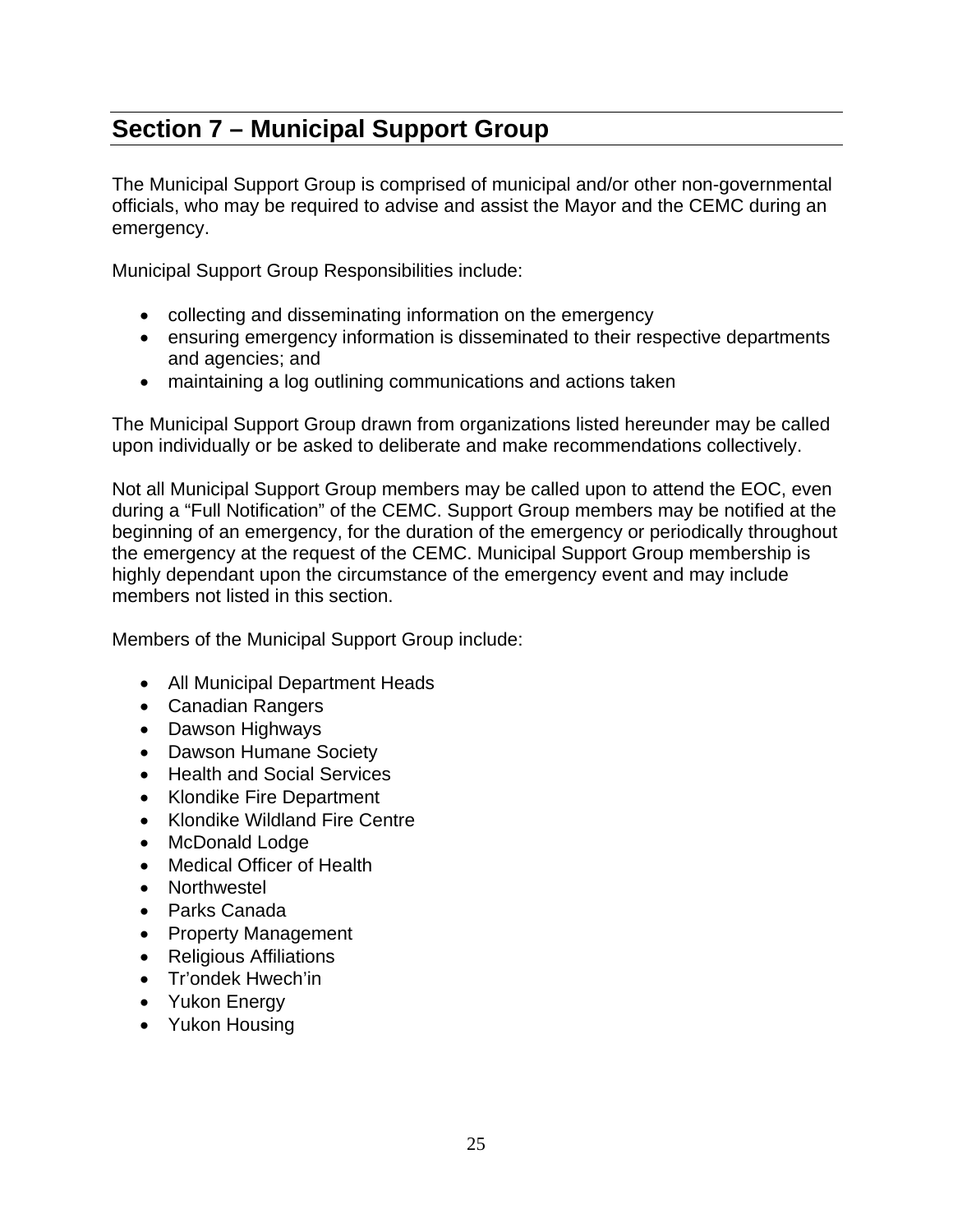# **Section 7 – Municipal Support Group**

The Municipal Support Group is comprised of municipal and/or other non-governmental officials, who may be required to advise and assist the Mayor and the CEMC during an emergency.

Municipal Support Group Responsibilities include:

- collecting and disseminating information on the emergency
- ensuring emergency information is disseminated to their respective departments and agencies; and
- maintaining a log outlining communications and actions taken

The Municipal Support Group drawn from organizations listed hereunder may be called upon individually or be asked to deliberate and make recommendations collectively.

Not all Municipal Support Group members may be called upon to attend the EOC, even during a "Full Notification" of the CEMC. Support Group members may be notified at the beginning of an emergency, for the duration of the emergency or periodically throughout the emergency at the request of the CEMC. Municipal Support Group membership is highly dependant upon the circumstance of the emergency event and may include members not listed in this section.

Members of the Municipal Support Group include:

- All Municipal Department Heads
- Canadian Rangers
- Dawson Highways
- Dawson Humane Society
- Health and Social Services
- Klondike Fire Department
- Klondike Wildland Fire Centre
- McDonald Lodge
- Medical Officer of Health
- Northwestel
- Parks Canada
- Property Management
- Religious Affiliations
- Tr'ondek Hwech'in
- Yukon Energy
- Yukon Housing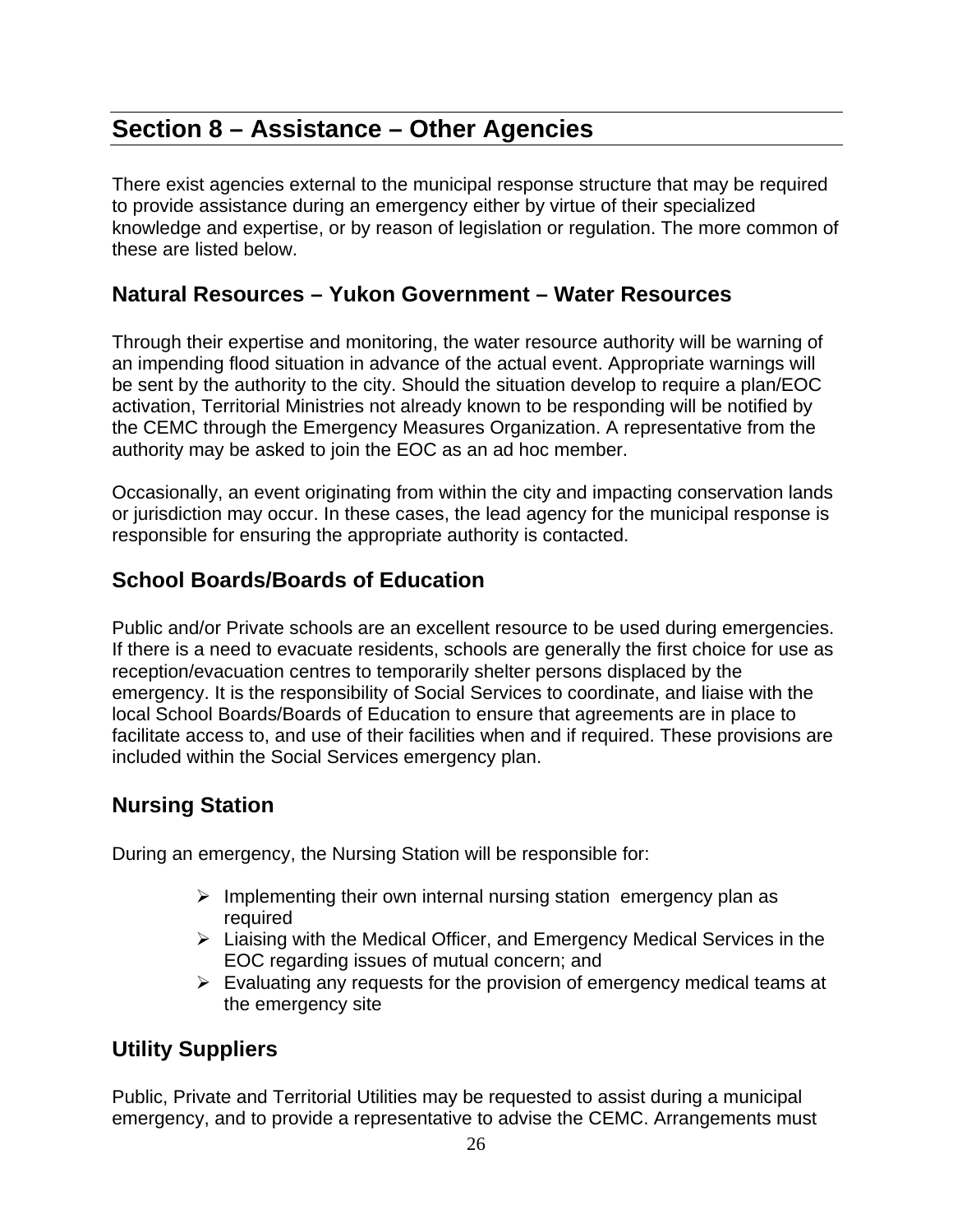# **Section 8 – Assistance – Other Agencies**

There exist agencies external to the municipal response structure that may be required to provide assistance during an emergency either by virtue of their specialized knowledge and expertise, or by reason of legislation or regulation. The more common of these are listed below.

#### **Natural Resources – Yukon Government – Water Resources**

Through their expertise and monitoring, the water resource authority will be warning of an impending flood situation in advance of the actual event. Appropriate warnings will be sent by the authority to the city. Should the situation develop to require a plan/EOC activation, Territorial Ministries not already known to be responding will be notified by the CEMC through the Emergency Measures Organization. A representative from the authority may be asked to join the EOC as an ad hoc member.

Occasionally, an event originating from within the city and impacting conservation lands or jurisdiction may occur. In these cases, the lead agency for the municipal response is responsible for ensuring the appropriate authority is contacted.

#### **School Boards/Boards of Education**

Public and/or Private schools are an excellent resource to be used during emergencies. If there is a need to evacuate residents, schools are generally the first choice for use as reception/evacuation centres to temporarily shelter persons displaced by the emergency. It is the responsibility of Social Services to coordinate, and liaise with the local School Boards/Boards of Education to ensure that agreements are in place to facilitate access to, and use of their facilities when and if required. These provisions are included within the Social Services emergency plan.

#### **Nursing Station**

During an emergency, the Nursing Station will be responsible for:

- $\triangleright$  Implementing their own internal nursing station emergency plan as required
- $\triangleright$  Liaising with the Medical Officer, and Emergency Medical Services in the EOC regarding issues of mutual concern; and
- $\triangleright$  Evaluating any requests for the provision of emergency medical teams at the emergency site

#### **Utility Suppliers**

Public, Private and Territorial Utilities may be requested to assist during a municipal emergency, and to provide a representative to advise the CEMC. Arrangements must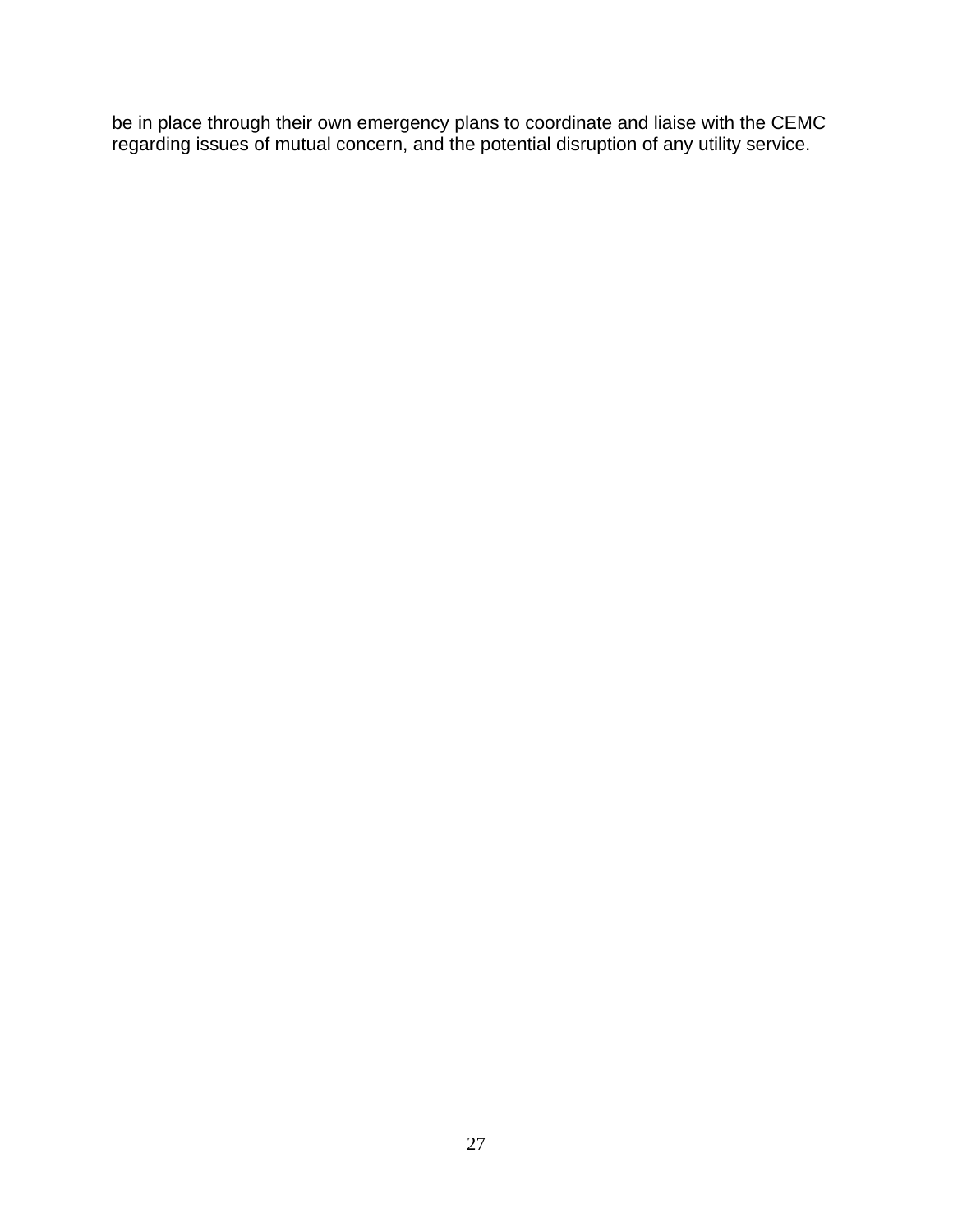be in place through their own emergency plans to coordinate and liaise with the CEMC regarding issues of mutual concern, and the potential disruption of any utility service.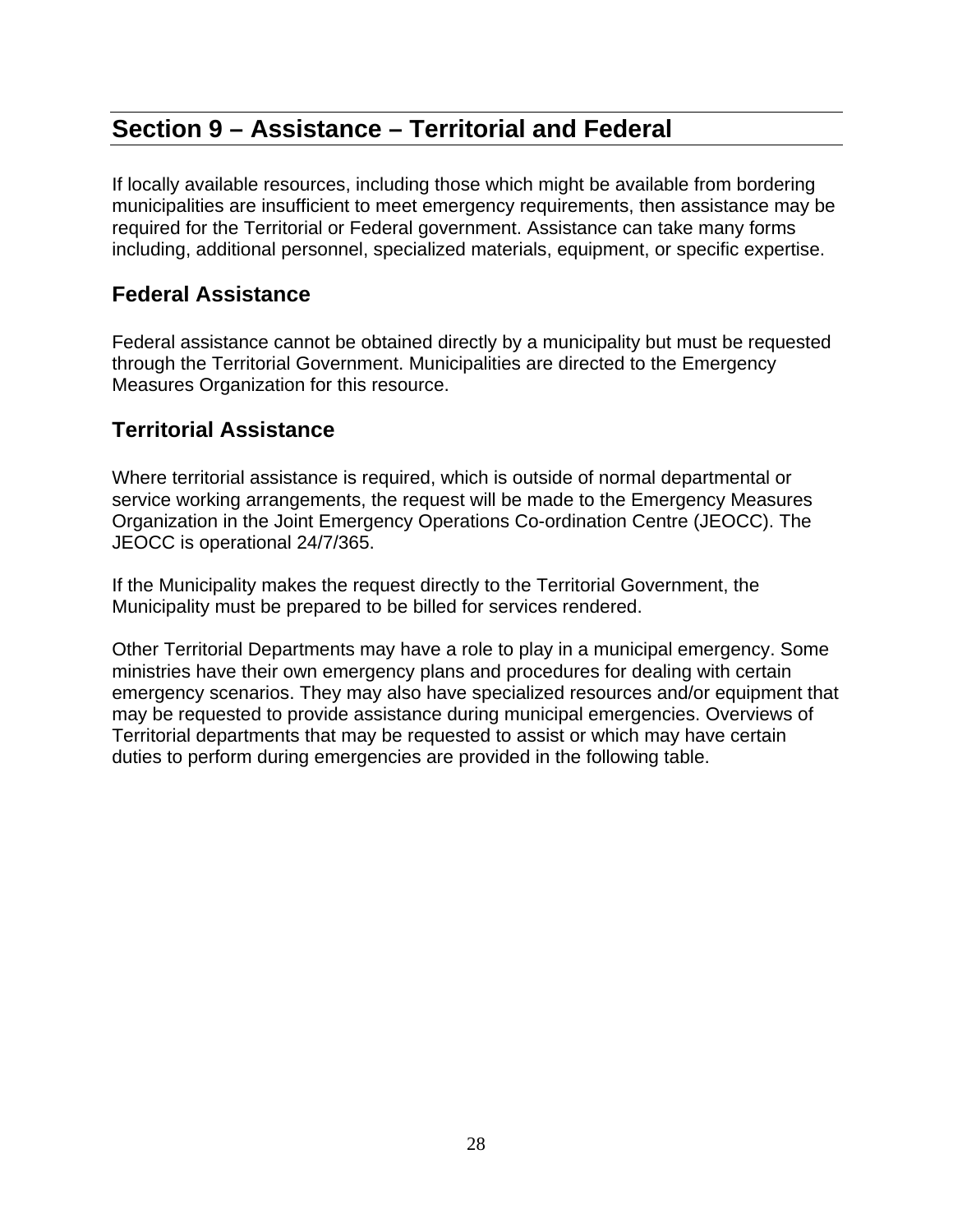# **Section 9 – Assistance – Territorial and Federal**

If locally available resources, including those which might be available from bordering municipalities are insufficient to meet emergency requirements, then assistance may be required for the Territorial or Federal government. Assistance can take many forms including, additional personnel, specialized materials, equipment, or specific expertise.

#### **Federal Assistance**

Federal assistance cannot be obtained directly by a municipality but must be requested through the Territorial Government. Municipalities are directed to the Emergency Measures Organization for this resource.

#### **Territorial Assistance**

Where territorial assistance is required, which is outside of normal departmental or service working arrangements, the request will be made to the Emergency Measures Organization in the Joint Emergency Operations Co-ordination Centre (JEOCC). The JEOCC is operational 24/7/365.

If the Municipality makes the request directly to the Territorial Government, the Municipality must be prepared to be billed for services rendered.

Other Territorial Departments may have a role to play in a municipal emergency. Some ministries have their own emergency plans and procedures for dealing with certain emergency scenarios. They may also have specialized resources and/or equipment that may be requested to provide assistance during municipal emergencies. Overviews of Territorial departments that may be requested to assist or which may have certain duties to perform during emergencies are provided in the following table.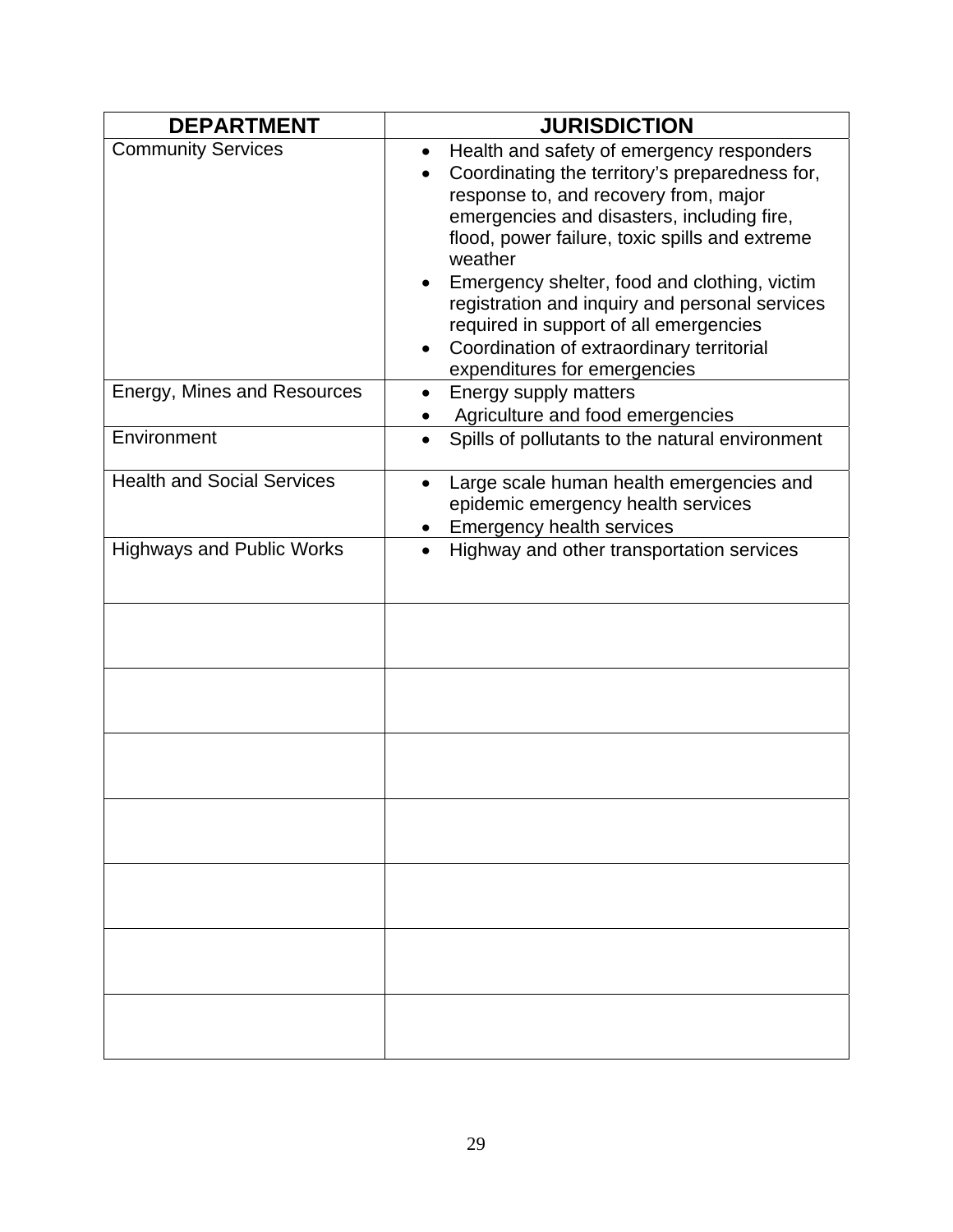| <b>DEPARTMENT</b>                 | <b>JURISDICTION</b>                                                                                                                                                                                                                                                                                                                                                                                                                                                                   |  |  |
|-----------------------------------|---------------------------------------------------------------------------------------------------------------------------------------------------------------------------------------------------------------------------------------------------------------------------------------------------------------------------------------------------------------------------------------------------------------------------------------------------------------------------------------|--|--|
| <b>Community Services</b>         | Health and safety of emergency responders<br>$\bullet$<br>Coordinating the territory's preparedness for,<br>response to, and recovery from, major<br>emergencies and disasters, including fire,<br>flood, power failure, toxic spills and extreme<br>weather<br>Emergency shelter, food and clothing, victim<br>registration and inquiry and personal services<br>required in support of all emergencies<br>Coordination of extraordinary territorial<br>expenditures for emergencies |  |  |
| Energy, Mines and Resources       | Energy supply matters<br>Agriculture and food emergencies                                                                                                                                                                                                                                                                                                                                                                                                                             |  |  |
| Environment                       | Spills of pollutants to the natural environment                                                                                                                                                                                                                                                                                                                                                                                                                                       |  |  |
| <b>Health and Social Services</b> | Large scale human health emergencies and<br>$\bullet$<br>epidemic emergency health services<br><b>Emergency health services</b>                                                                                                                                                                                                                                                                                                                                                       |  |  |
| <b>Highways and Public Works</b>  | Highway and other transportation services<br>$\bullet$                                                                                                                                                                                                                                                                                                                                                                                                                                |  |  |
|                                   |                                                                                                                                                                                                                                                                                                                                                                                                                                                                                       |  |  |
|                                   |                                                                                                                                                                                                                                                                                                                                                                                                                                                                                       |  |  |
|                                   |                                                                                                                                                                                                                                                                                                                                                                                                                                                                                       |  |  |
|                                   |                                                                                                                                                                                                                                                                                                                                                                                                                                                                                       |  |  |
|                                   |                                                                                                                                                                                                                                                                                                                                                                                                                                                                                       |  |  |
|                                   |                                                                                                                                                                                                                                                                                                                                                                                                                                                                                       |  |  |
|                                   |                                                                                                                                                                                                                                                                                                                                                                                                                                                                                       |  |  |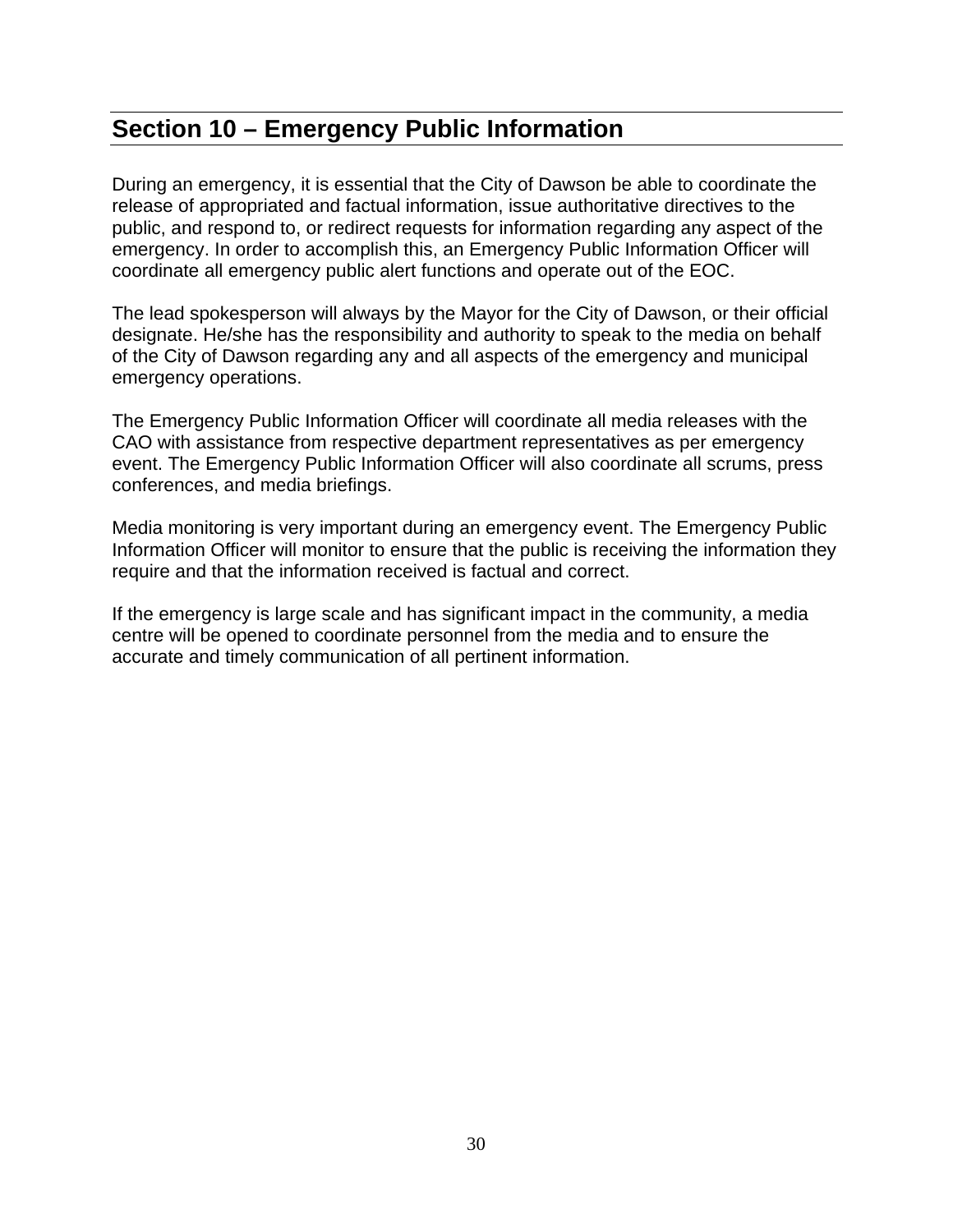## **Section 10 – Emergency Public Information**

During an emergency, it is essential that the City of Dawson be able to coordinate the release of appropriated and factual information, issue authoritative directives to the public, and respond to, or redirect requests for information regarding any aspect of the emergency. In order to accomplish this, an Emergency Public Information Officer will coordinate all emergency public alert functions and operate out of the EOC.

The lead spokesperson will always by the Mayor for the City of Dawson, or their official designate. He/she has the responsibility and authority to speak to the media on behalf of the City of Dawson regarding any and all aspects of the emergency and municipal emergency operations.

The Emergency Public Information Officer will coordinate all media releases with the CAO with assistance from respective department representatives as per emergency event. The Emergency Public Information Officer will also coordinate all scrums, press conferences, and media briefings.

Media monitoring is very important during an emergency event. The Emergency Public Information Officer will monitor to ensure that the public is receiving the information they require and that the information received is factual and correct.

If the emergency is large scale and has significant impact in the community, a media centre will be opened to coordinate personnel from the media and to ensure the accurate and timely communication of all pertinent information.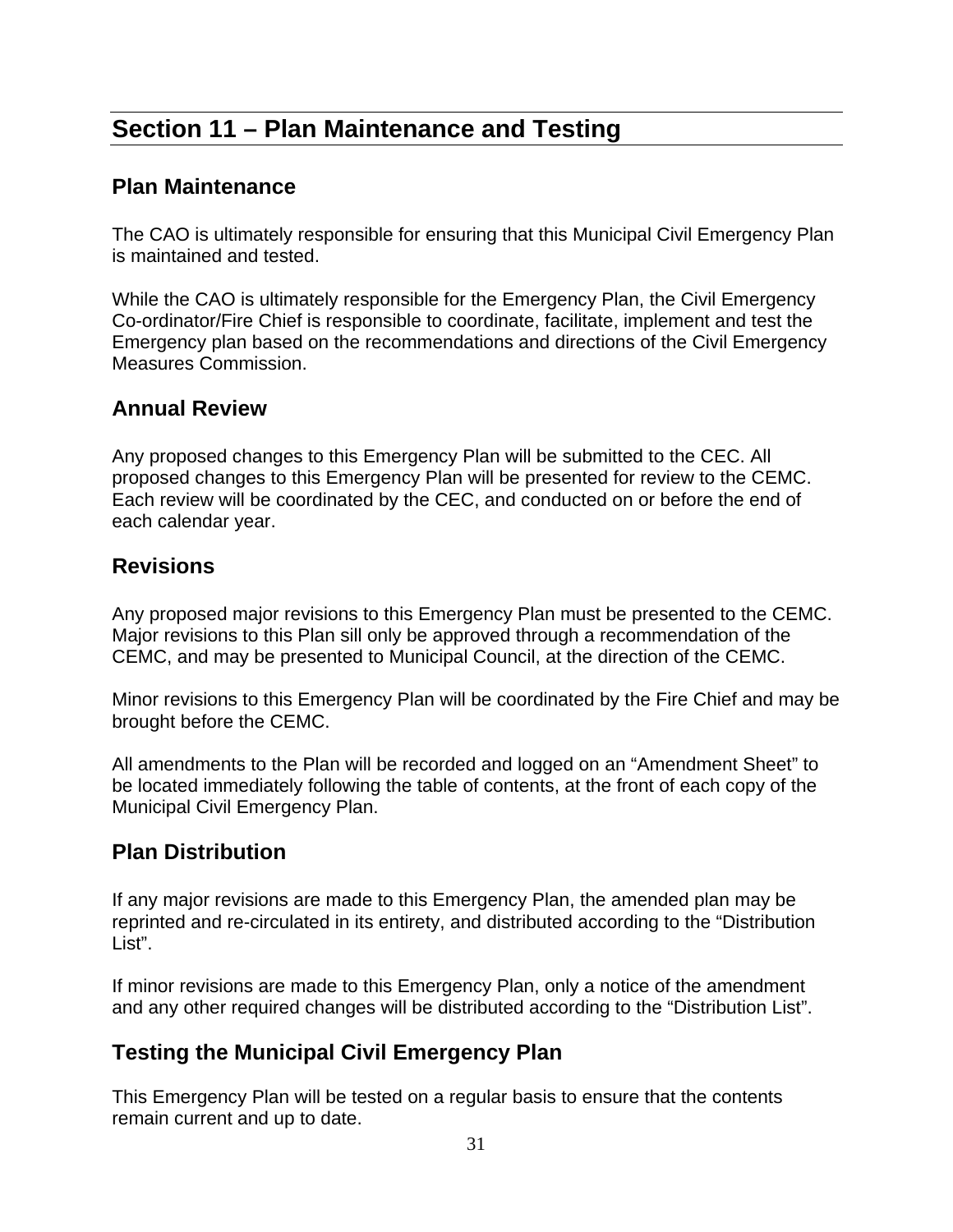# **Section 11 – Plan Maintenance and Testing**

#### **Plan Maintenance**

The CAO is ultimately responsible for ensuring that this Municipal Civil Emergency Plan is maintained and tested.

While the CAO is ultimately responsible for the Emergency Plan, the Civil Emergency Co-ordinator/Fire Chief is responsible to coordinate, facilitate, implement and test the Emergency plan based on the recommendations and directions of the Civil Emergency Measures Commission.

#### **Annual Review**

Any proposed changes to this Emergency Plan will be submitted to the CEC. All proposed changes to this Emergency Plan will be presented for review to the CEMC. Each review will be coordinated by the CEC, and conducted on or before the end of each calendar year.

#### **Revisions**

Any proposed major revisions to this Emergency Plan must be presented to the CEMC. Major revisions to this Plan sill only be approved through a recommendation of the CEMC, and may be presented to Municipal Council, at the direction of the CEMC.

Minor revisions to this Emergency Plan will be coordinated by the Fire Chief and may be brought before the CEMC.

All amendments to the Plan will be recorded and logged on an "Amendment Sheet" to be located immediately following the table of contents, at the front of each copy of the Municipal Civil Emergency Plan.

#### **Plan Distribution**

If any major revisions are made to this Emergency Plan, the amended plan may be reprinted and re-circulated in its entirety, and distributed according to the "Distribution List".

If minor revisions are made to this Emergency Plan, only a notice of the amendment and any other required changes will be distributed according to the "Distribution List".

#### **Testing the Municipal Civil Emergency Plan**

This Emergency Plan will be tested on a regular basis to ensure that the contents remain current and up to date.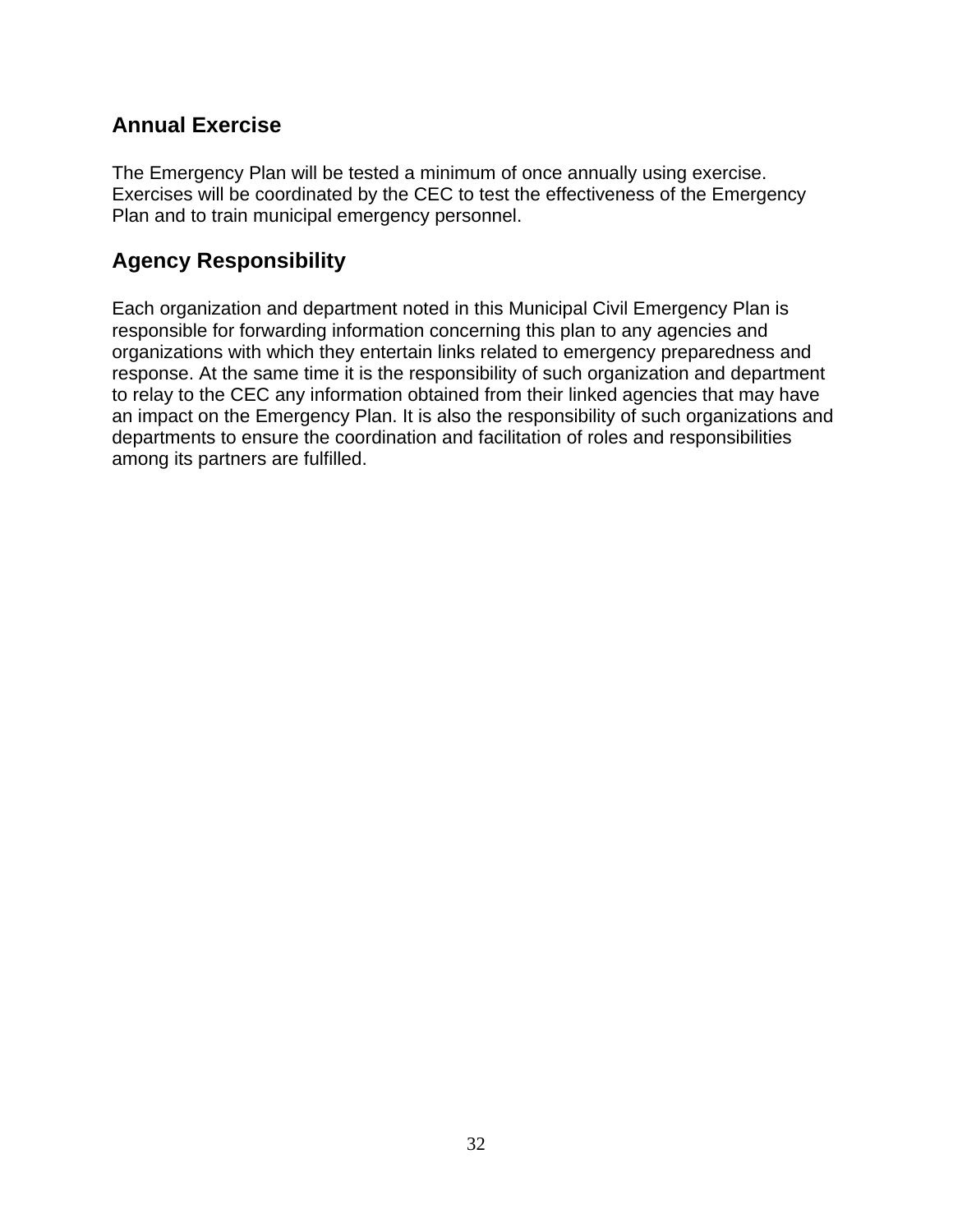#### **Annual Exercise**

The Emergency Plan will be tested a minimum of once annually using exercise. Exercises will be coordinated by the CEC to test the effectiveness of the Emergency Plan and to train municipal emergency personnel.

#### **Agency Responsibility**

Each organization and department noted in this Municipal Civil Emergency Plan is responsible for forwarding information concerning this plan to any agencies and organizations with which they entertain links related to emergency preparedness and response. At the same time it is the responsibility of such organization and department to relay to the CEC any information obtained from their linked agencies that may have an impact on the Emergency Plan. It is also the responsibility of such organizations and departments to ensure the coordination and facilitation of roles and responsibilities among its partners are fulfilled.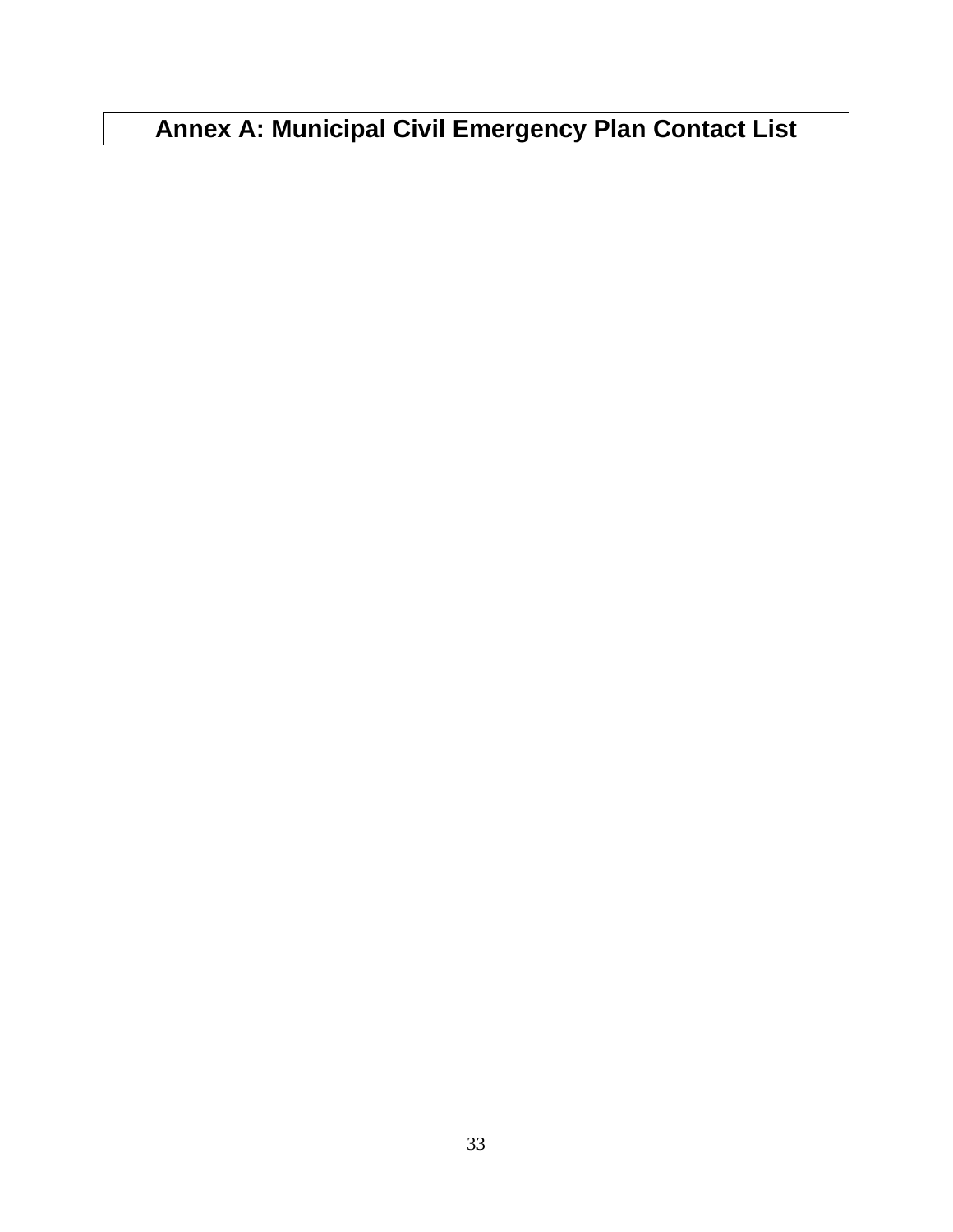# **Annex A: Municipal Civil Emergency Plan Contact List**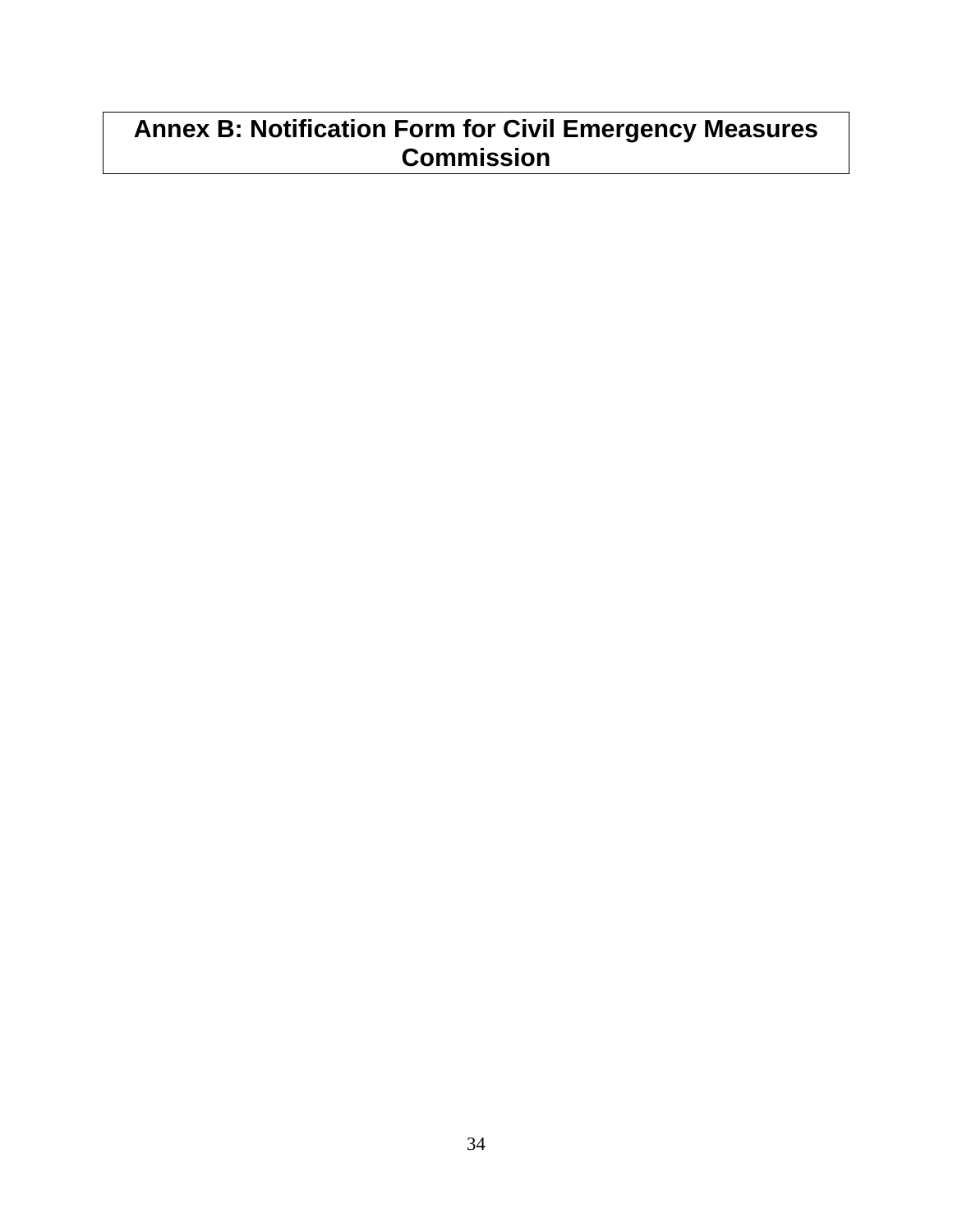# **Annex B: Notification Form for Civil Emergency Measures Commission**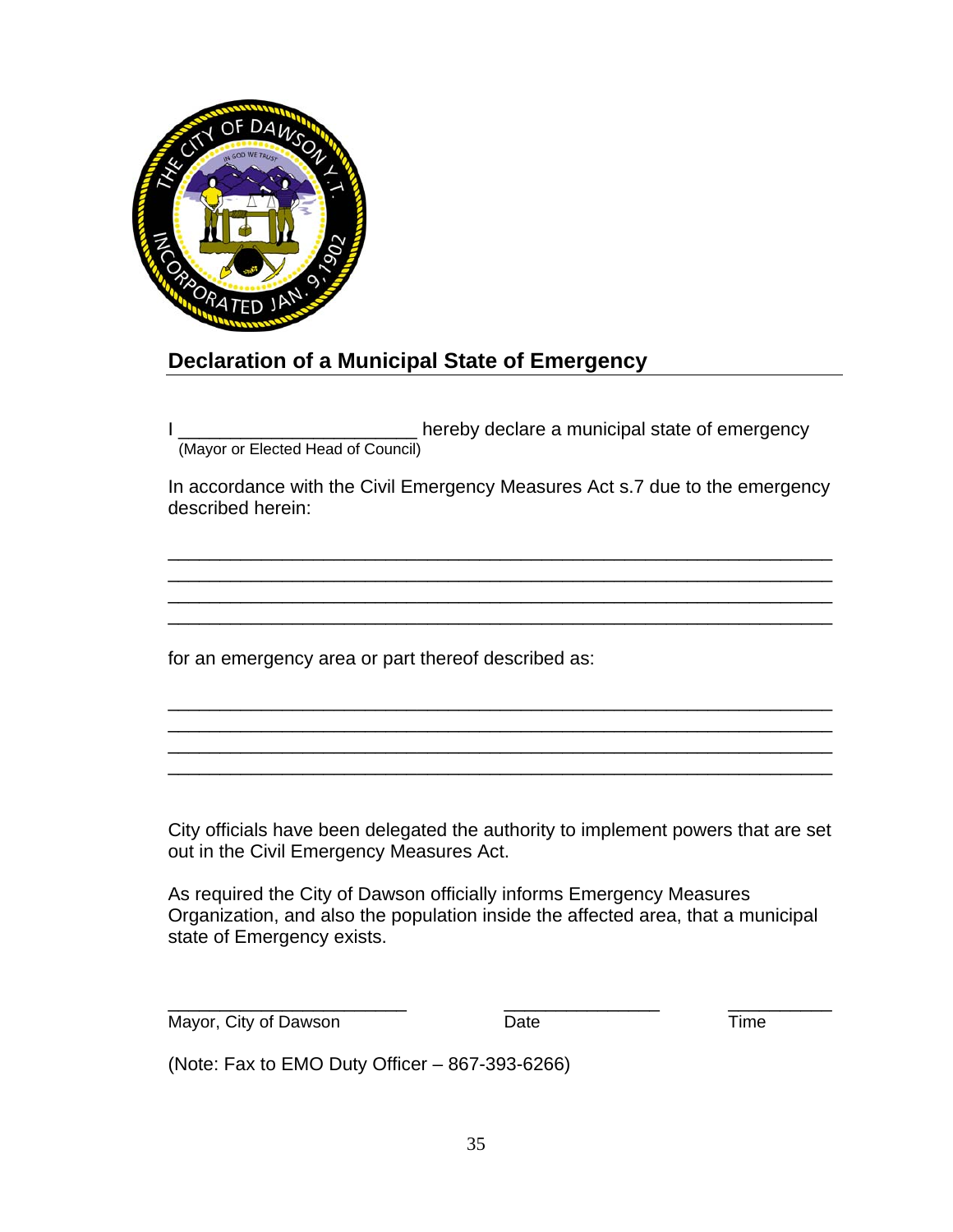

#### **Declaration of a Municipal State of Emergency**

I \_\_\_\_\_\_\_\_\_\_\_\_\_\_\_\_\_\_\_\_\_\_\_ hereby declare a municipal state of emergency (Mayor or Elected Head of Council)

In accordance with the Civil Emergency Measures Act s.7 due to the emergency described herein:

\_\_\_\_\_\_\_\_\_\_\_\_\_\_\_\_\_\_\_\_\_\_\_\_\_\_\_\_\_\_\_\_\_\_\_\_\_\_\_\_\_\_\_\_\_\_\_\_\_\_\_\_\_\_\_\_\_\_\_\_\_\_\_\_ \_\_\_\_\_\_\_\_\_\_\_\_\_\_\_\_\_\_\_\_\_\_\_\_\_\_\_\_\_\_\_\_\_\_\_\_\_\_\_\_\_\_\_\_\_\_\_\_\_\_\_\_\_\_\_\_\_\_\_\_\_\_\_\_ \_\_\_\_\_\_\_\_\_\_\_\_\_\_\_\_\_\_\_\_\_\_\_\_\_\_\_\_\_\_\_\_\_\_\_\_\_\_\_\_\_\_\_\_\_\_\_\_\_\_\_\_\_\_\_\_\_\_\_\_\_\_\_\_ \_\_\_\_\_\_\_\_\_\_\_\_\_\_\_\_\_\_\_\_\_\_\_\_\_\_\_\_\_\_\_\_\_\_\_\_\_\_\_\_\_\_\_\_\_\_\_\_\_\_\_\_\_\_\_\_\_\_\_\_\_\_\_\_

\_\_\_\_\_\_\_\_\_\_\_\_\_\_\_\_\_\_\_\_\_\_\_\_\_\_\_\_\_\_\_\_\_\_\_\_\_\_\_\_\_\_\_\_\_\_\_\_\_\_\_\_\_\_\_\_\_\_\_\_\_\_\_\_ \_\_\_\_\_\_\_\_\_\_\_\_\_\_\_\_\_\_\_\_\_\_\_\_\_\_\_\_\_\_\_\_\_\_\_\_\_\_\_\_\_\_\_\_\_\_\_\_\_\_\_\_\_\_\_\_\_\_\_\_\_\_\_\_ \_\_\_\_\_\_\_\_\_\_\_\_\_\_\_\_\_\_\_\_\_\_\_\_\_\_\_\_\_\_\_\_\_\_\_\_\_\_\_\_\_\_\_\_\_\_\_\_\_\_\_\_\_\_\_\_\_\_\_\_\_\_\_\_ \_\_\_\_\_\_\_\_\_\_\_\_\_\_\_\_\_\_\_\_\_\_\_\_\_\_\_\_\_\_\_\_\_\_\_\_\_\_\_\_\_\_\_\_\_\_\_\_\_\_\_\_\_\_\_\_\_\_\_\_\_\_\_\_

for an emergency area or part thereof described as:

City officials have been delegated the authority to implement powers that are set out in the Civil Emergency Measures Act.

As required the City of Dawson officially informs Emergency Measures Organization, and also the population inside the affected area, that a municipal state of Emergency exists.

\_\_\_\_\_\_\_\_\_\_\_\_\_\_\_\_\_\_\_\_\_\_\_ \_\_\_\_\_\_\_\_\_\_\_\_\_\_\_ \_\_\_\_\_\_\_\_\_\_ Mayor, City of Dawson **Date** Date **Date** Time

(Note: Fax to EMO Duty Officer – 867-393-6266)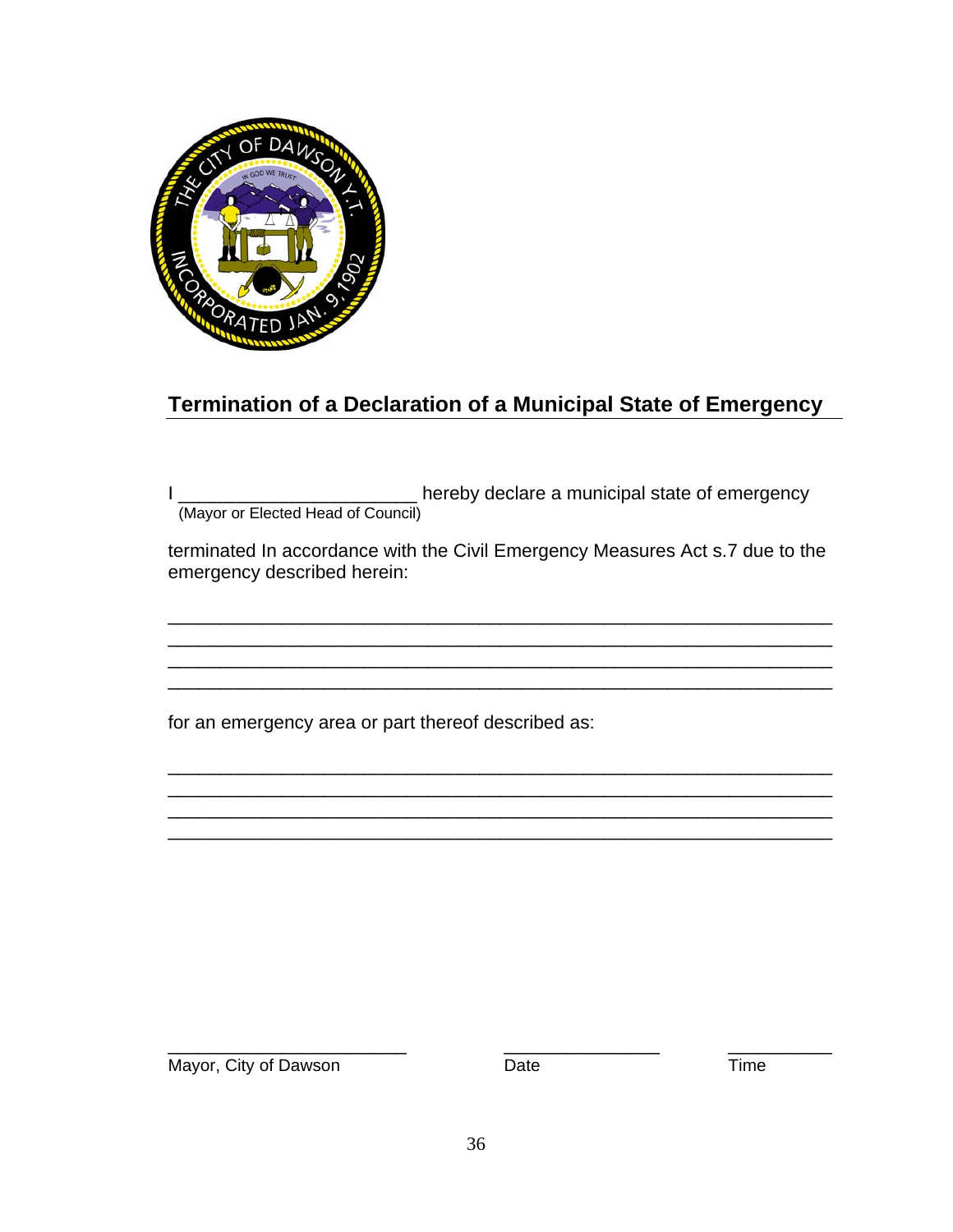

### **Termination of a Declaration of a Municipal State of Emergency**

I \_\_\_\_\_\_\_\_\_\_\_\_\_\_\_\_\_\_\_\_\_\_\_\_\_\_\_ hereby declare a municipal state of emergency (Mayor or Elected Head of Council)

terminated In accordance with the Civil Emergency Measures Act s.7 due to the emergency described herein:

\_\_\_\_\_\_\_\_\_\_\_\_\_\_\_\_\_\_\_\_\_\_\_\_\_\_\_\_\_\_\_\_\_\_\_\_\_\_\_\_\_\_\_\_\_\_\_\_\_\_\_\_\_\_\_\_\_\_\_\_\_\_\_\_ \_\_\_\_\_\_\_\_\_\_\_\_\_\_\_\_\_\_\_\_\_\_\_\_\_\_\_\_\_\_\_\_\_\_\_\_\_\_\_\_\_\_\_\_\_\_\_\_\_\_\_\_\_\_\_\_\_\_\_\_\_\_\_\_ \_\_\_\_\_\_\_\_\_\_\_\_\_\_\_\_\_\_\_\_\_\_\_\_\_\_\_\_\_\_\_\_\_\_\_\_\_\_\_\_\_\_\_\_\_\_\_\_\_\_\_\_\_\_\_\_\_\_\_\_\_\_\_\_

\_\_\_\_\_\_\_\_\_\_\_\_\_\_\_\_\_\_\_\_\_\_\_\_\_\_\_\_\_\_\_\_\_\_\_\_\_\_\_\_\_\_\_\_\_\_\_\_\_\_\_\_\_\_\_\_\_\_\_\_\_\_\_\_ \_\_\_\_\_\_\_\_\_\_\_\_\_\_\_\_\_\_\_\_\_\_\_\_\_\_\_\_\_\_\_\_\_\_\_\_\_\_\_\_\_\_\_\_\_\_\_\_\_\_\_\_\_\_\_\_\_\_\_\_\_\_\_\_ \_\_\_\_\_\_\_\_\_\_\_\_\_\_\_\_\_\_\_\_\_\_\_\_\_\_\_\_\_\_\_\_\_\_\_\_\_\_\_\_\_\_\_\_\_\_\_\_\_\_\_\_\_\_\_\_\_\_\_\_\_\_\_\_ \_\_\_\_\_\_\_\_\_\_\_\_\_\_\_\_\_\_\_\_\_\_\_\_\_\_\_\_\_\_\_\_\_\_\_\_\_\_\_\_\_\_\_\_\_\_\_\_\_\_\_\_\_\_\_\_\_\_\_\_\_\_\_\_

for an emergency area or part thereof described as:

\_\_\_\_\_\_\_\_\_\_\_\_\_\_\_\_\_\_\_\_\_\_\_ \_\_\_\_\_\_\_\_\_\_\_\_\_\_\_ \_\_\_\_\_\_\_\_\_\_ Mayor, City of Dawson **Date** Date **Date** Time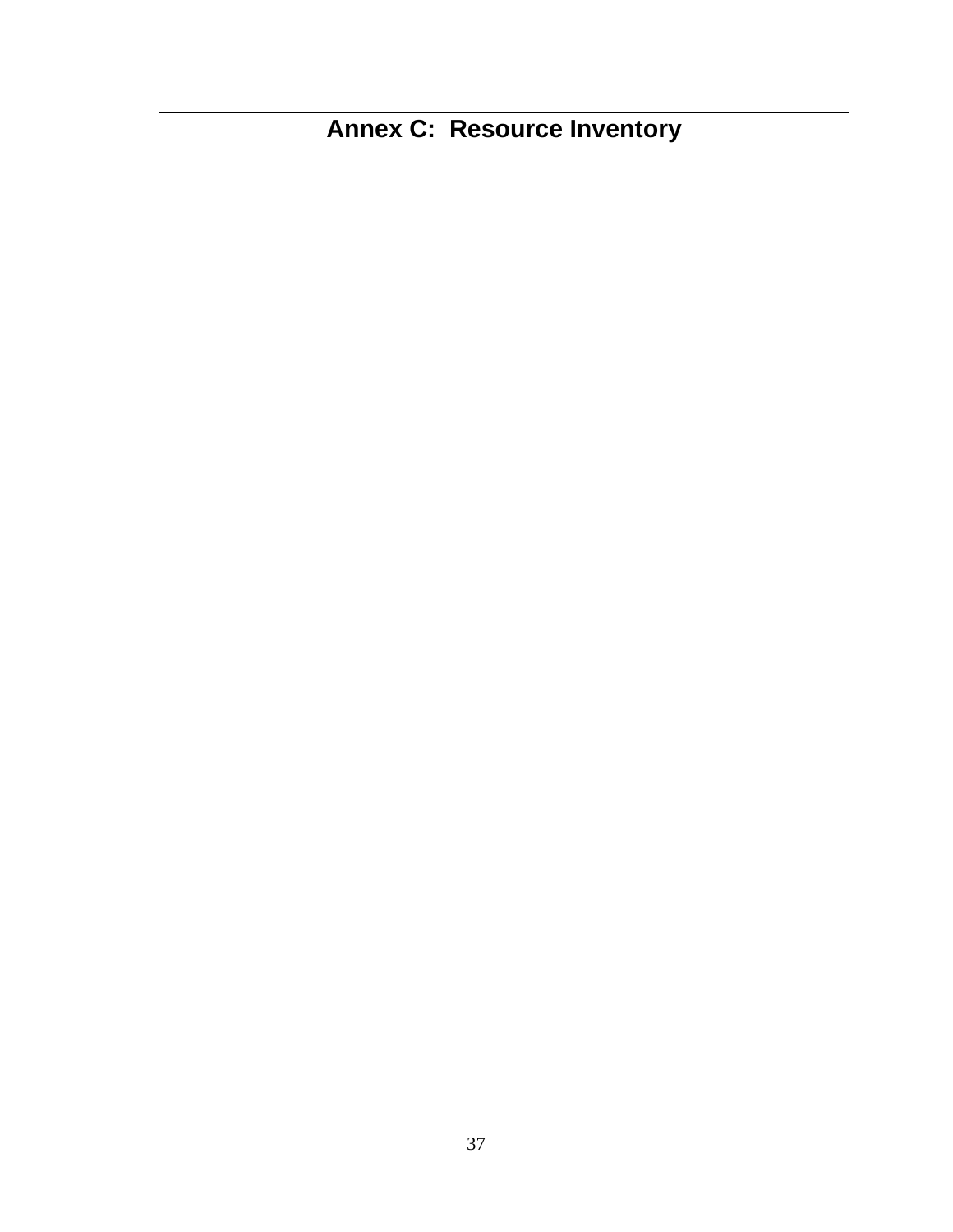# **Annex C: Resource Inventory**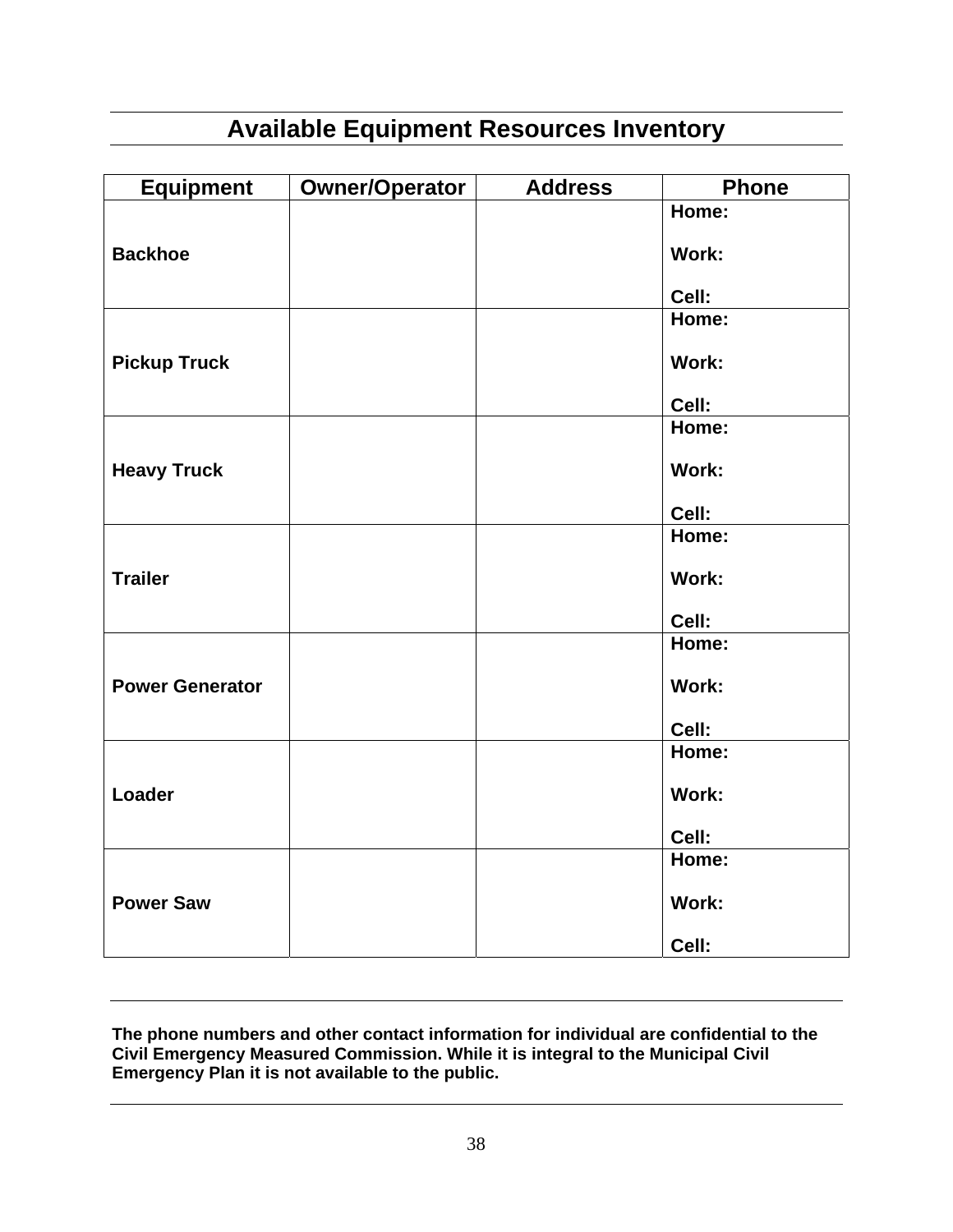# **Available Equipment Resources Inventory**

| <b>Equipment</b>       | <b>Owner/Operator</b> | <b>Address</b> | <b>Phone</b> |
|------------------------|-----------------------|----------------|--------------|
|                        |                       |                | Home:        |
| <b>Backhoe</b>         |                       |                | Work:        |
|                        |                       |                | Cell:        |
|                        |                       |                | Home:        |
| <b>Pickup Truck</b>    |                       |                | Work:        |
|                        |                       |                | Cell:        |
|                        |                       |                | Home:        |
| <b>Heavy Truck</b>     |                       |                | Work:        |
|                        |                       |                | Cell:        |
|                        |                       |                | Home:        |
| <b>Trailer</b>         |                       |                | Work:        |
|                        |                       |                | Cell:        |
|                        |                       |                | Home:        |
| <b>Power Generator</b> |                       |                | <b>Work:</b> |
|                        |                       |                | Cell:        |
|                        |                       |                | Home:        |
| Loader                 |                       |                | Work:        |
|                        |                       |                | Cell:        |
|                        |                       |                | Home:        |
| <b>Power Saw</b>       |                       |                | Work:        |
|                        |                       |                | Cell:        |

**The phone numbers and other contact information for individual are confidential to the Civil Emergency Measured Commission. While it is integral to the Municipal Civil Emergency Plan it is not available to the public.**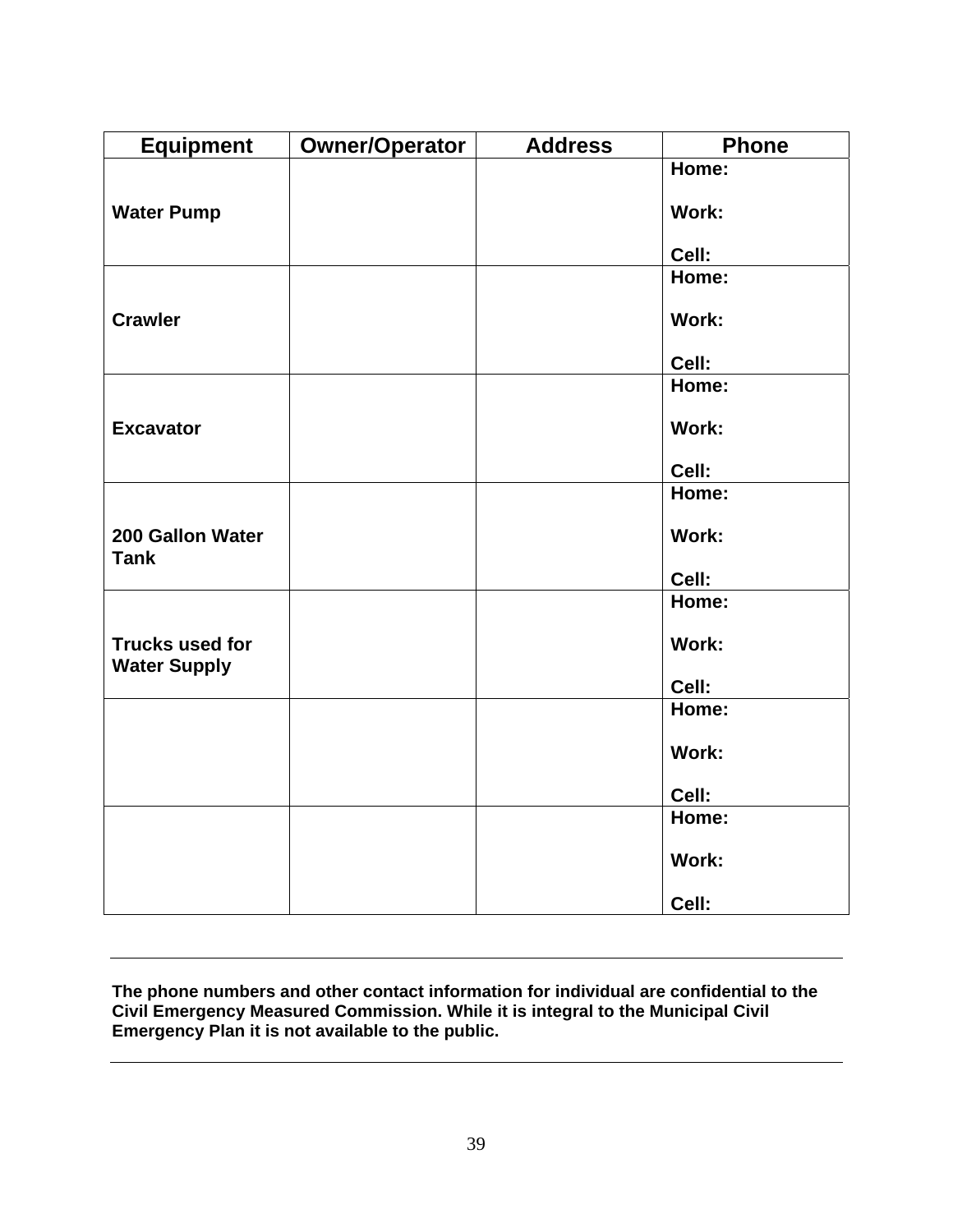| <b>Equipment</b>                              | <b>Owner/Operator</b> | <b>Address</b> | <b>Phone</b> |
|-----------------------------------------------|-----------------------|----------------|--------------|
|                                               |                       |                | Home:        |
| <b>Water Pump</b>                             |                       |                | Work:        |
|                                               |                       |                | Cell:        |
|                                               |                       |                | Home:        |
| <b>Crawler</b>                                |                       |                | Work:        |
|                                               |                       |                | Cell:        |
|                                               |                       |                | Home:        |
| <b>Excavator</b>                              |                       |                | Work:        |
|                                               |                       |                |              |
|                                               |                       |                | Cell:        |
|                                               |                       |                | Home:        |
| 200 Gallon Water<br><b>Tank</b>               |                       |                | Work:        |
|                                               |                       |                | Cell:        |
|                                               |                       |                | Home:        |
| <b>Trucks used for</b><br><b>Water Supply</b> |                       |                | Work:        |
|                                               |                       |                | Cell:        |
|                                               |                       |                | Home:        |
|                                               |                       |                | Work:        |
|                                               |                       |                | Cell:        |
|                                               |                       |                | Home:        |
|                                               |                       |                | Work:        |
|                                               |                       |                | Cell:        |

**The phone numbers and other contact information for individual are confidential to the Civil Emergency Measured Commission. While it is integral to the Municipal Civil Emergency Plan it is not available to the public.**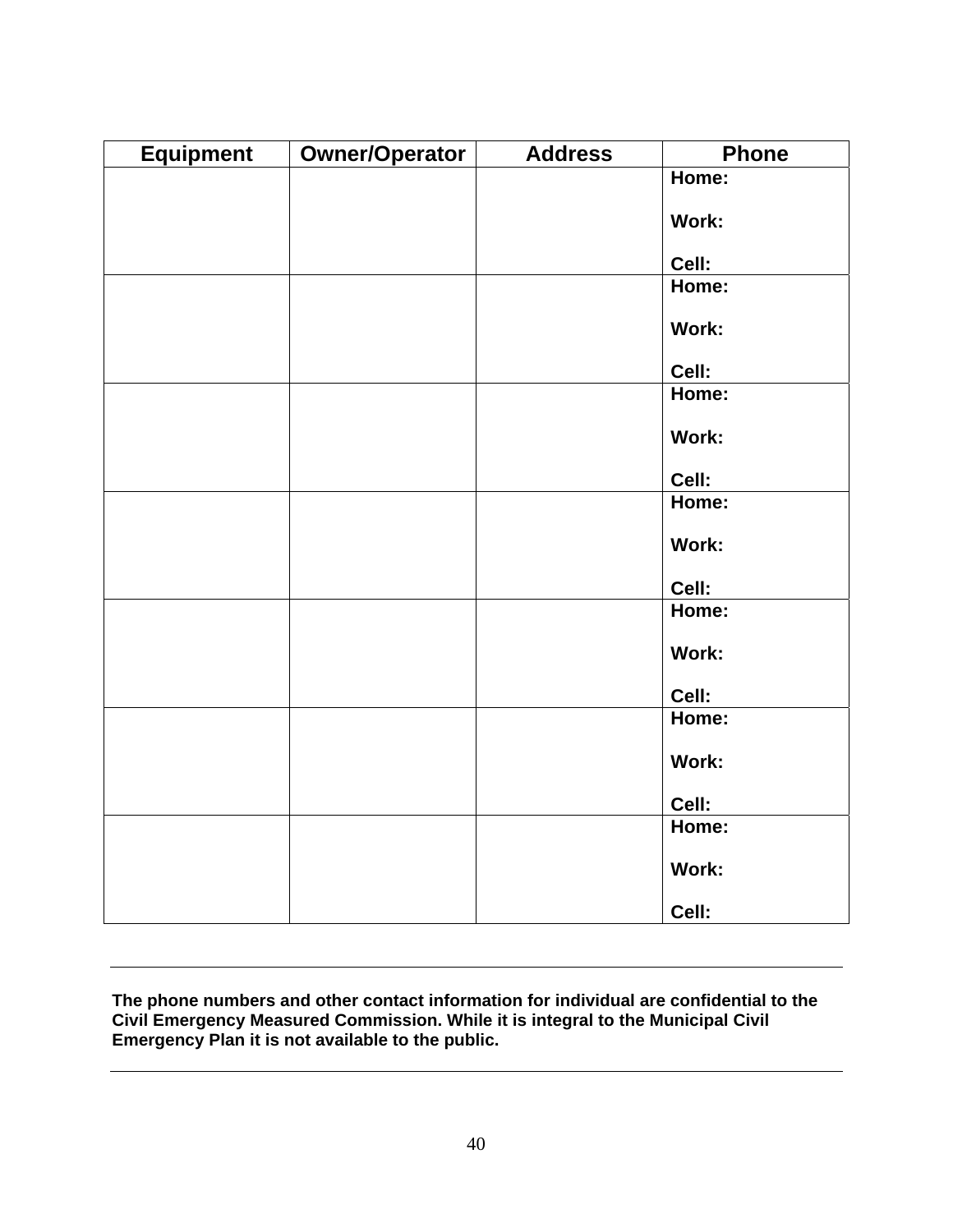| <b>Equipment</b> | <b>Owner/Operator</b> | <b>Address</b> | <b>Phone</b> |
|------------------|-----------------------|----------------|--------------|
|                  |                       |                | Home:        |
|                  |                       |                | Work:        |
|                  |                       |                |              |
|                  |                       |                | Cell:        |
|                  |                       |                | Home:        |
|                  |                       |                | Work:        |
|                  |                       |                | Cell:        |
|                  |                       |                | Home:        |
|                  |                       |                | Work:        |
|                  |                       |                |              |
|                  |                       |                | Cell:        |
|                  |                       |                | Home:        |
|                  |                       |                | Work:        |
|                  |                       |                | Cell:        |
|                  |                       |                | Home:        |
|                  |                       |                | Work:        |
|                  |                       |                | Cell:        |
|                  |                       |                | Home:        |
|                  |                       |                | Work:        |
|                  |                       |                | Cell:        |
|                  |                       |                | Home:        |
|                  |                       |                | Work:        |
|                  |                       |                | Cell:        |

**The phone numbers and other contact information for individual are confidential to the Civil Emergency Measured Commission. While it is integral to the Municipal Civil Emergency Plan it is not available to the public.**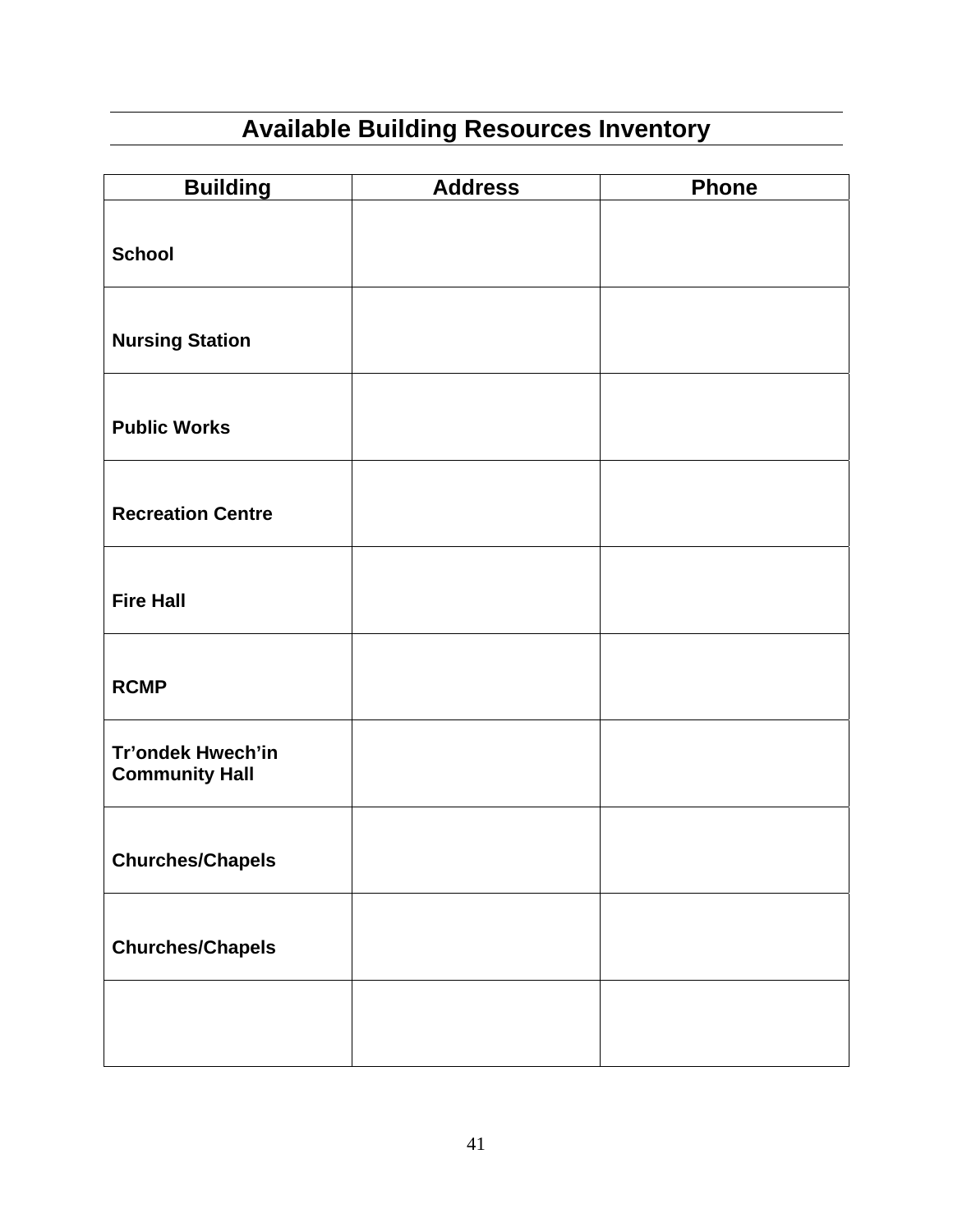# **Available Building Resources Inventory**

| <b>Building</b>                            | <b>Address</b> | <b>Phone</b> |
|--------------------------------------------|----------------|--------------|
| <b>School</b>                              |                |              |
| <b>Nursing Station</b>                     |                |              |
| <b>Public Works</b>                        |                |              |
| <b>Recreation Centre</b>                   |                |              |
| <b>Fire Hall</b>                           |                |              |
| <b>RCMP</b>                                |                |              |
| Tr'ondek Hwech'in<br><b>Community Hall</b> |                |              |
| <b>Churches/Chapels</b>                    |                |              |
| <b>Churches/Chapels</b>                    |                |              |
|                                            |                |              |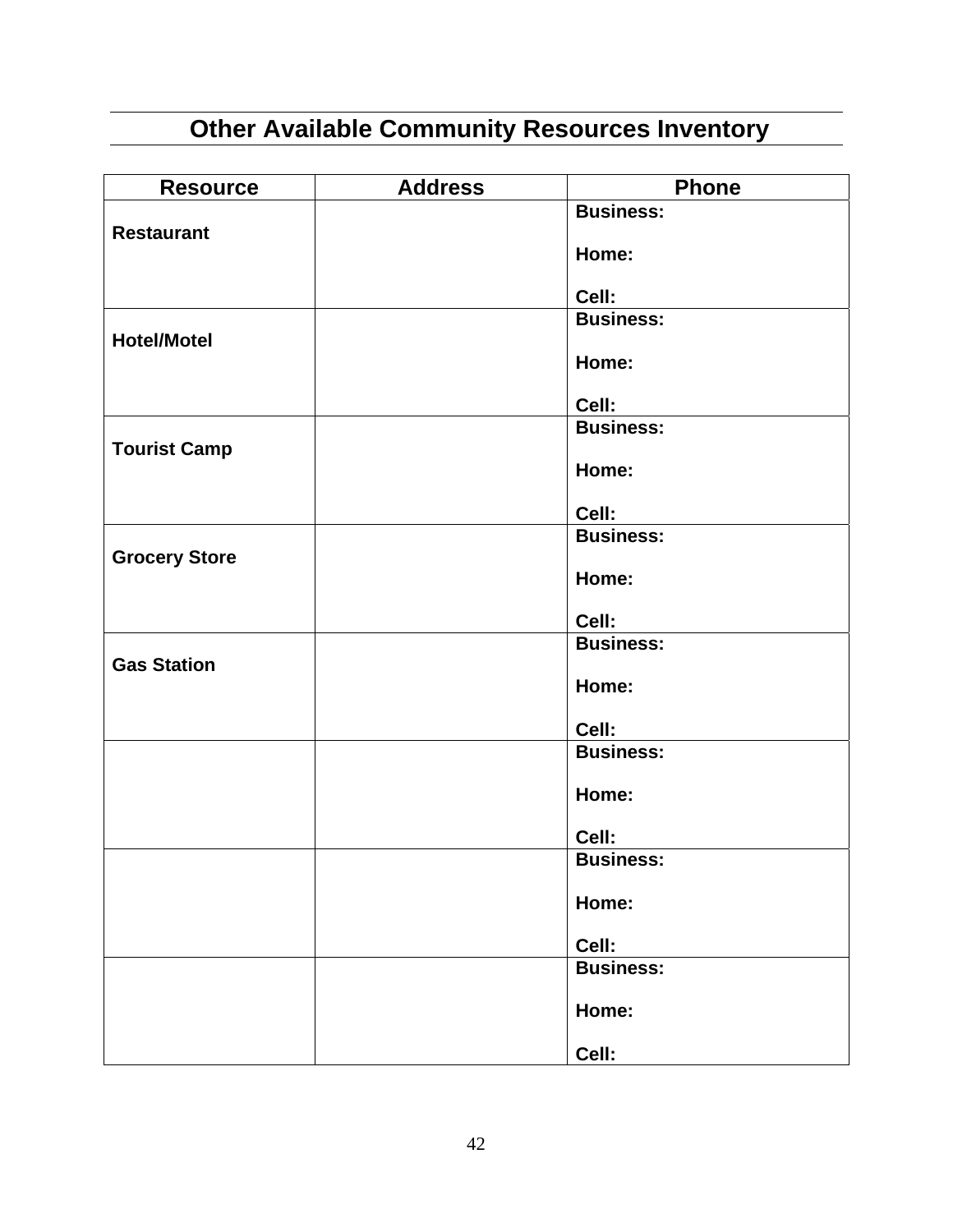# **Other Available Community Resources Inventory**

| <b>Resource</b>      | <b>Address</b> | <b>Phone</b>              |
|----------------------|----------------|---------------------------|
|                      |                | <b>Business:</b>          |
| <b>Restaurant</b>    |                | Home:                     |
|                      |                | Cell:                     |
|                      |                | <b>Business:</b>          |
| <b>Hotel/Motel</b>   |                |                           |
|                      |                | Home:                     |
|                      |                | Cell:                     |
|                      |                | <b>Business:</b>          |
| <b>Tourist Camp</b>  |                |                           |
|                      |                | Home:                     |
|                      |                | Cell:                     |
|                      |                | <b>Business:</b>          |
| <b>Grocery Store</b> |                |                           |
|                      |                | Home:                     |
|                      |                | Cell:                     |
|                      |                | <b>Business:</b>          |
| <b>Gas Station</b>   |                |                           |
|                      |                | Home:                     |
|                      |                | Cell:                     |
|                      |                | <b>Business:</b>          |
|                      |                |                           |
|                      |                | Home:                     |
|                      |                | Cell:                     |
|                      |                | <b>Business:</b>          |
|                      |                |                           |
|                      |                | Home:                     |
|                      |                |                           |
|                      |                | Cell:<br><b>Business:</b> |
|                      |                |                           |
|                      |                | Home:                     |
|                      |                | Cell:                     |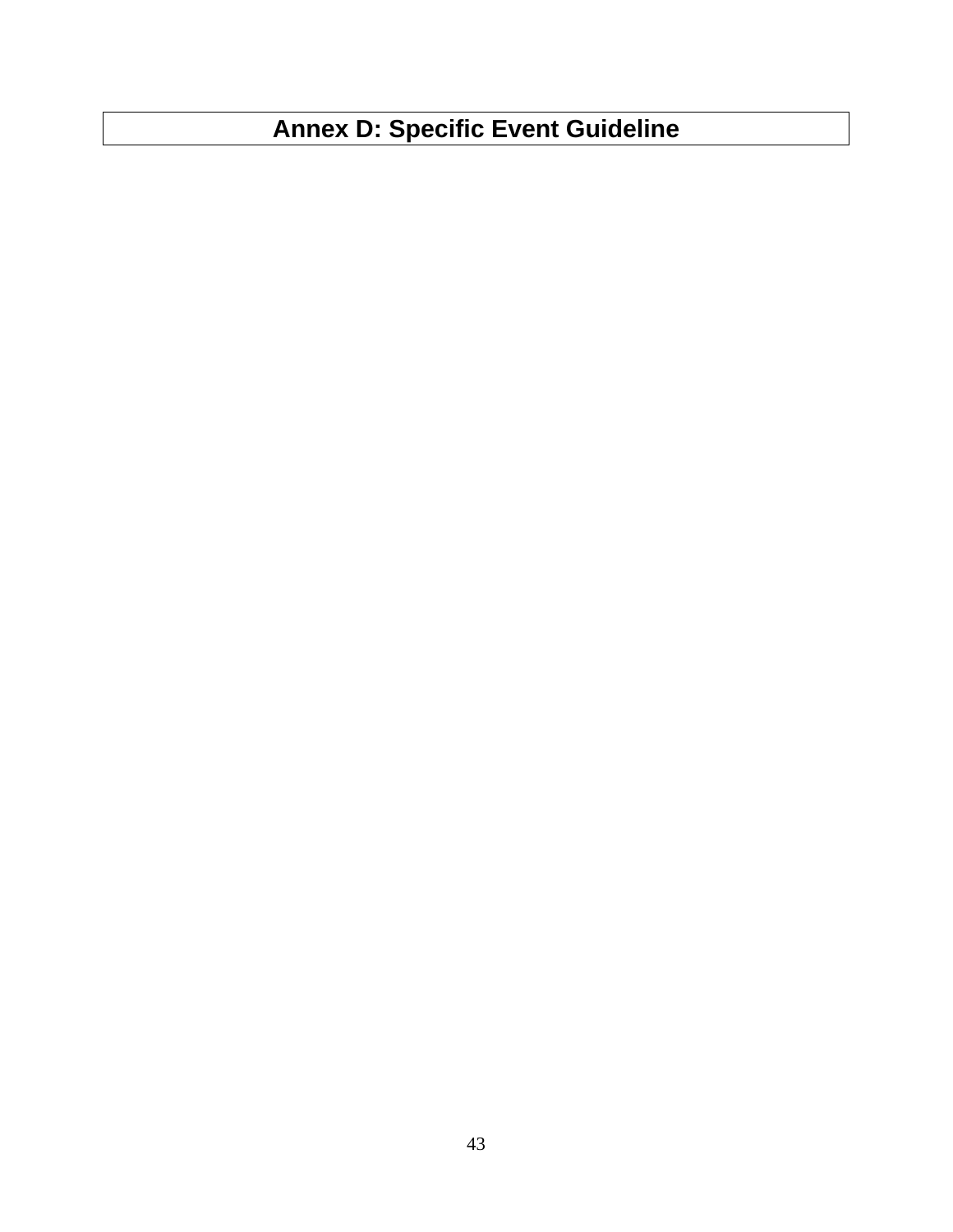# **Annex D: Specific Event Guideline**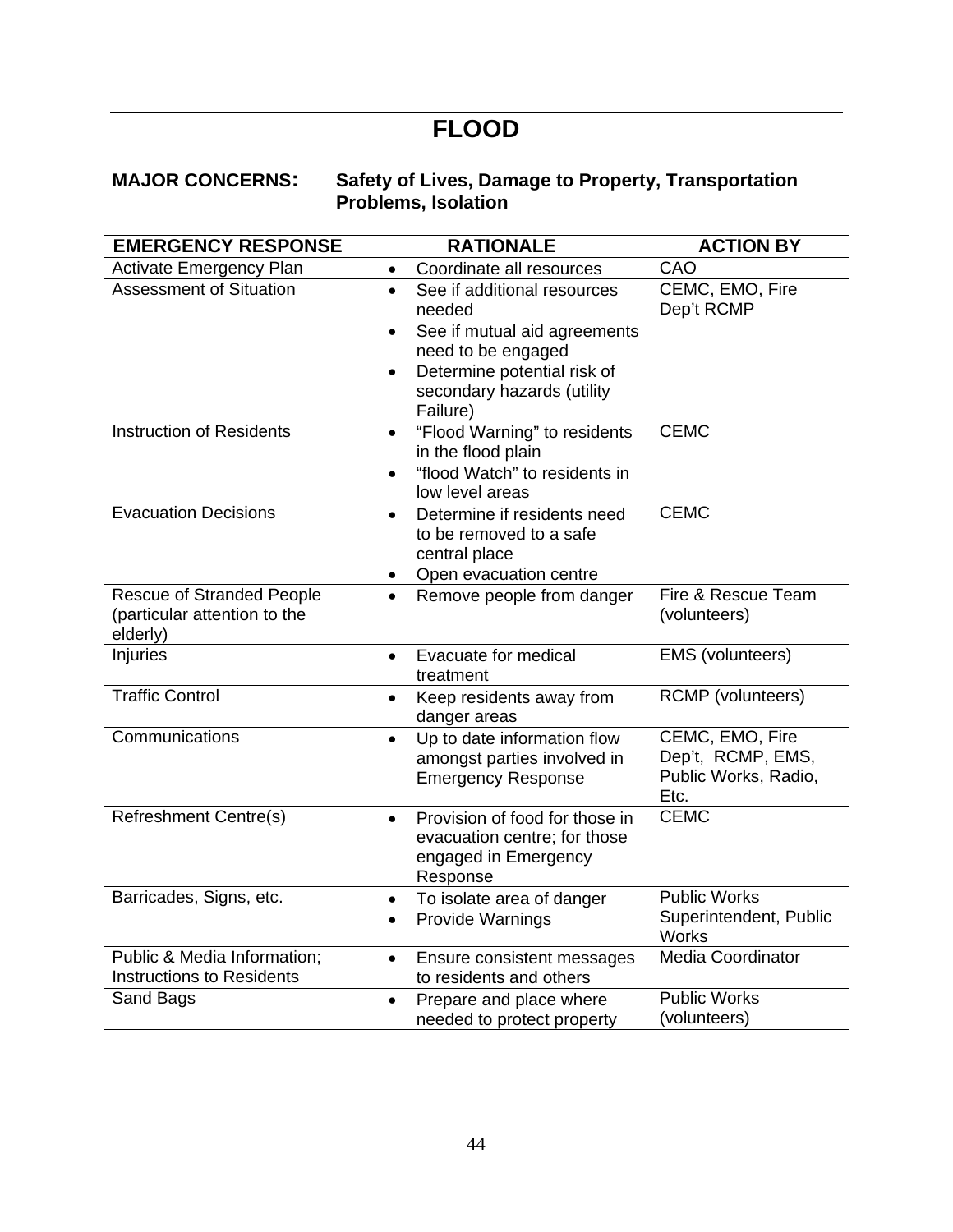# **FLOOD**

#### **MAJOR CONCERNS: Safety of Lives, Damage to Property, Transportation Problems, Isolation**

| <b>EMERGENCY RESPONSE</b>                                                    | <b>RATIONALE</b>                                                                                                                 | <b>ACTION BY</b>                                                     |
|------------------------------------------------------------------------------|----------------------------------------------------------------------------------------------------------------------------------|----------------------------------------------------------------------|
| <b>Activate Emergency Plan</b>                                               | Coordinate all resources<br>$\bullet$                                                                                            | CAO                                                                  |
| <b>Assessment of Situation</b>                                               | See if additional resources<br>$\bullet$<br>needed                                                                               | CEMC, EMO, Fire<br>Dep't RCMP                                        |
|                                                                              | See if mutual aid agreements<br>need to be engaged                                                                               |                                                                      |
|                                                                              | Determine potential risk of<br>$\bullet$<br>secondary hazards (utility<br>Failure)                                               |                                                                      |
| <b>Instruction of Residents</b>                                              | "Flood Warning" to residents<br>$\bullet$<br>in the flood plain<br>"flood Watch" to residents in<br>$\bullet$<br>low level areas | <b>CEMC</b>                                                          |
| <b>Evacuation Decisions</b>                                                  | Determine if residents need<br>$\bullet$<br>to be removed to a safe<br>central place<br>Open evacuation centre                   | <b>CEMC</b>                                                          |
| <b>Rescue of Stranded People</b><br>(particular attention to the<br>elderly) | Remove people from danger<br>$\bullet$                                                                                           | Fire & Rescue Team<br>(volunteers)                                   |
| Injuries                                                                     | Evacuate for medical<br>$\bullet$<br>treatment                                                                                   | EMS (volunteers)                                                     |
| <b>Traffic Control</b>                                                       | Keep residents away from<br>$\bullet$<br>danger areas                                                                            | RCMP (volunteers)                                                    |
| Communications                                                               | Up to date information flow<br>$\bullet$<br>amongst parties involved in<br><b>Emergency Response</b>                             | CEMC, EMO, Fire<br>Dep't, RCMP, EMS,<br>Public Works, Radio,<br>Etc. |
| <b>Refreshment Centre(s)</b>                                                 | Provision of food for those in<br>$\bullet$<br>evacuation centre; for those<br>engaged in Emergency<br>Response                  | <b>CEMC</b>                                                          |
| Barricades, Signs, etc.                                                      | To isolate area of danger<br>$\bullet$<br>Provide Warnings<br>$\bullet$                                                          | <b>Public Works</b><br>Superintendent, Public<br><b>Works</b>        |
| Public & Media Information;<br><b>Instructions to Residents</b>              | Ensure consistent messages<br>$\bullet$<br>to residents and others                                                               | <b>Media Coordinator</b>                                             |
| Sand Bags                                                                    | Prepare and place where<br>$\bullet$<br>needed to protect property                                                               | Public Works<br>(volunteers)                                         |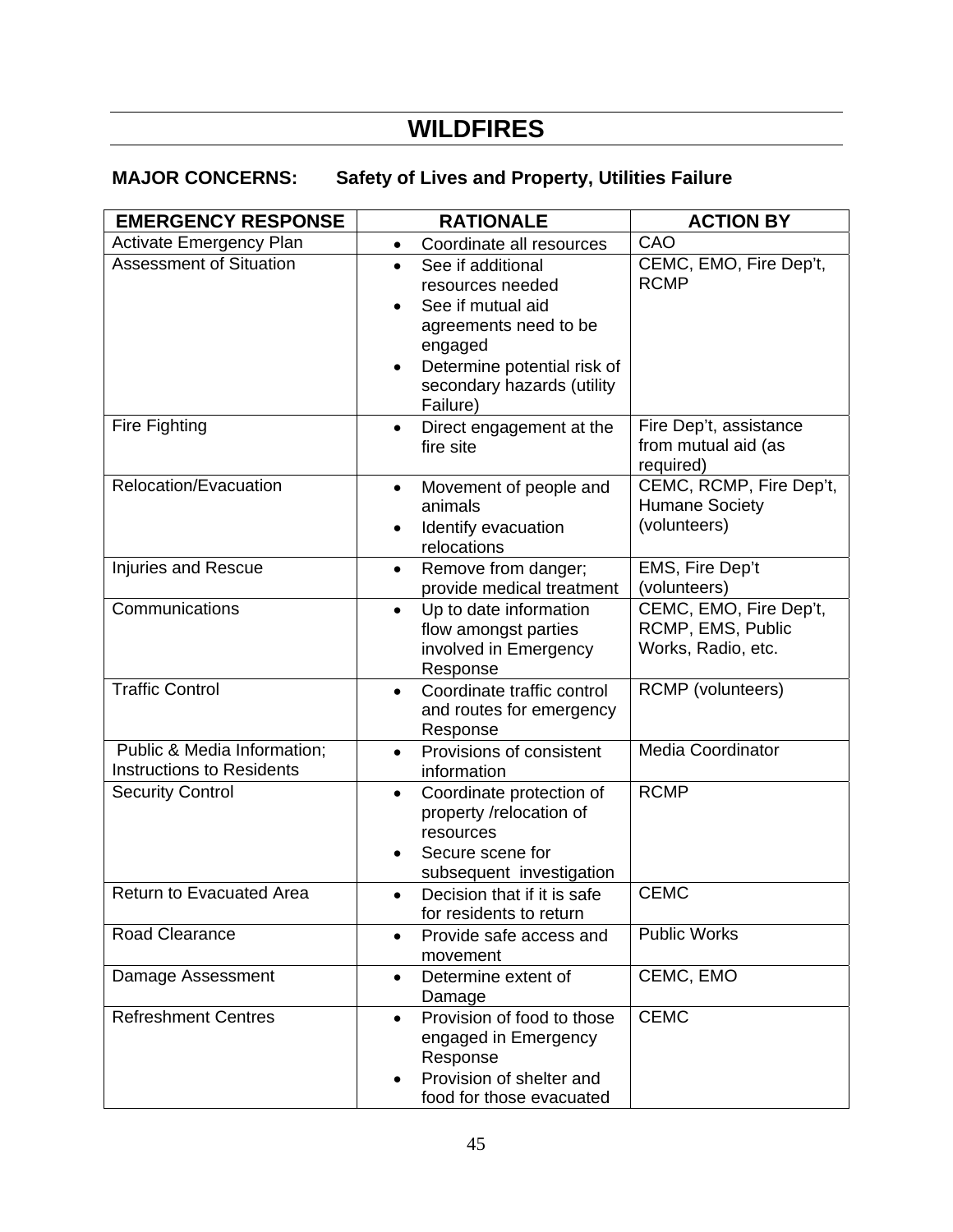# **WILDFIRES**

### **MAJOR CONCERNS: Safety of Lives and Property, Utilities Failure**

| <b>EMERGENCY RESPONSE</b>                                       | <b>RATIONALE</b>                                                                                                                                                                                  | <b>ACTION BY</b>                                                  |  |
|-----------------------------------------------------------------|---------------------------------------------------------------------------------------------------------------------------------------------------------------------------------------------------|-------------------------------------------------------------------|--|
| <b>Activate Emergency Plan</b>                                  | Coordinate all resources<br>$\bullet$                                                                                                                                                             | CAO                                                               |  |
| <b>Assessment of Situation</b>                                  | See if additional<br>$\bullet$<br>resources needed<br>See if mutual aid<br>$\bullet$<br>agreements need to be<br>engaged<br>Determine potential risk of<br>secondary hazards (utility<br>Failure) | CEMC, EMO, Fire Dep't,<br><b>RCMP</b>                             |  |
| Fire Fighting                                                   | Direct engagement at the<br>$\bullet$<br>fire site                                                                                                                                                | Fire Dep't, assistance<br>from mutual aid (as<br>required)        |  |
| Relocation/Evacuation                                           | Movement of people and<br>animals<br>Identify evacuation<br>relocations                                                                                                                           | CEMC, RCMP, Fire Dep't,<br><b>Humane Society</b><br>(volunteers)  |  |
| Injuries and Rescue                                             | Remove from danger;<br>$\bullet$<br>provide medical treatment                                                                                                                                     | EMS, Fire Dep't<br>(volunteers)                                   |  |
| Communications                                                  | Up to date information<br>$\bullet$<br>flow amongst parties<br>involved in Emergency<br>Response                                                                                                  | CEMC, EMO, Fire Dep't,<br>RCMP, EMS, Public<br>Works, Radio, etc. |  |
| <b>Traffic Control</b>                                          | Coordinate traffic control<br>$\bullet$<br>and routes for emergency<br>Response                                                                                                                   | <b>RCMP</b> (volunteers)                                          |  |
| Public & Media Information;<br><b>Instructions to Residents</b> | Provisions of consistent<br>$\bullet$<br>information                                                                                                                                              | <b>Media Coordinator</b>                                          |  |
| <b>Security Control</b>                                         | Coordinate protection of<br>$\bullet$<br>property /relocation of<br>resources<br>Secure scene for<br>subsequent investigation                                                                     | <b>RCMP</b>                                                       |  |
| Return to Evacuated Area                                        | Decision that if it is safe<br>$\bullet$<br>for residents to return                                                                                                                               | <b>CEMC</b>                                                       |  |
| <b>Road Clearance</b>                                           | Provide safe access and<br>movement                                                                                                                                                               | <b>Public Works</b>                                               |  |
| Damage Assessment                                               | Determine extent of<br>Damage                                                                                                                                                                     | CEMC, EMO                                                         |  |
| <b>Refreshment Centres</b>                                      | Provision of food to those<br>engaged in Emergency<br>Response<br>Provision of shelter and<br>food for those evacuated                                                                            | <b>CEMC</b>                                                       |  |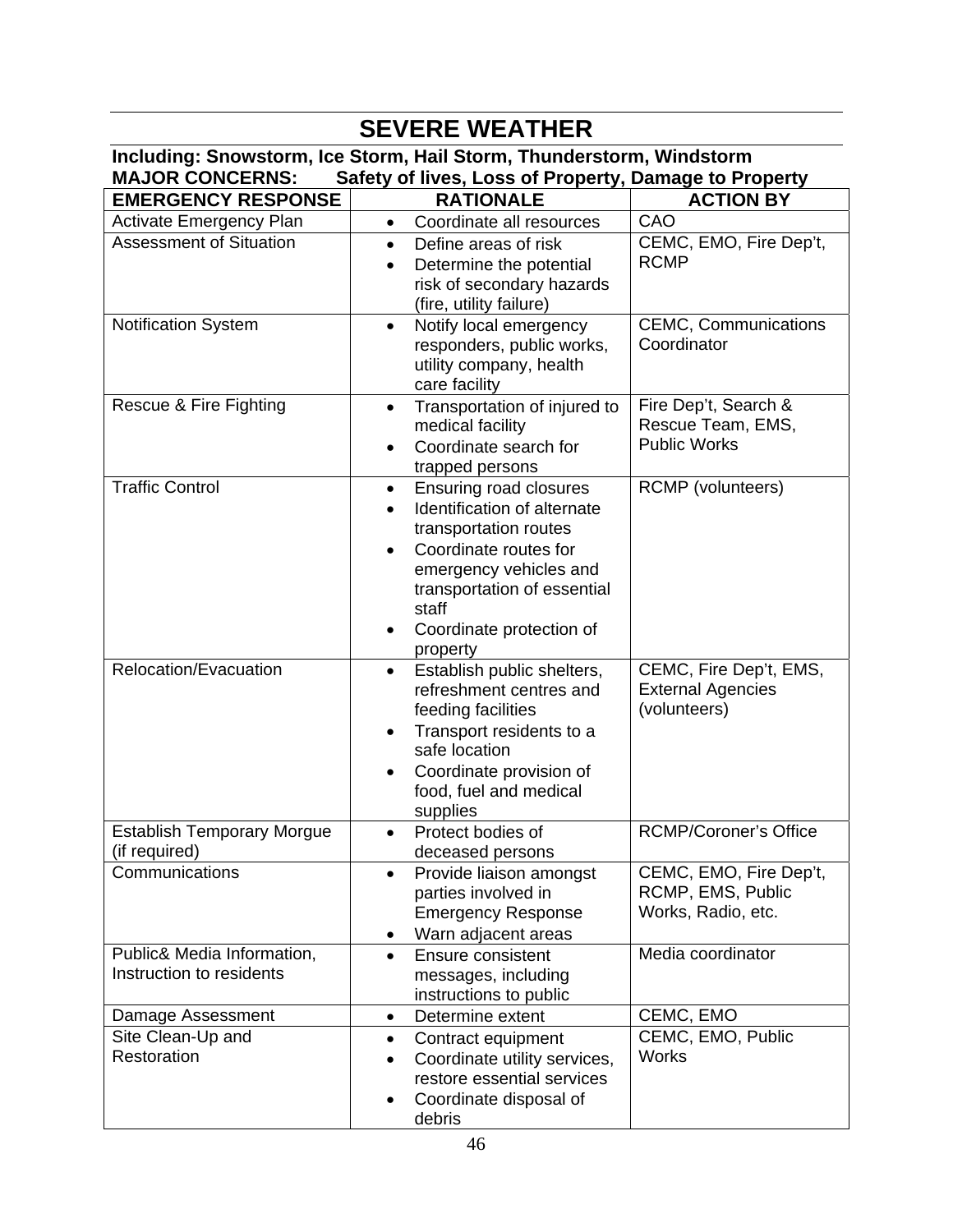| <b>SEVERE WEATHER</b>                                             |                                                                      |                              |  |  |  |  |  |
|-------------------------------------------------------------------|----------------------------------------------------------------------|------------------------------|--|--|--|--|--|
|                                                                   | Including: Snowstorm, Ice Storm, Hail Storm, Thunderstorm, Windstorm |                              |  |  |  |  |  |
| <b>MAJOR CONCERNS:</b>                                            | Safety of lives, Loss of Property, Damage to Property                |                              |  |  |  |  |  |
| <b>EMERGENCY RESPONSE</b><br><b>RATIONALE</b><br><b>ACTION BY</b> |                                                                      |                              |  |  |  |  |  |
| <b>Activate Emergency Plan</b>                                    | Coordinate all resources<br>$\bullet$                                | CAO                          |  |  |  |  |  |
| <b>Assessment of Situation</b>                                    | Define areas of risk<br>$\bullet$                                    | CEMC, EMO, Fire Dep't,       |  |  |  |  |  |
|                                                                   | Determine the potential<br>$\bullet$                                 | <b>RCMP</b>                  |  |  |  |  |  |
|                                                                   | risk of secondary hazards<br>(fire, utility failure)                 |                              |  |  |  |  |  |
| <b>Notification System</b>                                        | Notify local emergency<br>$\bullet$                                  | <b>CEMC, Communications</b>  |  |  |  |  |  |
|                                                                   | responders, public works,                                            | Coordinator                  |  |  |  |  |  |
|                                                                   | utility company, health                                              |                              |  |  |  |  |  |
|                                                                   | care facility                                                        |                              |  |  |  |  |  |
| Rescue & Fire Fighting                                            | Transportation of injured to<br>$\bullet$                            | Fire Dep't, Search &         |  |  |  |  |  |
|                                                                   | medical facility                                                     | Rescue Team, EMS,            |  |  |  |  |  |
|                                                                   | Coordinate search for                                                | <b>Public Works</b>          |  |  |  |  |  |
| <b>Traffic Control</b>                                            | trapped persons<br>Ensuring road closures<br>$\bullet$               | <b>RCMP</b> (volunteers)     |  |  |  |  |  |
|                                                                   | Identification of alternate                                          |                              |  |  |  |  |  |
|                                                                   | transportation routes                                                |                              |  |  |  |  |  |
|                                                                   | Coordinate routes for                                                |                              |  |  |  |  |  |
|                                                                   | emergency vehicles and                                               |                              |  |  |  |  |  |
|                                                                   | transportation of essential                                          |                              |  |  |  |  |  |
|                                                                   | staff                                                                |                              |  |  |  |  |  |
|                                                                   | Coordinate protection of                                             |                              |  |  |  |  |  |
| Relocation/Evacuation                                             | property<br>Establish public shelters,<br>$\bullet$                  | CEMC, Fire Dep't, EMS,       |  |  |  |  |  |
|                                                                   | refreshment centres and                                              | <b>External Agencies</b>     |  |  |  |  |  |
|                                                                   | feeding facilities                                                   | (volunteers)                 |  |  |  |  |  |
|                                                                   | Transport residents to a<br>$\bullet$                                |                              |  |  |  |  |  |
|                                                                   | safe location                                                        |                              |  |  |  |  |  |
|                                                                   | Coordinate provision of                                              |                              |  |  |  |  |  |
|                                                                   | food, fuel and medical<br>supplies                                   |                              |  |  |  |  |  |
| <b>Establish Temporary Morgue</b>                                 | Protect bodies of<br>$\bullet$                                       | <b>RCMP/Coroner's Office</b> |  |  |  |  |  |
| (if required)                                                     | deceased persons                                                     |                              |  |  |  |  |  |
| Communications                                                    | Provide liaison amongst<br>$\bullet$                                 | CEMC, EMO, Fire Dep't,       |  |  |  |  |  |
|                                                                   | parties involved in                                                  | RCMP, EMS, Public            |  |  |  |  |  |
|                                                                   | <b>Emergency Response</b>                                            | Works, Radio, etc.           |  |  |  |  |  |
|                                                                   | Warn adjacent areas<br>$\bullet$                                     |                              |  |  |  |  |  |
| Public& Media Information,<br>Instruction to residents            | Ensure consistent<br>$\bullet$                                       | Media coordinator            |  |  |  |  |  |
|                                                                   | messages, including<br>instructions to public                        |                              |  |  |  |  |  |
| Damage Assessment                                                 | Determine extent<br>٠                                                | CEMC, EMO                    |  |  |  |  |  |
| Site Clean-Up and                                                 | Contract equipment<br>٠                                              | CEMC, EMO, Public            |  |  |  |  |  |
| Restoration                                                       | Coordinate utility services,<br>$\bullet$                            | <b>Works</b>                 |  |  |  |  |  |
|                                                                   | restore essential services                                           |                              |  |  |  |  |  |
|                                                                   | Coordinate disposal of<br>٠                                          |                              |  |  |  |  |  |
|                                                                   | debris                                                               |                              |  |  |  |  |  |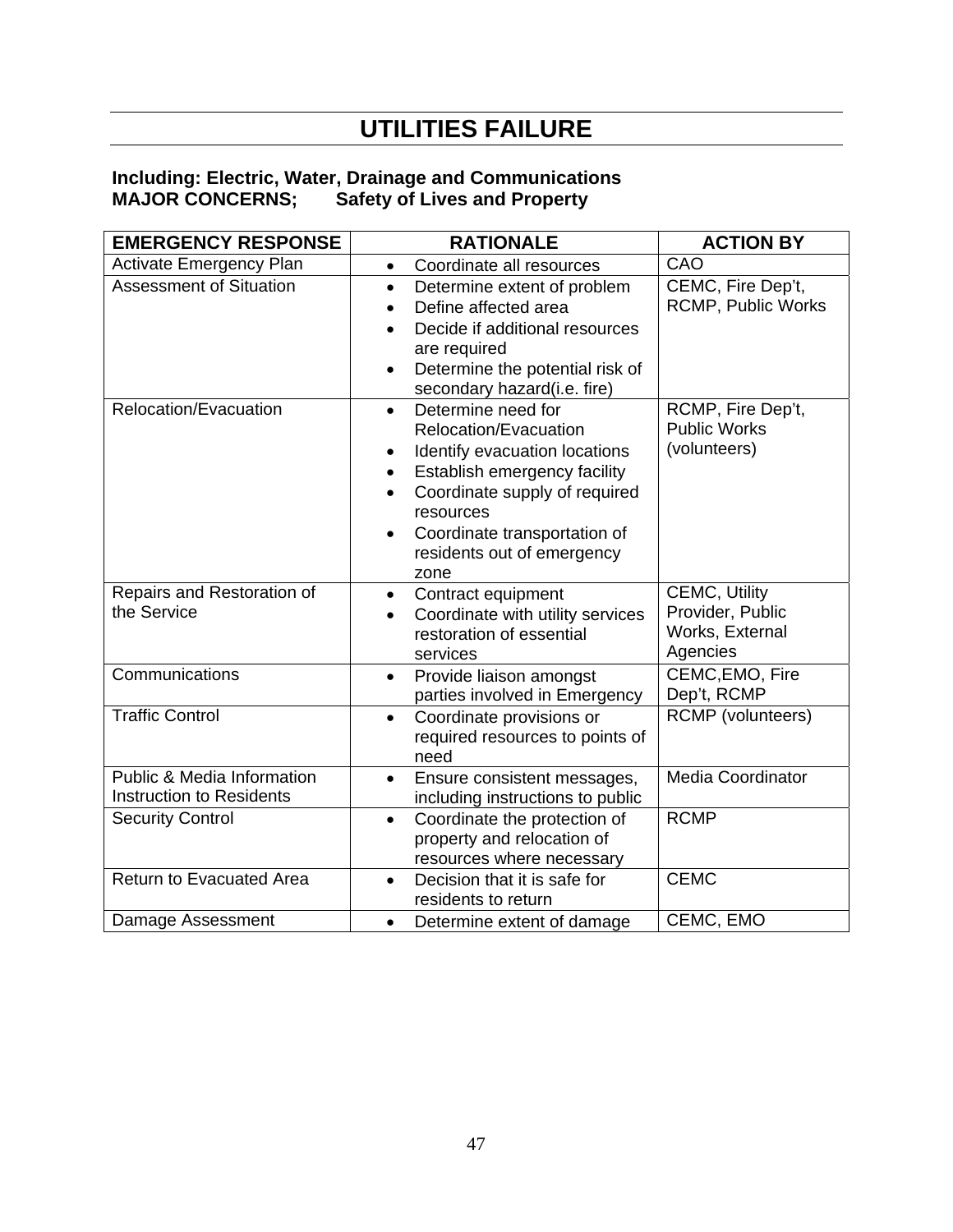# **UTILITIES FAILURE**

#### **Including: Electric, Water, Drainage and Communications MAJOR CONCERNS; Safety of Lives and Property**

| <b>EMERGENCY RESPONSE</b>                                                | <b>RATIONALE</b>                                                                                                                                                                                                                                                        | <b>ACTION BY</b>                                                        |  |
|--------------------------------------------------------------------------|-------------------------------------------------------------------------------------------------------------------------------------------------------------------------------------------------------------------------------------------------------------------------|-------------------------------------------------------------------------|--|
| <b>Activate Emergency Plan</b>                                           | Coordinate all resources<br>$\bullet$                                                                                                                                                                                                                                   | CAO                                                                     |  |
| <b>Assessment of Situation</b>                                           | Determine extent of problem<br>$\bullet$<br>Define affected area<br>Decide if additional resources<br>are required<br>Determine the potential risk of<br>secondary hazard(i.e. fire)                                                                                    | CEMC, Fire Dep't,<br><b>RCMP, Public Works</b>                          |  |
| Relocation/Evacuation                                                    | Determine need for<br>$\bullet$<br>Relocation/Evacuation<br>Identify evacuation locations<br>Establish emergency facility<br>$\bullet$<br>Coordinate supply of required<br>resources<br>Coordinate transportation of<br>$\bullet$<br>residents out of emergency<br>zone | RCMP, Fire Dep't,<br><b>Public Works</b><br>(volunteers)                |  |
| Repairs and Restoration of<br>the Service                                | Contract equipment<br>$\bullet$<br>Coordinate with utility services<br>restoration of essential<br>services                                                                                                                                                             | <b>CEMC, Utility</b><br>Provider, Public<br>Works, External<br>Agencies |  |
| Communications                                                           | Provide liaison amongst<br>$\bullet$<br>parties involved in Emergency                                                                                                                                                                                                   | CEMC, EMO, Fire<br>Dep't, RCMP                                          |  |
| <b>Traffic Control</b>                                                   | Coordinate provisions or<br>$\bullet$<br>required resources to points of<br>need                                                                                                                                                                                        | <b>RCMP</b> (volunteers)                                                |  |
| <b>Public &amp; Media Information</b><br><b>Instruction to Residents</b> | Ensure consistent messages,<br>$\bullet$<br>including instructions to public                                                                                                                                                                                            | <b>Media Coordinator</b>                                                |  |
| <b>Security Control</b>                                                  | Coordinate the protection of<br>$\bullet$<br>property and relocation of<br>resources where necessary                                                                                                                                                                    | <b>RCMP</b>                                                             |  |
| Return to Evacuated Area                                                 | Decision that it is safe for<br>$\bullet$<br>residents to return                                                                                                                                                                                                        | <b>CEMC</b>                                                             |  |
| Damage Assessment                                                        | Determine extent of damage                                                                                                                                                                                                                                              | CEMC, EMO                                                               |  |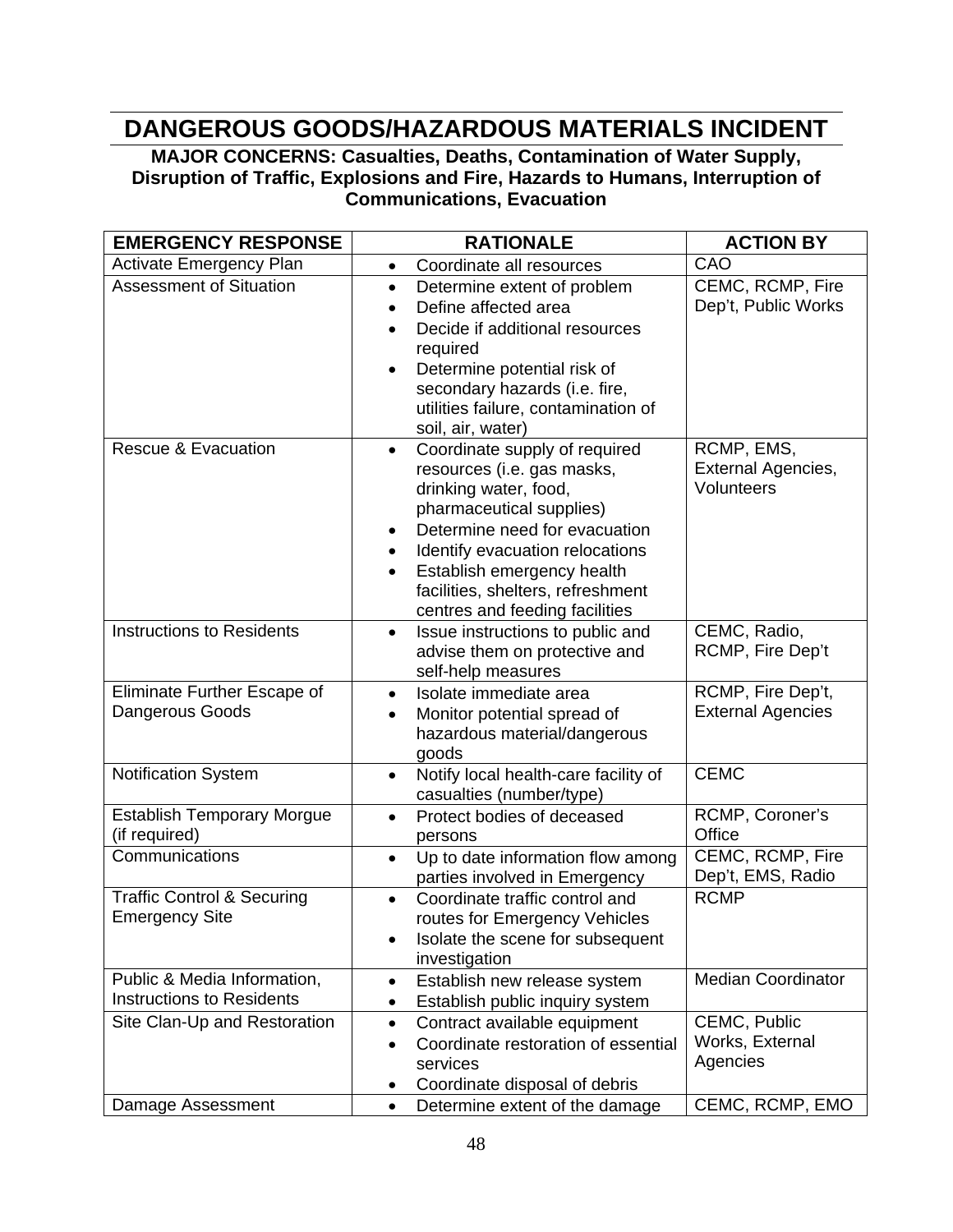# **DANGEROUS GOODS/HAZARDOUS MATERIALS INCIDENT**

**MAJOR CONCERNS: Casualties, Deaths, Contamination of Water Supply, Disruption of Traffic, Explosions and Fire, Hazards to Humans, Interruption of Communications, Evacuation** 

| <b>EMERGENCY RESPONSE</b>                                       | <b>RATIONALE</b>                                                                                                                                                                                                                                                                                                                 | <b>ACTION BY</b>                               |
|-----------------------------------------------------------------|----------------------------------------------------------------------------------------------------------------------------------------------------------------------------------------------------------------------------------------------------------------------------------------------------------------------------------|------------------------------------------------|
| <b>Activate Emergency Plan</b>                                  | Coordinate all resources<br>$\bullet$                                                                                                                                                                                                                                                                                            | CAO                                            |
| <b>Assessment of Situation</b>                                  | Determine extent of problem<br>$\bullet$<br>Define affected area<br>$\bullet$<br>Decide if additional resources<br>$\bullet$<br>required<br>Determine potential risk of<br>$\bullet$<br>secondary hazards (i.e. fire,<br>utilities failure, contamination of<br>soil, air, water)                                                | CEMC, RCMP, Fire<br>Dep't, Public Works        |
| <b>Rescue &amp; Evacuation</b>                                  | Coordinate supply of required<br>$\bullet$<br>resources (i.e. gas masks,<br>drinking water, food,<br>pharmaceutical supplies)<br>Determine need for evacuation<br>Identify evacuation relocations<br>$\bullet$<br>Establish emergency health<br>$\bullet$<br>facilities, shelters, refreshment<br>centres and feeding facilities | RCMP, EMS,<br>External Agencies,<br>Volunteers |
| <b>Instructions to Residents</b>                                | Issue instructions to public and<br>$\bullet$<br>advise them on protective and<br>self-help measures                                                                                                                                                                                                                             | CEMC, Radio,<br>RCMP, Fire Dep't               |
| Eliminate Further Escape of<br>Dangerous Goods                  | Isolate immediate area<br>$\bullet$<br>Monitor potential spread of<br>$\bullet$<br>hazardous material/dangerous<br>goods                                                                                                                                                                                                         | RCMP, Fire Dep't,<br><b>External Agencies</b>  |
| <b>Notification System</b>                                      | Notify local health-care facility of<br>$\bullet$<br>casualties (number/type)                                                                                                                                                                                                                                                    | <b>CEMC</b>                                    |
| <b>Establish Temporary Morgue</b><br>(if required)              | Protect bodies of deceased<br>$\bullet$<br>persons                                                                                                                                                                                                                                                                               | RCMP, Coroner's<br>Office                      |
| Communications                                                  | Up to date information flow among<br>$\bullet$<br>parties involved in Emergency                                                                                                                                                                                                                                                  | CEMC, RCMP, Fire<br>Dep't, EMS, Radio          |
| <b>Traffic Control &amp; Securing</b><br><b>Emergency Site</b>  | Coordinate traffic control and<br>$\bullet$<br>routes for Emergency Vehicles<br>Isolate the scene for subsequent<br>investigation                                                                                                                                                                                                | <b>RCMP</b>                                    |
| Public & Media Information,<br><b>Instructions to Residents</b> | Establish new release system<br>$\bullet$<br>Establish public inquiry system<br>$\bullet$                                                                                                                                                                                                                                        | <b>Median Coordinator</b>                      |
| Site Clan-Up and Restoration                                    | Contract available equipment<br>$\bullet$<br>Coordinate restoration of essential<br>$\bullet$<br>services<br>Coordinate disposal of debris<br>٠                                                                                                                                                                                  | CEMC, Public<br>Works, External<br>Agencies    |
| Damage Assessment                                               | Determine extent of the damage<br>$\bullet$                                                                                                                                                                                                                                                                                      | CEMC, RCMP, EMO                                |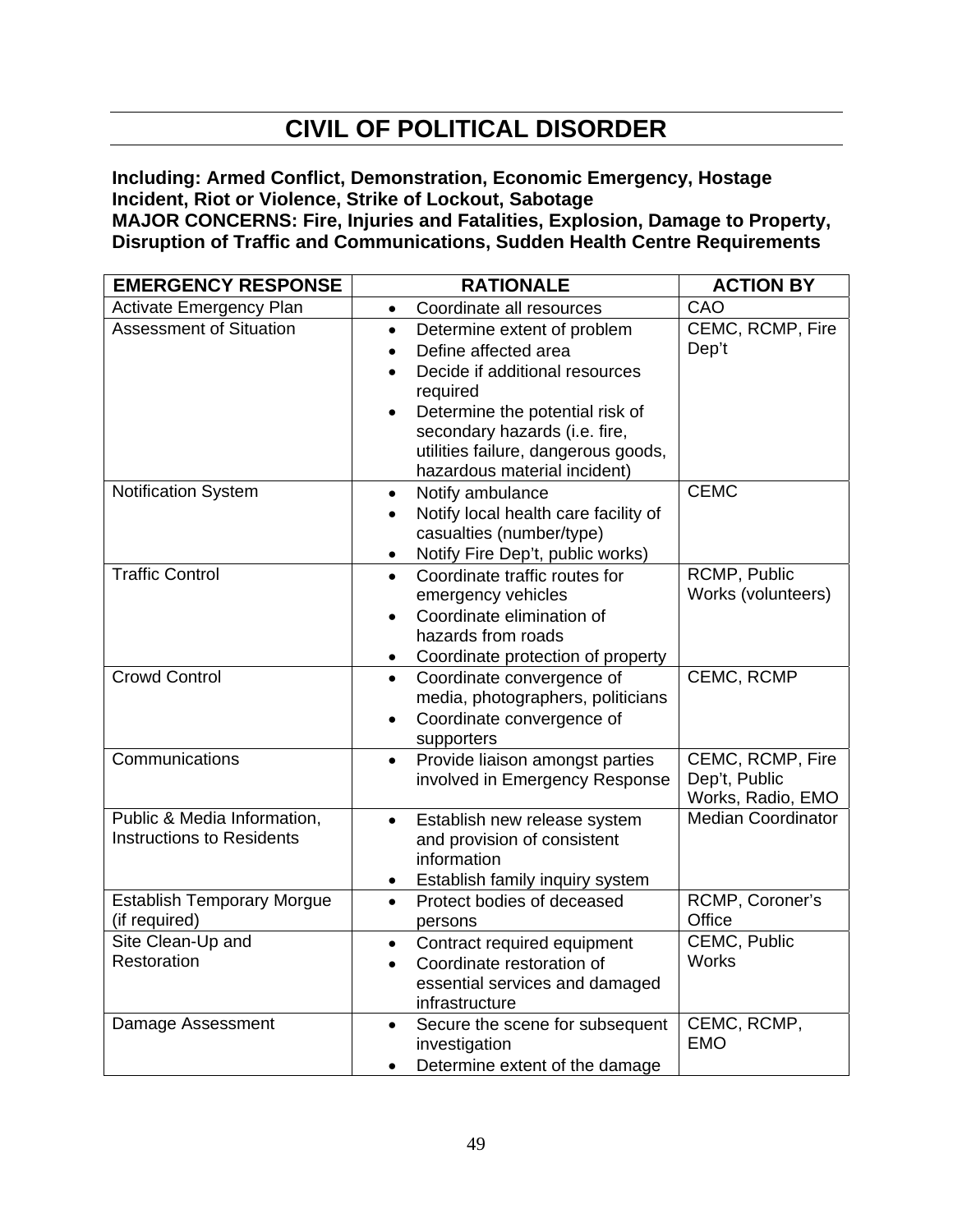# **CIVIL OF POLITICAL DISORDER**

**Including: Armed Conflict, Demonstration, Economic Emergency, Hostage Incident, Riot or Violence, Strike of Lockout, Sabotage** 

**MAJOR CONCERNS: Fire, Injuries and Fatalities, Explosion, Damage to Property, Disruption of Traffic and Communications, Sudden Health Centre Requirements** 

| <b>EMERGENCY RESPONSE</b>                                       | <b>RATIONALE</b>                                                                                                                                                                                                                                                       | <b>ACTION BY</b>                                       |  |
|-----------------------------------------------------------------|------------------------------------------------------------------------------------------------------------------------------------------------------------------------------------------------------------------------------------------------------------------------|--------------------------------------------------------|--|
| <b>Activate Emergency Plan</b>                                  | Coordinate all resources<br>$\bullet$                                                                                                                                                                                                                                  | CAO                                                    |  |
| <b>Assessment of Situation</b>                                  | Determine extent of problem<br>$\bullet$<br>Define affected area<br>$\bullet$<br>Decide if additional resources<br>required<br>Determine the potential risk of<br>secondary hazards (i.e. fire,<br>utilities failure, dangerous goods,<br>hazardous material incident) | CEMC, RCMP, Fire<br>Dep't                              |  |
| <b>Notification System</b>                                      | Notify ambulance<br>$\bullet$<br>Notify local health care facility of<br>$\bullet$<br>casualties (number/type)<br>Notify Fire Dep't, public works)<br>$\bullet$                                                                                                        | <b>CEMC</b>                                            |  |
| <b>Traffic Control</b>                                          | Coordinate traffic routes for<br>$\bullet$<br>emergency vehicles<br>Coordinate elimination of<br>hazards from roads<br>Coordinate protection of property                                                                                                               | RCMP, Public<br>Works (volunteers)                     |  |
| <b>Crowd Control</b>                                            | Coordinate convergence of<br>$\bullet$<br>media, photographers, politicians<br>Coordinate convergence of<br>$\bullet$<br>supporters                                                                                                                                    | <b>CEMC, RCMP</b>                                      |  |
| Communications                                                  | Provide liaison amongst parties<br>$\bullet$<br>involved in Emergency Response                                                                                                                                                                                         | CEMC, RCMP, Fire<br>Dep't, Public<br>Works, Radio, EMO |  |
| Public & Media Information,<br><b>Instructions to Residents</b> | Establish new release system<br>$\bullet$<br>and provision of consistent<br>information<br>Establish family inquiry system<br>$\bullet$                                                                                                                                | <b>Median Coordinator</b>                              |  |
| <b>Establish Temporary Morgue</b><br>(if required)              | Protect bodies of deceased<br>$\bullet$<br>persons                                                                                                                                                                                                                     | RCMP, Coroner's<br>Office                              |  |
| Site Clean-Up and<br>Restoration                                | Contract required equipment<br>$\bullet$<br>Coordinate restoration of<br>$\bullet$<br>essential services and damaged<br>infrastructure                                                                                                                                 | CEMC, Public<br><b>Works</b>                           |  |
| Damage Assessment                                               | Secure the scene for subsequent<br>$\bullet$<br>investigation<br>Determine extent of the damage<br>$\bullet$                                                                                                                                                           | CEMC, RCMP,<br><b>EMO</b>                              |  |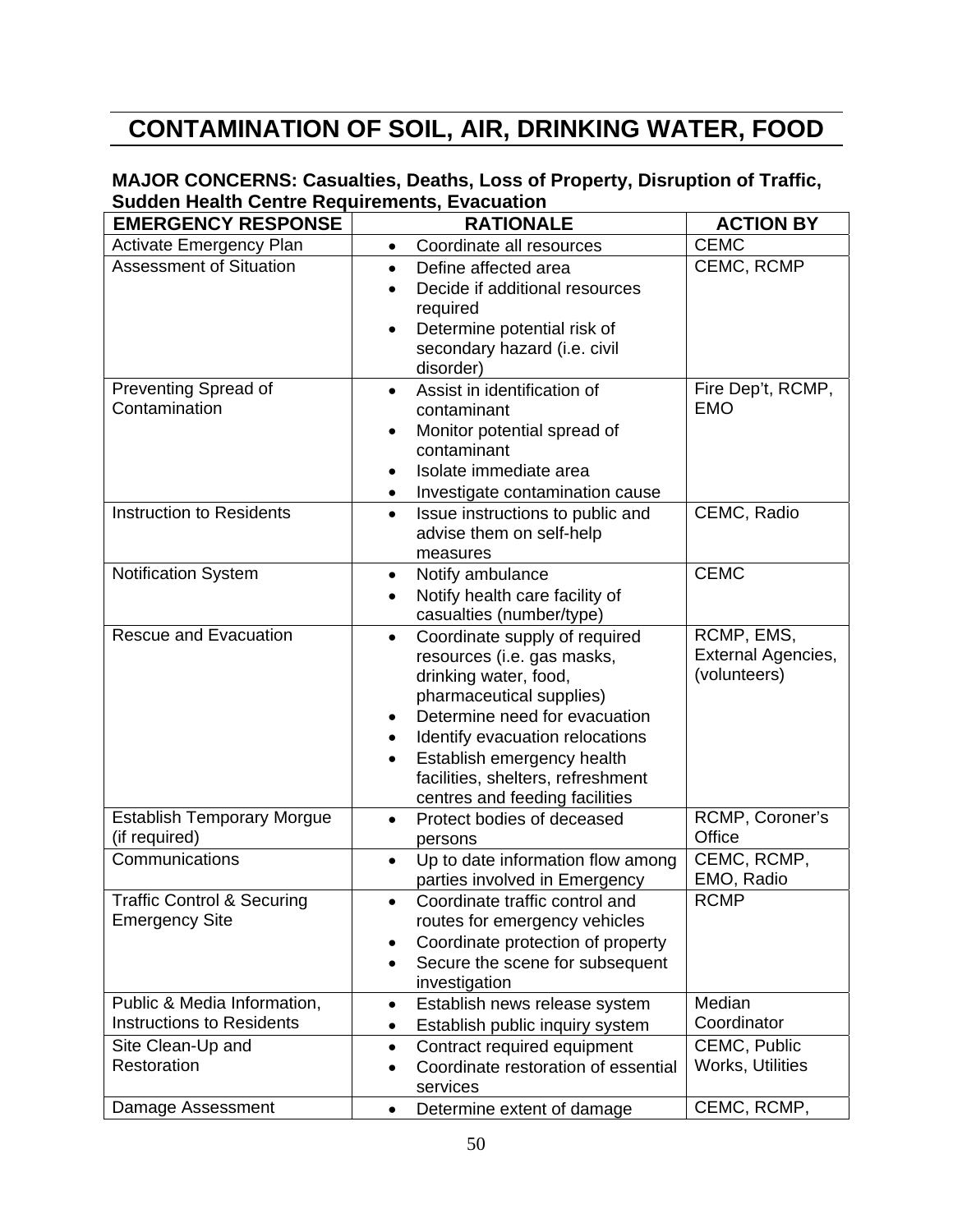# **CONTAMINATION OF SOIL, AIR, DRINKING WATER, FOOD**

#### **MAJOR CONCERNS: Casualties, Deaths, Loss of Property, Disruption of Traffic, Sudden Health Centre Requirements, Evacuation**

| <b>EMERGENCY RESPONSE</b>                                       | <b>RATIONALE</b>                                                                                                                                                                                                                                                                                                                              | <b>ACTION BY</b>                                 |
|-----------------------------------------------------------------|-----------------------------------------------------------------------------------------------------------------------------------------------------------------------------------------------------------------------------------------------------------------------------------------------------------------------------------------------|--------------------------------------------------|
| <b>Activate Emergency Plan</b>                                  | Coordinate all resources<br>$\bullet$                                                                                                                                                                                                                                                                                                         | <b>CEMC</b>                                      |
| <b>Assessment of Situation</b>                                  | Define affected area<br>$\bullet$<br>Decide if additional resources<br>$\bullet$<br>required<br>Determine potential risk of<br>$\bullet$<br>secondary hazard (i.e. civil<br>disorder)                                                                                                                                                         | CEMC, RCMP                                       |
| Preventing Spread of<br>Contamination                           | Assist in identification of<br>$\bullet$<br>contaminant<br>Monitor potential spread of<br>$\bullet$<br>contaminant<br>Isolate immediate area<br>Investigate contamination cause<br>٠                                                                                                                                                          | Fire Dep't, RCMP,<br><b>EMO</b>                  |
| <b>Instruction to Residents</b>                                 | Issue instructions to public and<br>$\bullet$<br>advise them on self-help<br>measures                                                                                                                                                                                                                                                         | CEMC, Radio                                      |
| <b>Notification System</b>                                      | Notify ambulance<br>$\bullet$<br>Notify health care facility of<br>casualties (number/type)                                                                                                                                                                                                                                                   | <b>CEMC</b>                                      |
| <b>Rescue and Evacuation</b>                                    | Coordinate supply of required<br>$\bullet$<br>resources (i.e. gas masks,<br>drinking water, food,<br>pharmaceutical supplies)<br>Determine need for evacuation<br>$\bullet$<br>Identify evacuation relocations<br>$\bullet$<br>Establish emergency health<br>$\bullet$<br>facilities, shelters, refreshment<br>centres and feeding facilities | RCMP, EMS,<br>External Agencies,<br>(volunteers) |
| <b>Establish Temporary Morgue</b><br>(if required)              | Protect bodies of deceased<br>$\bullet$<br>persons                                                                                                                                                                                                                                                                                            | RCMP, Coroner's<br>Office                        |
| Communications                                                  | Up to date information flow among<br>$\bullet$<br>parties involved in Emergency                                                                                                                                                                                                                                                               | CEMC, RCMP,<br>EMO, Radio                        |
| <b>Traffic Control &amp; Securing</b><br><b>Emergency Site</b>  | Coordinate traffic control and<br>routes for emergency vehicles<br>Coordinate protection of property<br>$\bullet$<br>Secure the scene for subsequent<br>$\bullet$<br>investigation                                                                                                                                                            | <b>RCMP</b>                                      |
| Public & Media Information,<br><b>Instructions to Residents</b> | Establish news release system<br>$\bullet$<br>Establish public inquiry system<br>$\bullet$                                                                                                                                                                                                                                                    | Median<br>Coordinator                            |
| Site Clean-Up and<br>Restoration                                | Contract required equipment<br>$\bullet$<br>Coordinate restoration of essential<br>$\bullet$<br>services                                                                                                                                                                                                                                      | CEMC, Public<br>Works, Utilities                 |
| Damage Assessment                                               | Determine extent of damage<br>$\bullet$                                                                                                                                                                                                                                                                                                       | CEMC, RCMP,                                      |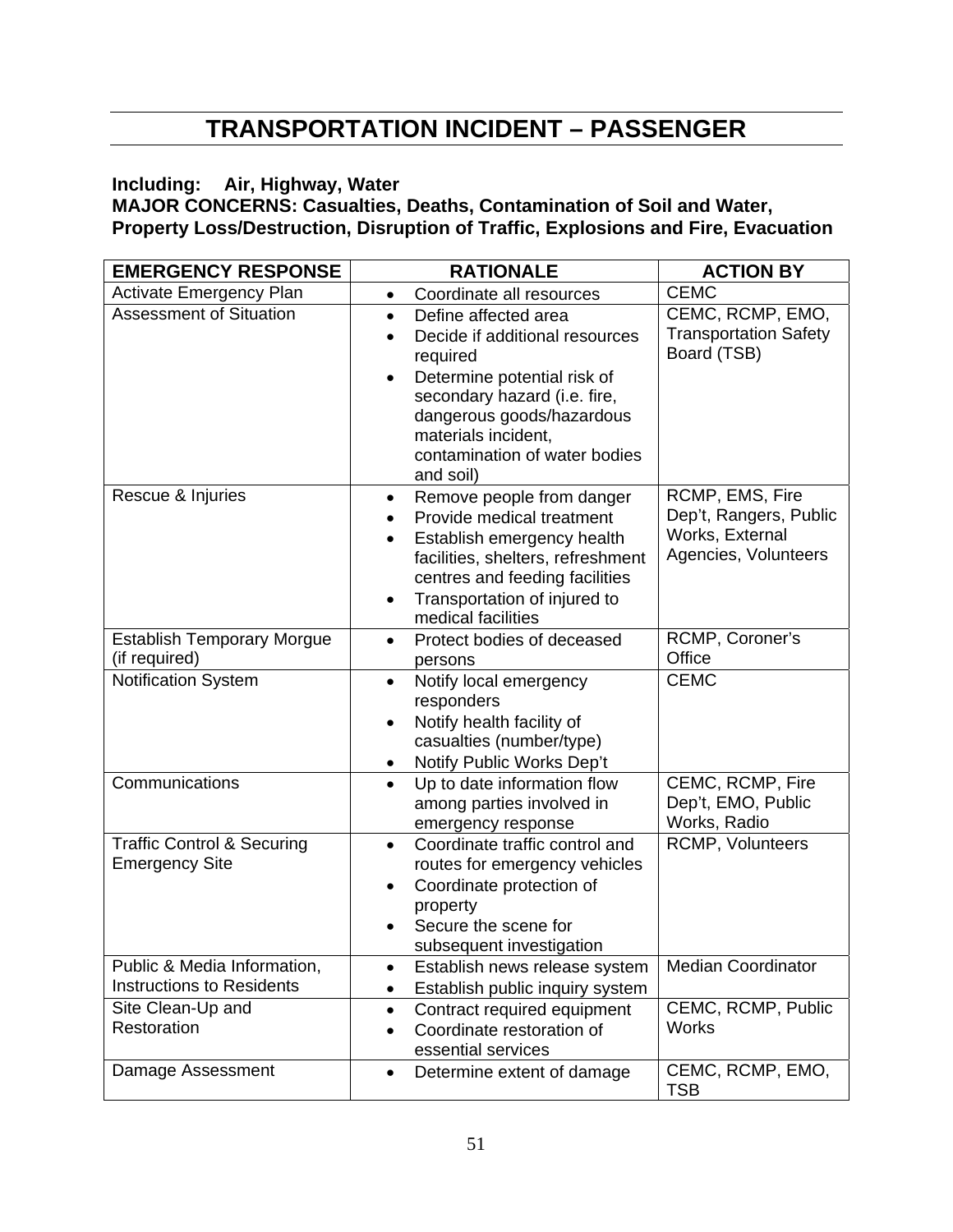# **TRANSPORTATION INCIDENT – PASSENGER**

#### **Including: Air, Highway, Water**

**MAJOR CONCERNS: Casualties, Deaths, Contamination of Soil and Water, Property Loss/Destruction, Disruption of Traffic, Explosions and Fire, Evacuation** 

| <b>EMERGENCY RESPONSE</b>                                       | <b>RATIONALE</b>                                                                                                                                                                                                                                 | <b>ACTION BY</b>                                                                     |  |
|-----------------------------------------------------------------|--------------------------------------------------------------------------------------------------------------------------------------------------------------------------------------------------------------------------------------------------|--------------------------------------------------------------------------------------|--|
| <b>Activate Emergency Plan</b>                                  | Coordinate all resources<br>$\bullet$                                                                                                                                                                                                            | <b>CEMC</b>                                                                          |  |
| <b>Assessment of Situation</b>                                  | Define affected area<br>$\bullet$<br>Decide if additional resources<br>required<br>Determine potential risk of<br>secondary hazard (i.e. fire,<br>dangerous goods/hazardous<br>materials incident,<br>contamination of water bodies<br>and soil) | CEMC, RCMP, EMO,<br><b>Transportation Safety</b><br>Board (TSB)                      |  |
| Rescue & Injuries                                               | Remove people from danger<br>$\bullet$<br>Provide medical treatment<br>Establish emergency health<br>facilities, shelters, refreshment<br>centres and feeding facilities<br>Transportation of injured to<br>medical facilities                   | RCMP, EMS, Fire<br>Dep't, Rangers, Public<br>Works, External<br>Agencies, Volunteers |  |
| <b>Establish Temporary Morgue</b><br>(if required)              | Protect bodies of deceased<br>$\bullet$                                                                                                                                                                                                          | RCMP, Coroner's<br>Office                                                            |  |
| Notification System                                             | persons<br>Notify local emergency<br>$\bullet$<br>responders<br>Notify health facility of<br>casualties (number/type)<br>Notify Public Works Dep't                                                                                               | <b>CEMC</b>                                                                          |  |
| Communications                                                  | Up to date information flow<br>$\bullet$<br>among parties involved in<br>emergency response                                                                                                                                                      | CEMC, RCMP, Fire<br>Dep't, EMO, Public<br>Works, Radio                               |  |
| <b>Traffic Control &amp; Securing</b><br><b>Emergency Site</b>  | Coordinate traffic control and<br>$\bullet$<br>routes for emergency vehicles<br>Coordinate protection of<br>property<br>Secure the scene for<br>subsequent investigation                                                                         | RCMP, Volunteers                                                                     |  |
| Public & Media Information,<br><b>Instructions to Residents</b> | Establish news release system<br>$\bullet$<br>Establish public inquiry system<br>٠                                                                                                                                                               | <b>Median Coordinator</b>                                                            |  |
| Site Clean-Up and<br>Restoration                                | Contract required equipment<br>$\bullet$<br>Coordinate restoration of<br>$\bullet$<br>essential services                                                                                                                                         | CEMC, RCMP, Public<br>Works                                                          |  |
| Damage Assessment                                               | Determine extent of damage<br>$\bullet$                                                                                                                                                                                                          | CEMC, RCMP, EMO,<br><b>TSB</b>                                                       |  |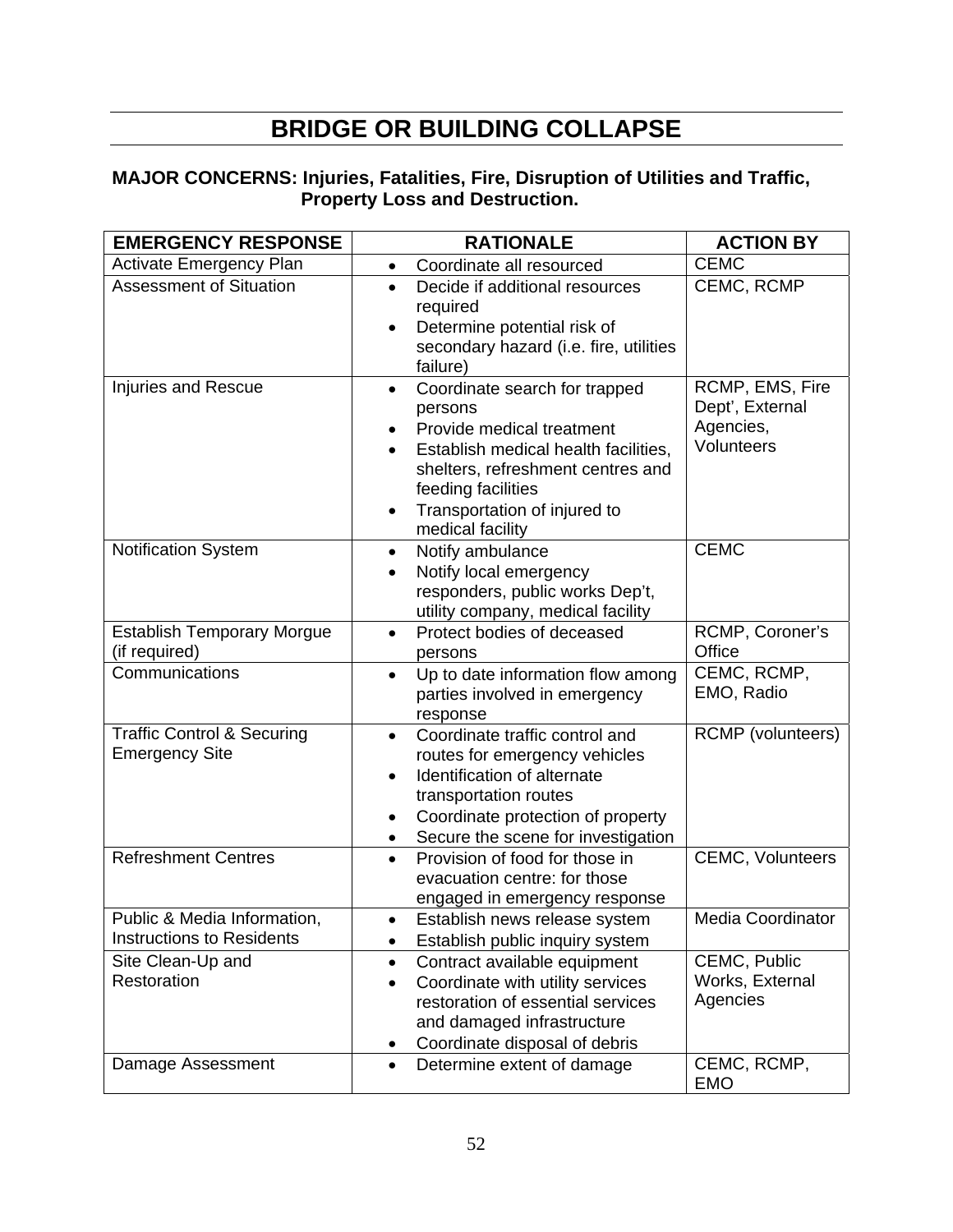# **BRIDGE OR BUILDING COLLAPSE**

#### **MAJOR CONCERNS: Injuries, Fatalities, Fire, Disruption of Utilities and Traffic, Property Loss and Destruction.**

| <b>EMERGENCY RESPONSE</b>                                       | <b>RATIONALE</b>                                                                                                                                                                                                                  | <b>ACTION BY</b>                                |
|-----------------------------------------------------------------|-----------------------------------------------------------------------------------------------------------------------------------------------------------------------------------------------------------------------------------|-------------------------------------------------|
| <b>Activate Emergency Plan</b>                                  | Coordinate all resourced<br>$\bullet$                                                                                                                                                                                             | <b>CEMC</b>                                     |
| <b>Assessment of Situation</b>                                  | Decide if additional resources<br>$\bullet$<br>required<br>Determine potential risk of<br>$\bullet$                                                                                                                               | CEMC, RCMP                                      |
|                                                                 | secondary hazard (i.e. fire, utilities<br>failure)                                                                                                                                                                                |                                                 |
| <b>Injuries and Rescue</b>                                      | Coordinate search for trapped<br>$\bullet$<br>persons<br>Provide medical treatment                                                                                                                                                | RCMP, EMS, Fire<br>Dept', External<br>Agencies, |
|                                                                 | Establish medical health facilities,<br>shelters, refreshment centres and<br>feeding facilities                                                                                                                                   | Volunteers                                      |
|                                                                 | Transportation of injured to<br>medical facility                                                                                                                                                                                  |                                                 |
| <b>Notification System</b>                                      | Notify ambulance<br>$\bullet$<br>Notify local emergency                                                                                                                                                                           | <b>CEMC</b>                                     |
|                                                                 | responders, public works Dep't,<br>utility company, medical facility                                                                                                                                                              |                                                 |
| <b>Establish Temporary Morgue</b><br>(if required)              | Protect bodies of deceased<br>$\bullet$<br>persons                                                                                                                                                                                | RCMP, Coroner's<br>Office                       |
| Communications                                                  | Up to date information flow among<br>$\bullet$<br>parties involved in emergency<br>response                                                                                                                                       | CEMC, RCMP,<br>EMO, Radio                       |
| <b>Traffic Control &amp; Securing</b><br><b>Emergency Site</b>  | Coordinate traffic control and<br>$\bullet$<br>routes for emergency vehicles<br>Identification of alternate<br>$\bullet$<br>transportation routes<br>Coordinate protection of property<br>Secure the scene for investigation<br>٠ | <b>RCMP</b> (volunteers)                        |
| <b>Refreshment Centres</b>                                      | Provision of food for those in<br>$\bullet$<br>evacuation centre: for those<br>engaged in emergency response                                                                                                                      | <b>CEMC, Volunteers</b>                         |
| Public & Media Information,<br><b>Instructions to Residents</b> | Establish news release system<br>Establish public inquiry system<br>٠                                                                                                                                                             | <b>Media Coordinator</b>                        |
| Site Clean-Up and<br>Restoration                                | Contract available equipment<br>$\bullet$<br>Coordinate with utility services<br>$\bullet$<br>restoration of essential services<br>and damaged infrastructure<br>Coordinate disposal of debris<br>٠                               | CEMC, Public<br>Works, External<br>Agencies     |
| Damage Assessment                                               | Determine extent of damage<br>$\bullet$                                                                                                                                                                                           | CEMC, RCMP,<br><b>EMO</b>                       |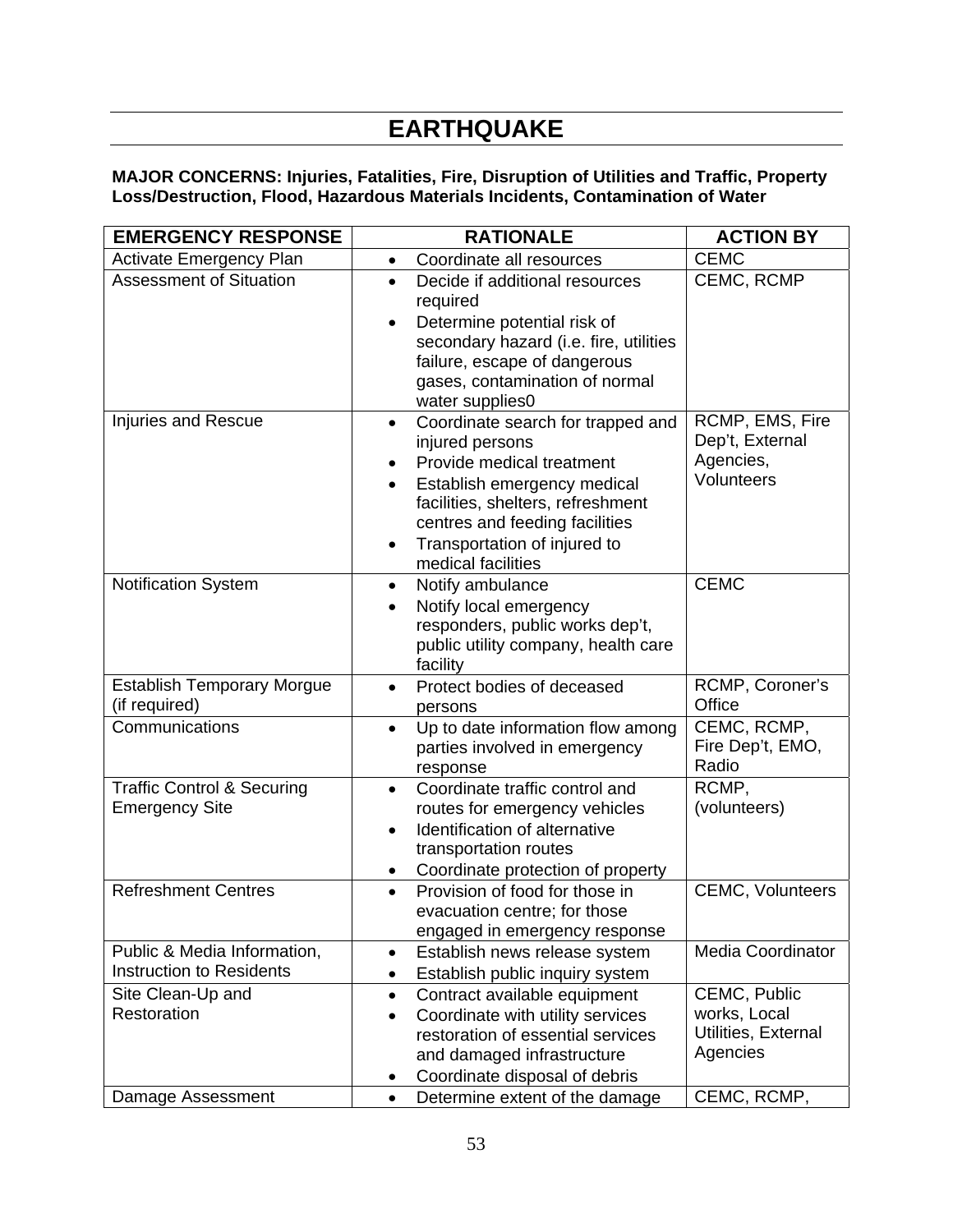# **EARTHQUAKE**

#### **MAJOR CONCERNS: Injuries, Fatalities, Fire, Disruption of Utilities and Traffic, Property Loss/Destruction, Flood, Hazardous Materials Incidents, Contamination of Water**

| <b>EMERGENCY RESPONSE</b>                                      | <b>RATIONALE</b>                                                                                                                                                                                                                                                                     | <b>ACTION BY</b>                                                               |  |
|----------------------------------------------------------------|--------------------------------------------------------------------------------------------------------------------------------------------------------------------------------------------------------------------------------------------------------------------------------------|--------------------------------------------------------------------------------|--|
| <b>Activate Emergency Plan</b>                                 | Coordinate all resources<br>$\bullet$                                                                                                                                                                                                                                                | <b>CEMC</b>                                                                    |  |
| <b>Assessment of Situation</b>                                 | Decide if additional resources<br>$\bullet$<br>required<br>Determine potential risk of<br>$\bullet$<br>secondary hazard (i.e. fire, utilities<br>failure, escape of dangerous<br>gases, contamination of normal<br>water supplies0                                                   | CEMC, RCMP                                                                     |  |
| Injuries and Rescue                                            | Coordinate search for trapped and<br>$\bullet$<br>injured persons<br>Provide medical treatment<br>$\bullet$<br>Establish emergency medical<br>$\bullet$<br>facilities, shelters, refreshment<br>centres and feeding facilities<br>Transportation of injured to<br>medical facilities | RCMP, EMS, Fire<br>Dep't, External<br>Agencies,<br>Volunteers                  |  |
| Notification System                                            | Notify ambulance<br>$\bullet$<br>Notify local emergency<br>responders, public works dep't,<br>public utility company, health care<br>facility                                                                                                                                        | <b>CEMC</b>                                                                    |  |
| <b>Establish Temporary Morgue</b><br>(if required)             | Protect bodies of deceased<br>$\bullet$<br>persons                                                                                                                                                                                                                                   | RCMP, Coroner's<br>Office                                                      |  |
| Communications                                                 | Up to date information flow among<br>parties involved in emergency<br>response                                                                                                                                                                                                       | CEMC, RCMP,<br>Fire Dep't, EMO,<br>Radio                                       |  |
| <b>Traffic Control &amp; Securing</b><br><b>Emergency Site</b> | Coordinate traffic control and<br>$\bullet$<br>routes for emergency vehicles<br>Identification of alternative<br>transportation routes<br>Coordinate protection of property<br>٠                                                                                                     | RCMP,<br>(volunteers)                                                          |  |
| <b>Refreshment Centres</b>                                     | Provision of food for those in<br>$\bullet$<br>evacuation centre; for those<br>engaged in emergency response                                                                                                                                                                         | <b>CEMC, Volunteers</b>                                                        |  |
| Public & Media Information,<br><b>Instruction to Residents</b> | Establish news release system<br>$\bullet$<br>Establish public inquiry system<br>٠                                                                                                                                                                                                   | <b>Media Coordinator</b>                                                       |  |
| Site Clean-Up and<br>Restoration<br>Damage Assessment          | Contract available equipment<br>$\bullet$<br>Coordinate with utility services<br>$\bullet$<br>restoration of essential services<br>and damaged infrastructure<br>Coordinate disposal of debris<br>٠<br>Determine extent of the damage<br>$\bullet$                                   | CEMC, Public<br>works, Local<br>Utilities, External<br>Agencies<br>CEMC, RCMP, |  |
|                                                                |                                                                                                                                                                                                                                                                                      |                                                                                |  |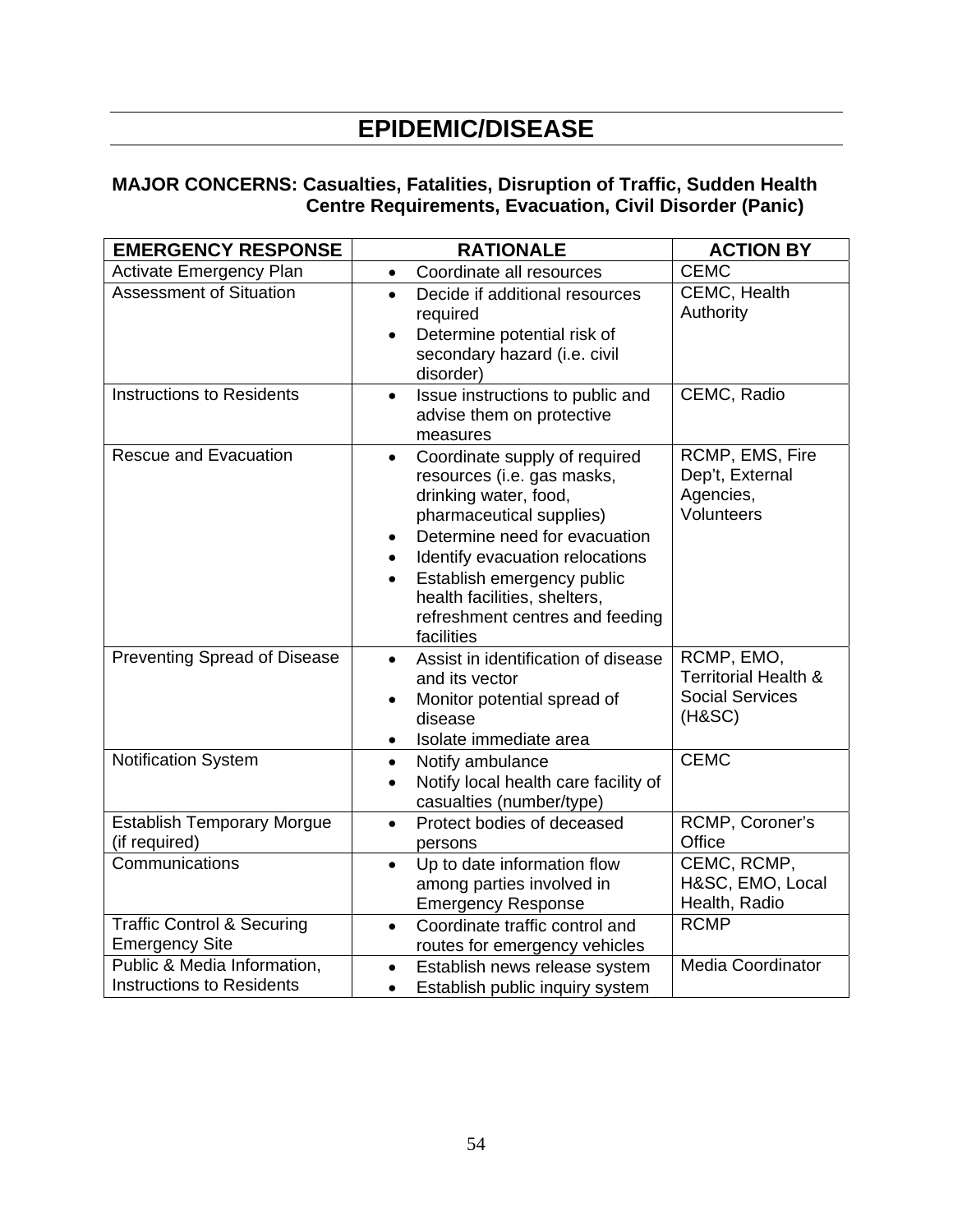# **EPIDEMIC/DISEASE**

#### **MAJOR CONCERNS: Casualties, Fatalities, Disruption of Traffic, Sudden Health Centre Requirements, Evacuation, Civil Disorder (Panic)**

| <b>EMERGENCY RESPONSE</b>                                       | <b>RATIONALE</b>                                                                                                                                                                                                                                                                                                                                        | <b>ACTION BY</b>                                                                  |  |
|-----------------------------------------------------------------|---------------------------------------------------------------------------------------------------------------------------------------------------------------------------------------------------------------------------------------------------------------------------------------------------------------------------------------------------------|-----------------------------------------------------------------------------------|--|
| <b>Activate Emergency Plan</b>                                  | Coordinate all resources<br>$\bullet$                                                                                                                                                                                                                                                                                                                   | <b>CEMC</b>                                                                       |  |
| <b>Assessment of Situation</b>                                  | Decide if additional resources<br>$\bullet$<br>required<br>Determine potential risk of<br>$\bullet$<br>secondary hazard (i.e. civil<br>disorder)                                                                                                                                                                                                        | CEMC, Health<br>Authority                                                         |  |
| <b>Instructions to Residents</b>                                | Issue instructions to public and<br>$\bullet$<br>advise them on protective<br>measures                                                                                                                                                                                                                                                                  | CEMC, Radio                                                                       |  |
| <b>Rescue and Evacuation</b>                                    | Coordinate supply of required<br>$\bullet$<br>resources (i.e. gas masks,<br>drinking water, food,<br>pharmaceutical supplies)<br>Determine need for evacuation<br>$\bullet$<br>Identify evacuation relocations<br>$\bullet$<br>Establish emergency public<br>$\bullet$<br>health facilities, shelters,<br>refreshment centres and feeding<br>facilities | RCMP, EMS, Fire<br>Dep't, External<br>Agencies,<br>Volunteers                     |  |
| Preventing Spread of Disease                                    | Assist in identification of disease<br>$\bullet$<br>and its vector<br>Monitor potential spread of<br>$\bullet$<br>disease<br>Isolate immediate area<br>$\bullet$                                                                                                                                                                                        | RCMP, EMO,<br><b>Territorial Health &amp;</b><br><b>Social Services</b><br>(HASC) |  |
| <b>Notification System</b>                                      | Notify ambulance<br>$\bullet$<br>Notify local health care facility of<br>$\bullet$<br>casualties (number/type)                                                                                                                                                                                                                                          | <b>CEMC</b>                                                                       |  |
| <b>Establish Temporary Morgue</b><br>(if required)              | Protect bodies of deceased<br>$\bullet$<br>persons                                                                                                                                                                                                                                                                                                      | RCMP, Coroner's<br>Office                                                         |  |
| Communications                                                  | Up to date information flow<br>$\bullet$<br>among parties involved in<br><b>Emergency Response</b>                                                                                                                                                                                                                                                      | CEMC, RCMP,<br>H&SC, EMO, Local<br>Health, Radio                                  |  |
| <b>Traffic Control &amp; Securing</b><br><b>Emergency Site</b>  | Coordinate traffic control and<br>$\bullet$<br>routes for emergency vehicles                                                                                                                                                                                                                                                                            | <b>RCMP</b>                                                                       |  |
| Public & Media Information,<br><b>Instructions to Residents</b> | Establish news release system<br>$\bullet$<br>Establish public inquiry system<br>$\bullet$                                                                                                                                                                                                                                                              | <b>Media Coordinator</b>                                                          |  |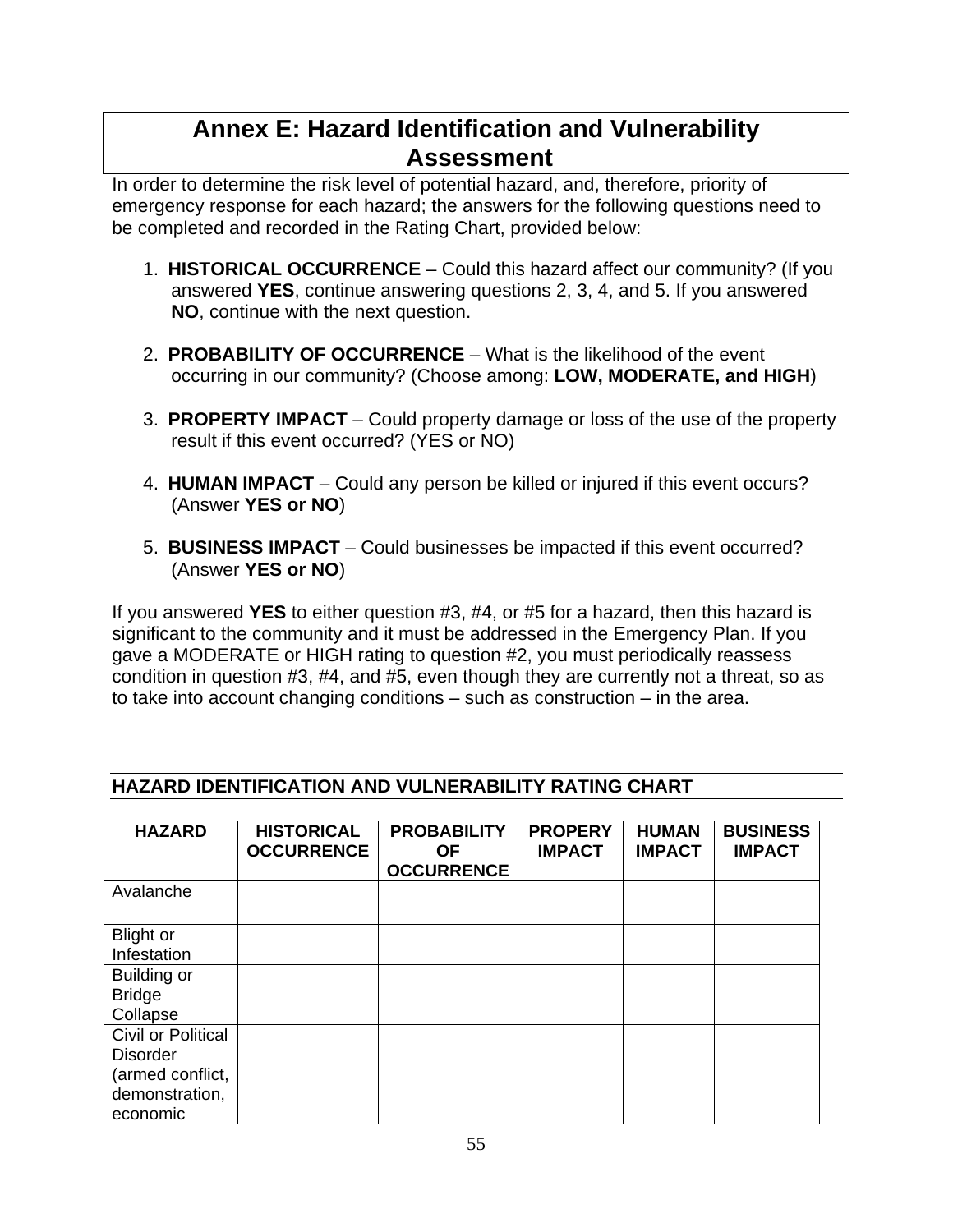# **Annex E: Hazard Identification and Vulnerability Assessment**

In order to determine the risk level of potential hazard, and, therefore, priority of emergency response for each hazard; the answers for the following questions need to be completed and recorded in the Rating Chart, provided below:

- 1. **HISTORICAL OCCURRENCE** Could this hazard affect our community? (If you answered **YES**, continue answering questions 2, 3, 4, and 5. If you answered **NO**, continue with the next question.
- 2. **PROBABILITY OF OCCURRENCE** What is the likelihood of the event occurring in our community? (Choose among: **LOW, MODERATE, and HIGH**)
- 3. **PROPERTY IMPACT** Could property damage or loss of the use of the property result if this event occurred? (YES or NO)
- 4. **HUMAN IMPACT** Could any person be killed or injured if this event occurs? (Answer **YES or NO**)
- 5. **BUSINESS IMPACT** Could businesses be impacted if this event occurred? (Answer **YES or NO**)

If you answered **YES** to either question #3, #4, or #5 for a hazard, then this hazard is significant to the community and it must be addressed in the Emergency Plan. If you gave a MODERATE or HIGH rating to question #2, you must periodically reassess condition in question #3, #4, and #5, even though they are currently not a threat, so as to take into account changing conditions – such as construction – in the area.

#### **HAZARD HISTORICAL OCCURRENCE PROBABILITY OF PROPERY IMPACT HUMAN IMPACT**

**HAZARD IDENTIFICATION AND VULNERABILITY RATING CHART** 

| <b>HAZARD</b>             | <b>HISTORICAL</b><br><b>OCCURRENCE</b> | <b>PROBABILITY</b><br>ΟF<br><b>OCCURRENCE</b> | <b>PROPERY</b><br><b>IMPACT</b> | <b>HUMAN</b><br><b>IMPACT</b> | <b>BUSINESS</b><br><b>IMPACT</b> |
|---------------------------|----------------------------------------|-----------------------------------------------|---------------------------------|-------------------------------|----------------------------------|
| Avalanche                 |                                        |                                               |                                 |                               |                                  |
| <b>Blight or</b>          |                                        |                                               |                                 |                               |                                  |
| Infestation               |                                        |                                               |                                 |                               |                                  |
| Building or               |                                        |                                               |                                 |                               |                                  |
| <b>Bridge</b>             |                                        |                                               |                                 |                               |                                  |
| Collapse                  |                                        |                                               |                                 |                               |                                  |
| <b>Civil or Political</b> |                                        |                                               |                                 |                               |                                  |
| <b>Disorder</b>           |                                        |                                               |                                 |                               |                                  |
| (armed conflict,          |                                        |                                               |                                 |                               |                                  |
| demonstration,            |                                        |                                               |                                 |                               |                                  |
| economic                  |                                        |                                               |                                 |                               |                                  |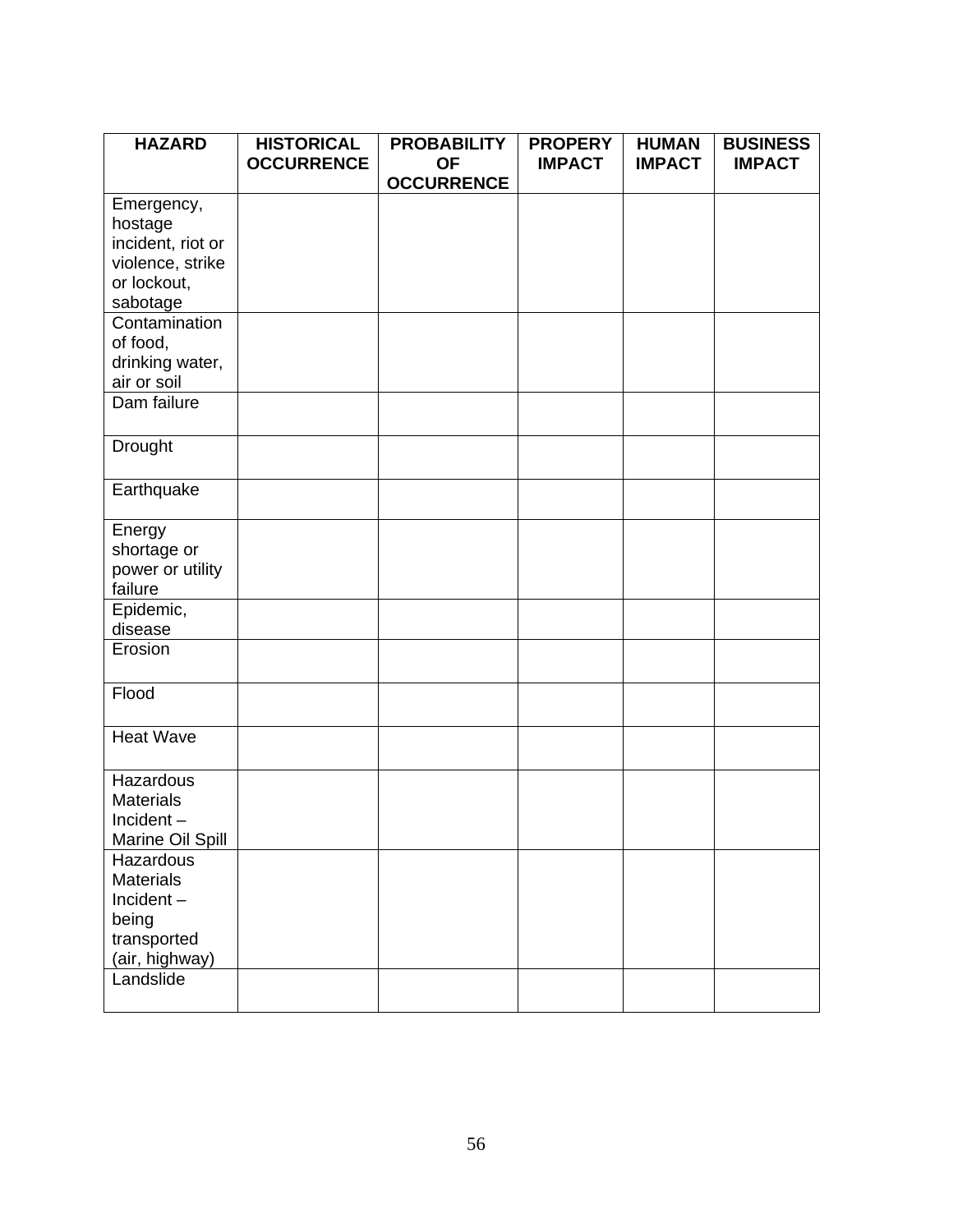| <b>HAZARD</b>              | <b>HISTORICAL</b><br><b>OCCURRENCE</b> | <b>PROBABILITY</b><br><b>OF</b> | <b>PROPERY</b><br><b>IMPACT</b> | <b>HUMAN</b><br><b>IMPACT</b> | <b>BUSINESS</b><br><b>IMPACT</b> |
|----------------------------|----------------------------------------|---------------------------------|---------------------------------|-------------------------------|----------------------------------|
|                            |                                        | <b>OCCURRENCE</b>               |                                 |                               |                                  |
| Emergency,                 |                                        |                                 |                                 |                               |                                  |
| hostage                    |                                        |                                 |                                 |                               |                                  |
| incident, riot or          |                                        |                                 |                                 |                               |                                  |
| violence, strike           |                                        |                                 |                                 |                               |                                  |
| or lockout,                |                                        |                                 |                                 |                               |                                  |
| sabotage                   |                                        |                                 |                                 |                               |                                  |
| Contamination              |                                        |                                 |                                 |                               |                                  |
| of food,                   |                                        |                                 |                                 |                               |                                  |
| drinking water,            |                                        |                                 |                                 |                               |                                  |
| air or soil<br>Dam failure |                                        |                                 |                                 |                               |                                  |
|                            |                                        |                                 |                                 |                               |                                  |
| Drought                    |                                        |                                 |                                 |                               |                                  |
|                            |                                        |                                 |                                 |                               |                                  |
| Earthquake                 |                                        |                                 |                                 |                               |                                  |
| Energy                     |                                        |                                 |                                 |                               |                                  |
| shortage or                |                                        |                                 |                                 |                               |                                  |
| power or utility           |                                        |                                 |                                 |                               |                                  |
| failure                    |                                        |                                 |                                 |                               |                                  |
| Epidemic,                  |                                        |                                 |                                 |                               |                                  |
| disease                    |                                        |                                 |                                 |                               |                                  |
| Erosion                    |                                        |                                 |                                 |                               |                                  |
| Flood                      |                                        |                                 |                                 |                               |                                  |
|                            |                                        |                                 |                                 |                               |                                  |
| <b>Heat Wave</b>           |                                        |                                 |                                 |                               |                                  |
| Hazardous                  |                                        |                                 |                                 |                               |                                  |
| <b>Materials</b>           |                                        |                                 |                                 |                               |                                  |
| Incident-                  |                                        |                                 |                                 |                               |                                  |
| Marine Oil Spill           |                                        |                                 |                                 |                               |                                  |
| Hazardous                  |                                        |                                 |                                 |                               |                                  |
| <b>Materials</b>           |                                        |                                 |                                 |                               |                                  |
| $Incident -$               |                                        |                                 |                                 |                               |                                  |
| being                      |                                        |                                 |                                 |                               |                                  |
| transported                |                                        |                                 |                                 |                               |                                  |
| (air, highway)             |                                        |                                 |                                 |                               |                                  |
| Landslide                  |                                        |                                 |                                 |                               |                                  |
|                            |                                        |                                 |                                 |                               |                                  |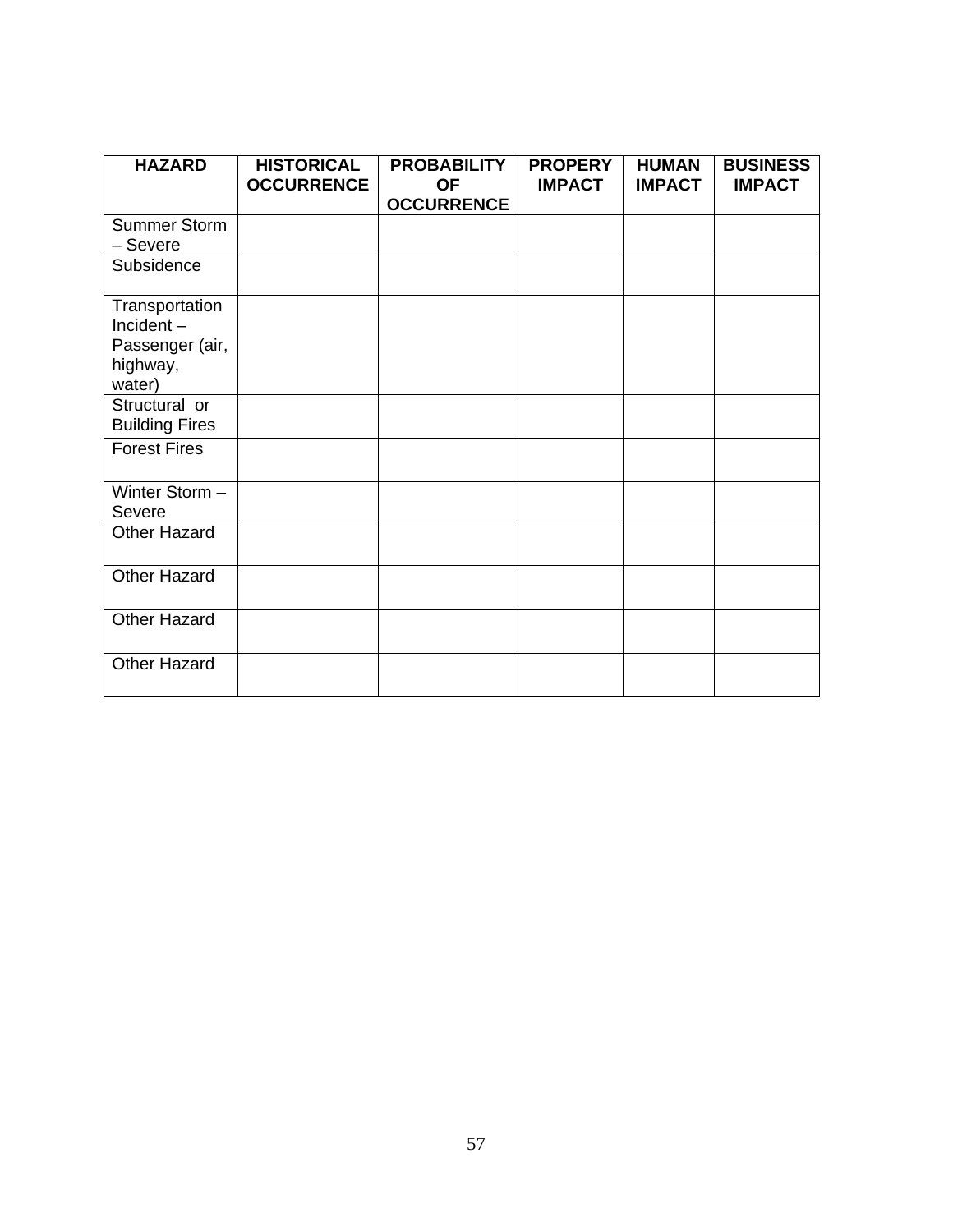| <b>HAZARD</b>         | <b>HISTORICAL</b><br><b>OCCURRENCE</b> | <b>PROBABILITY</b><br><b>OF</b> | <b>PROPERY</b><br><b>IMPACT</b> | <b>HUMAN</b><br><b>IMPACT</b> | <b>BUSINESS</b><br><b>IMPACT</b> |
|-----------------------|----------------------------------------|---------------------------------|---------------------------------|-------------------------------|----------------------------------|
|                       |                                        | <b>OCCURRENCE</b>               |                                 |                               |                                  |
| Summer Storm          |                                        |                                 |                                 |                               |                                  |
| – Severe              |                                        |                                 |                                 |                               |                                  |
| Subsidence            |                                        |                                 |                                 |                               |                                  |
| Transportation        |                                        |                                 |                                 |                               |                                  |
| $Incident -$          |                                        |                                 |                                 |                               |                                  |
| Passenger (air,       |                                        |                                 |                                 |                               |                                  |
| highway,              |                                        |                                 |                                 |                               |                                  |
| water)                |                                        |                                 |                                 |                               |                                  |
| Structural or         |                                        |                                 |                                 |                               |                                  |
| <b>Building Fires</b> |                                        |                                 |                                 |                               |                                  |
| <b>Forest Fires</b>   |                                        |                                 |                                 |                               |                                  |
| Winter Storm-         |                                        |                                 |                                 |                               |                                  |
| Severe                |                                        |                                 |                                 |                               |                                  |
| <b>Other Hazard</b>   |                                        |                                 |                                 |                               |                                  |
| <b>Other Hazard</b>   |                                        |                                 |                                 |                               |                                  |
| <b>Other Hazard</b>   |                                        |                                 |                                 |                               |                                  |
| Other Hazard          |                                        |                                 |                                 |                               |                                  |